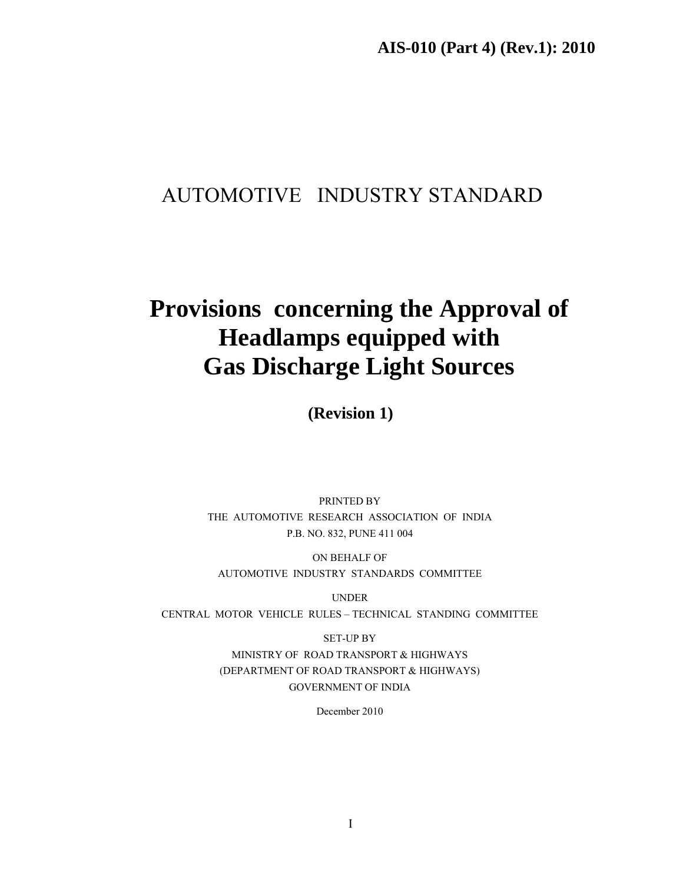**AIS-010 (Part 4) (Rev.1): 2010** 

# AUTOMOTIVE INDUSTRY STANDARD

# **Provisions concerning the Approval of Headlamps equipped with Gas Discharge Light Sources**

**(Revision 1)** 

PRINTED BY THE AUTOMOTIVE RESEARCH ASSOCIATION OF INDIA P.B. NO. 832, PUNE 411 004

ON BEHALF OF AUTOMOTIVE INDUSTRY STANDARDS COMMITTEE

UNDER

CENTRAL MOTOR VEHICLE RULES – TECHNICAL STANDING COMMITTEE

SET-UP BY MINISTRY OF ROAD TRANSPORT & HIGHWAYS (DEPARTMENT OF ROAD TRANSPORT & HIGHWAYS) GOVERNMENT OF INDIA

December 2010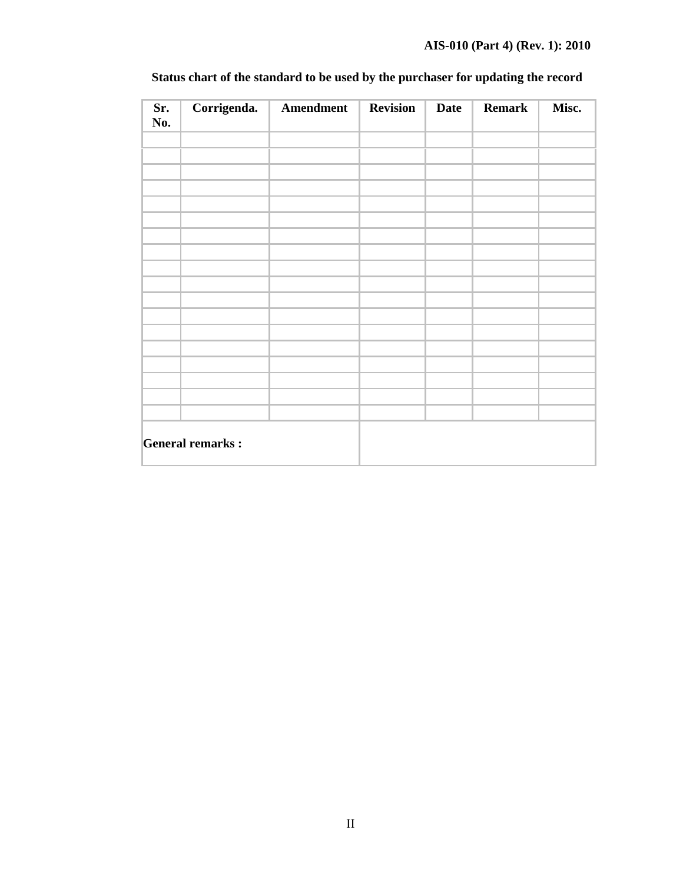| Sr.<br>No.              | Corrigenda. | Amendment | <b>Revision</b> | <b>Date</b> | <b>Remark</b> | Misc. |
|-------------------------|-------------|-----------|-----------------|-------------|---------------|-------|
|                         |             |           |                 |             |               |       |
|                         |             |           |                 |             |               |       |
|                         |             |           |                 |             |               |       |
|                         |             |           |                 |             |               |       |
|                         |             |           |                 |             |               |       |
|                         |             |           |                 |             |               |       |
|                         |             |           |                 |             |               |       |
|                         |             |           |                 |             |               |       |
|                         |             |           |                 |             |               |       |
|                         |             |           |                 |             |               |       |
|                         |             |           |                 |             |               |       |
|                         |             |           |                 |             |               |       |
|                         |             |           |                 |             |               |       |
|                         |             |           |                 |             |               |       |
|                         |             |           |                 |             |               |       |
|                         |             |           |                 |             |               |       |
|                         |             |           |                 |             |               |       |
|                         |             |           |                 |             |               |       |
| <b>General remarks:</b> |             |           |                 |             |               |       |

# **Status chart of the standard to be used by the purchaser for updating the record**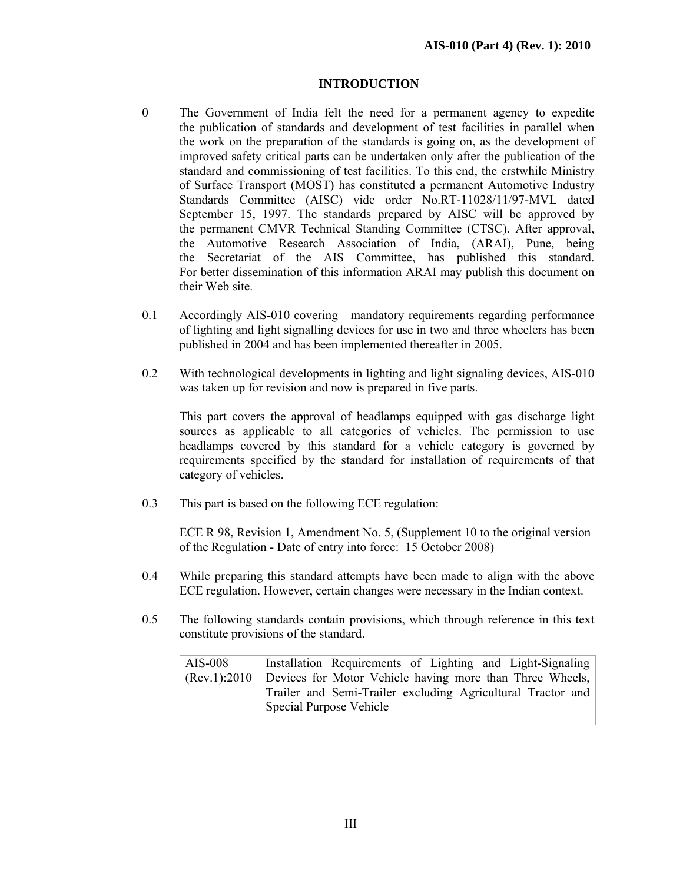## **INTRODUCTION**

- 0 The Government of India felt the need for a permanent agency to expedite the publication of standards and development of test facilities in parallel when the work on the preparation of the standards is going on, as the development of improved safety critical parts can be undertaken only after the publication of the standard and commissioning of test facilities. To this end, the erstwhile Ministry of Surface Transport (MOST) has constituted a permanent Automotive Industry Standards Committee (AISC) vide order No.RT-11028/11/97-MVL dated September 15, 1997. The standards prepared by AISC will be approved by the permanent CMVR Technical Standing Committee (CTSC). After approval, the Automotive Research Association of India, (ARAI), Pune, being the Secretariat of the AIS Committee, has published this standard. For better dissemination of this information ARAI may publish this document on their Web site.
- 0.1 Accordingly AIS-010 covering mandatory requirements regarding performance of lighting and light signalling devices for use in two and three wheelers has been published in 2004 and has been implemented thereafter in 2005.
- 0.2 With technological developments in lighting and light signaling devices, AIS-010 was taken up for revision and now is prepared in five parts.

This part covers the approval of headlamps equipped with gas discharge light sources as applicable to all categories of vehicles. The permission to use headlamps covered by this standard for a vehicle category is governed by requirements specified by the standard for installation of requirements of that category of vehicles.

0.3 This part is based on the following ECE regulation:

 ECE R 98, Revision 1, Amendment No. 5, (Supplement 10 to the original version of the Regulation - Date of entry into force: 15 October 2008)

- 0.4 While preparing this standard attempts have been made to align with the above ECE regulation. However, certain changes were necessary in the Indian context.
- 0.5 The following standards contain provisions, which through reference in this text constitute provisions of the standard.

| AIS-008 | Installation Requirements of Lighting and Light-Signaling                |
|---------|--------------------------------------------------------------------------|
|         | $(Rev.1): 2010$ Devices for Motor Vehicle having more than Three Wheels, |
|         | Trailer and Semi-Trailer excluding Agricultural Tractor and              |
|         | Special Purpose Vehicle                                                  |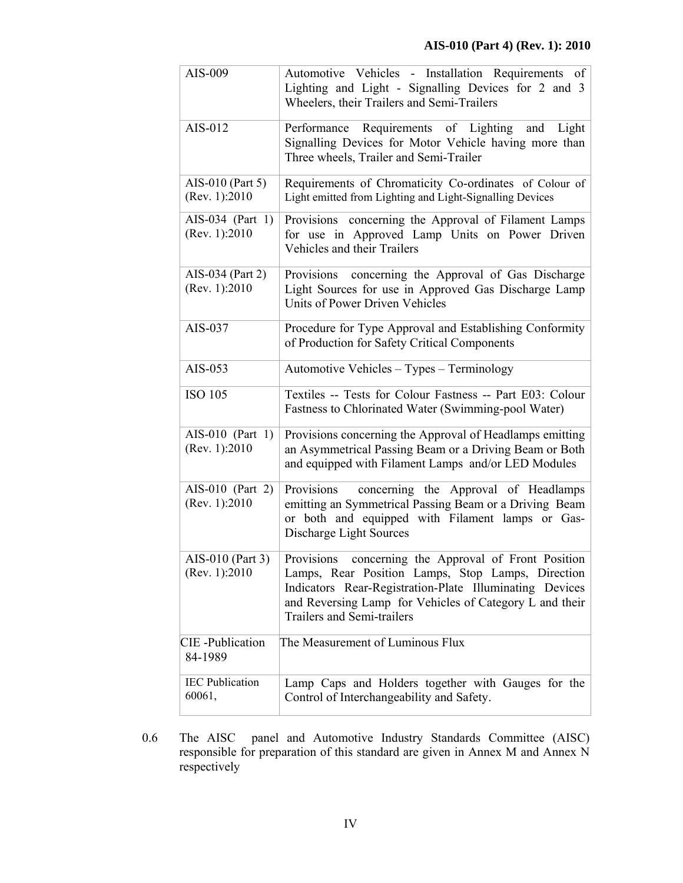| AIS-009                             | Automotive Vehicles - Installation Requirements of<br>Lighting and Light - Signalling Devices for 2 and 3<br>Wheelers, their Trailers and Semi-Trailers                                                                                                          |
|-------------------------------------|------------------------------------------------------------------------------------------------------------------------------------------------------------------------------------------------------------------------------------------------------------------|
| AIS-012                             | Performance Requirements of Lighting and Light<br>Signalling Devices for Motor Vehicle having more than<br>Three wheels, Trailer and Semi-Trailer                                                                                                                |
| AIS-010 (Part 5)<br>(Rev. 1):2010   | Requirements of Chromaticity Co-ordinates of Colour of<br>Light emitted from Lighting and Light-Signalling Devices                                                                                                                                               |
| AIS-034 (Part 1)<br>(Rev. 1): 2010  | Provisions concerning the Approval of Filament Lamps<br>for use in Approved Lamp Units on Power Driven<br>Vehicles and their Trailers                                                                                                                            |
| AIS-034 (Part 2)<br>(Rev. 1):2010   | Provisions concerning the Approval of Gas Discharge<br>Light Sources for use in Approved Gas Discharge Lamp<br>Units of Power Driven Vehicles                                                                                                                    |
| AIS-037                             | Procedure for Type Approval and Establishing Conformity<br>of Production for Safety Critical Components                                                                                                                                                          |
| AIS-053                             | Automotive Vehicles - Types - Terminology                                                                                                                                                                                                                        |
| <b>ISO 105</b>                      | Textiles -- Tests for Colour Fastness -- Part E03: Colour<br>Fastness to Chlorinated Water (Swimming-pool Water)                                                                                                                                                 |
| AIS-010 (Part 1)<br>(Rev. 1):2010   | Provisions concerning the Approval of Headlamps emitting<br>an Asymmetrical Passing Beam or a Driving Beam or Both<br>and equipped with Filament Lamps and/or LED Modules                                                                                        |
| AIS-010 (Part 2)<br>(Rev. 1):2010   | Provisions<br>concerning the Approval of Headlamps<br>emitting an Symmetrical Passing Beam or a Driving Beam<br>or both and equipped with Filament lamps or Gas-<br>Discharge Light Sources                                                                      |
| AIS-010 (Part 3)<br>(Rev. 1): 2010  | Provisions<br>concerning the Approval of Front Position<br>Lamps, Rear Position Lamps, Stop Lamps, Direction<br>Indicators Rear-Registration-Plate Illuminating Devices<br>and Reversing Lamp for Vehicles of Category L and their<br>Trailers and Semi-trailers |
| <b>CIE</b> - Publication<br>84-1989 | The Measurement of Luminous Flux                                                                                                                                                                                                                                 |
| <b>IEC</b> Publication<br>60061,    | Lamp Caps and Holders together with Gauges for the<br>Control of Interchangeability and Safety.                                                                                                                                                                  |

0.6 The AISC panel and Automotive Industry Standards Committee (AISC) responsible for preparation of this standard are given in Annex M and Annex N respectively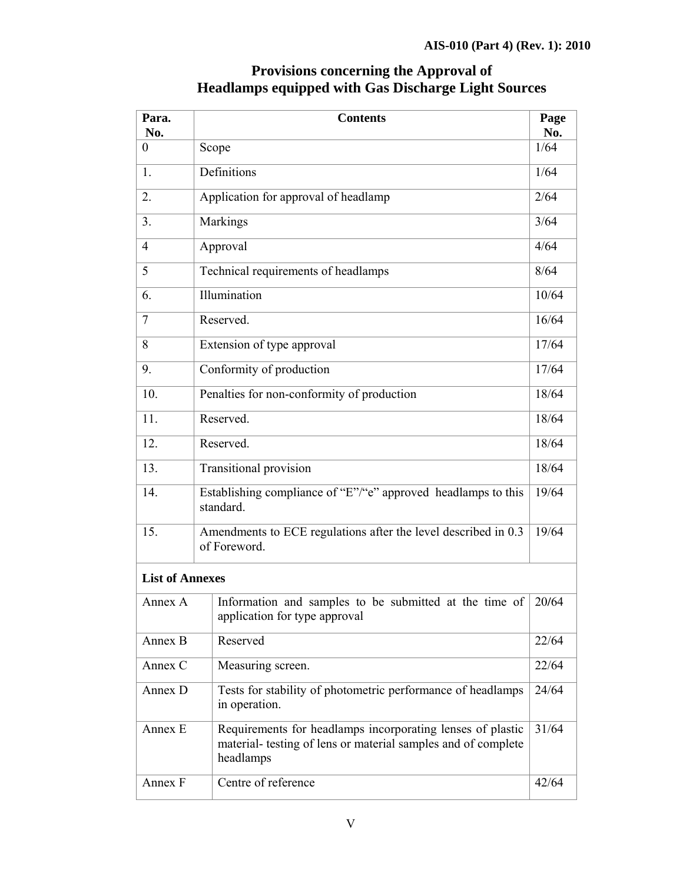| Para.<br>No.           | <b>Contents</b>                                                                                                                          | Page<br>No. |  |
|------------------------|------------------------------------------------------------------------------------------------------------------------------------------|-------------|--|
| 0                      | Scope                                                                                                                                    | 1/64        |  |
| 1.                     | Definitions                                                                                                                              | 1/64        |  |
| 2.                     | Application for approval of headlamp                                                                                                     | 2/64        |  |
| 3.                     | Markings                                                                                                                                 | 3/64        |  |
| $\overline{4}$         | Approval                                                                                                                                 | 4/64        |  |
| 5                      | Technical requirements of headlamps                                                                                                      | 8/64        |  |
| 6.                     | Illumination                                                                                                                             | 10/64       |  |
| $\overline{7}$         | Reserved.                                                                                                                                | 16/64       |  |
| 8                      | Extension of type approval                                                                                                               | 17/64       |  |
| 9.                     | Conformity of production                                                                                                                 |             |  |
| 10.                    | Penalties for non-conformity of production                                                                                               |             |  |
| 11.                    | Reserved.                                                                                                                                |             |  |
| 12.                    | Reserved.                                                                                                                                |             |  |
| 13.                    | <b>Transitional provision</b>                                                                                                            | 18/64       |  |
| 14.                    | Establishing compliance of "E"/"e" approved headlamps to this<br>standard.                                                               | 19/64       |  |
| 15.                    | Amendments to ECE regulations after the level described in 0.3<br>of Foreword.                                                           | 19/64       |  |
| <b>List of Annexes</b> |                                                                                                                                          |             |  |
| Annex A                | Information and samples to be submitted at the time of $\vert$ 20/64<br>application for type approval                                    |             |  |
| Annex B                | Reserved                                                                                                                                 | 22/64       |  |
| Annex C                | Measuring screen.                                                                                                                        | 22/64       |  |
| Annex D                | Tests for stability of photometric performance of headlamps<br>in operation.                                                             | 24/64       |  |
| Annex E                | Requirements for headlamps incorporating lenses of plastic<br>material- testing of lens or material samples and of complete<br>headlamps |             |  |

# **Provisions concerning the Approval of Headlamps equipped with Gas Discharge Light Sources**

Annex F Centre of reference 42/64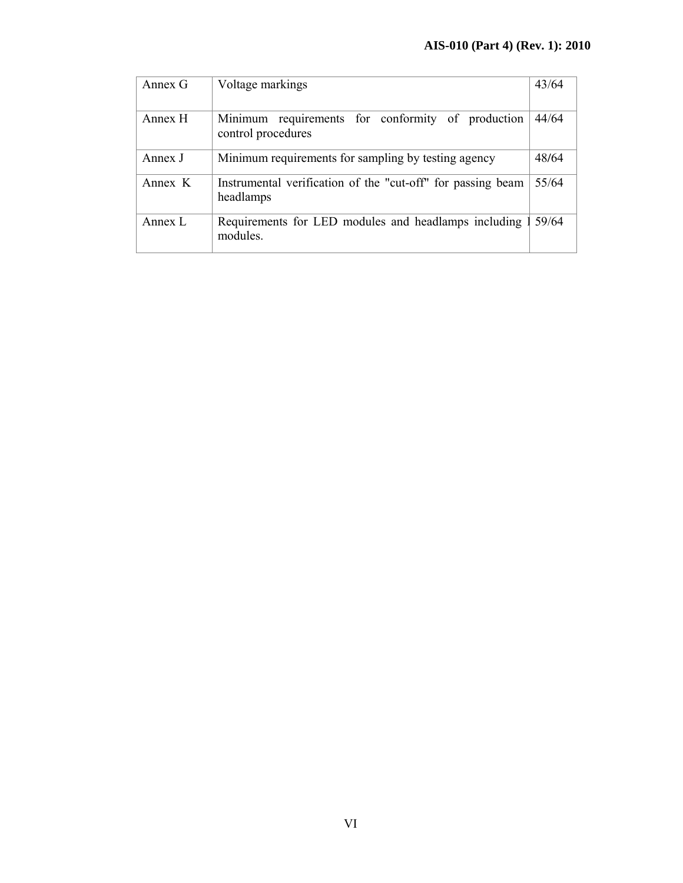| Annex G | Voltage markings                                                         | 43/64 |
|---------|--------------------------------------------------------------------------|-------|
| Annex H | Minimum requirements for conformity of production<br>control procedures  | 44/64 |
| Annex J | Minimum requirements for sampling by testing agency                      | 48/64 |
| Annex K | Instrumental verification of the "cut-off" for passing beam<br>headlamps | 55/64 |
| Annex L | Requirements for LED modules and headlamps including<br>modules.         | 59/64 |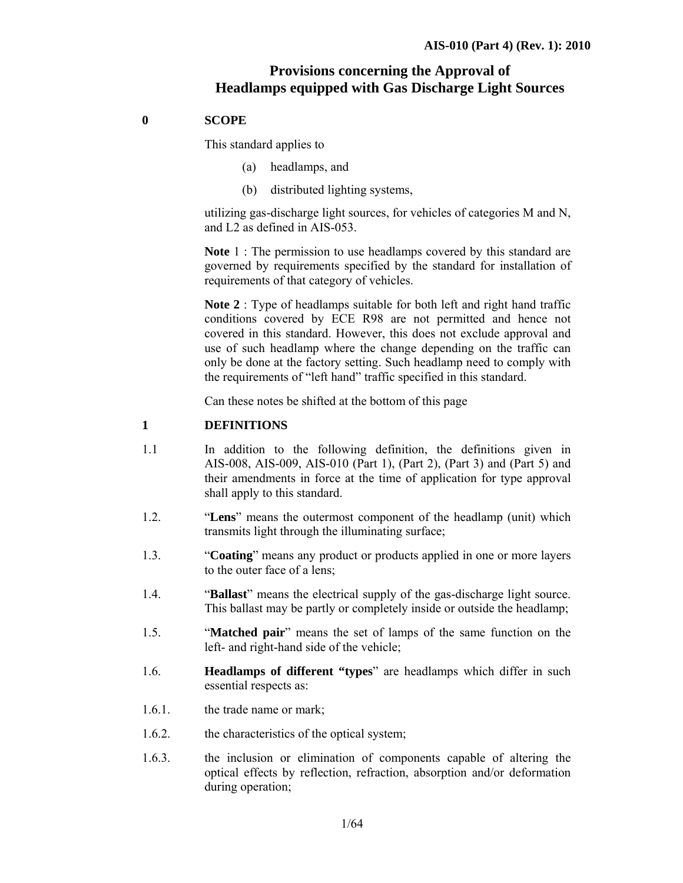# **Provisions concerning the Approval of Headlamps equipped with Gas Discharge Light Sources**

## **0 SCOPE**

This standard applies to

- (a) headlamps, and
- (b) distributed lighting systems,

utilizing gas-discharge light sources, for vehicles of categories M and N, and L2 as defined in AIS-053.

**Note** 1 : The permission to use headlamps covered by this standard are governed by requirements specified by the standard for installation of requirements of that category of vehicles.

**Note 2** : Type of headlamps suitable for both left and right hand traffic conditions covered by ECE R98 are not permitted and hence not covered in this standard. However, this does not exclude approval and use of such headlamp where the change depending on the traffic can only be done at the factory setting. Such headlamp need to comply with the requirements of "left hand" traffic specified in this standard.

Can these notes be shifted at the bottom of this page

## **1 DEFINITIONS**

- 1.1 In addition to the following definition, the definitions given in AIS-008, AIS-009, AIS-010 (Part 1), (Part 2), (Part 3) and (Part 5) and their amendments in force at the time of application for type approval shall apply to this standard.
- 1.2. "**Lens**" means the outermost component of the headlamp (unit) which transmits light through the illuminating surface;
- 1.3. "**Coating**" means any product or products applied in one or more layers to the outer face of a lens;
- 1.4. "**Ballast**" means the electrical supply of the gas-discharge light source. This ballast may be partly or completely inside or outside the headlamp;
- 1.5. "**Matched pair**" means the set of lamps of the same function on the left- and right-hand side of the vehicle;
- 1.6. **Headlamps of different "types**" are headlamps which differ in such essential respects as:
- 1.6.1. the trade name or mark;
- 1.6.2. the characteristics of the optical system;
- 1.6.3. the inclusion or elimination of components capable of altering the optical effects by reflection, refraction, absorption and/or deformation during operation;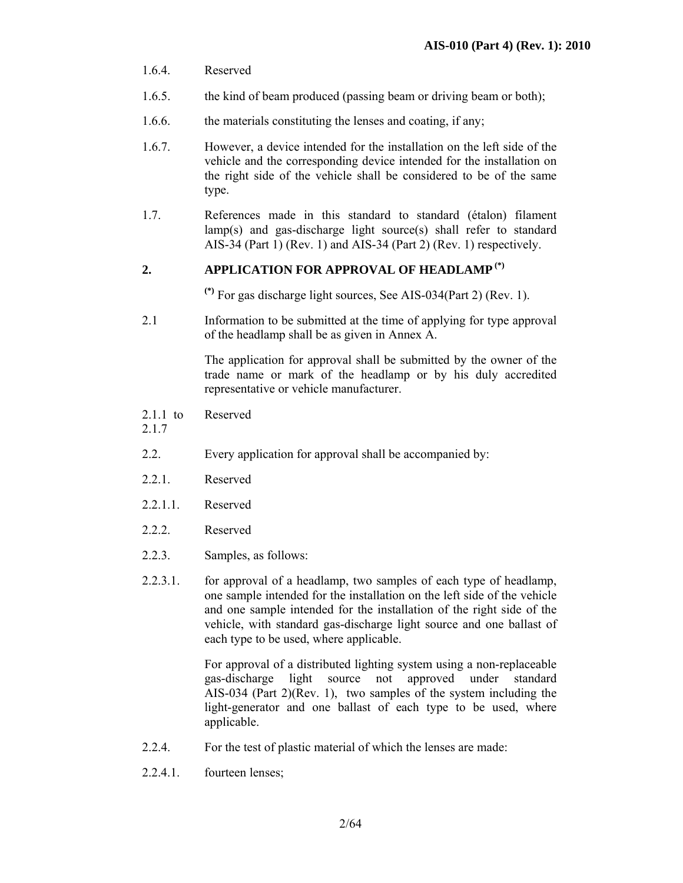- 1.6.4. Reserved
- 1.6.5. the kind of beam produced (passing beam or driving beam or both);
- 1.6.6. the materials constituting the lenses and coating, if any;
- 1.6.7. However, a device intended for the installation on the left side of the vehicle and the corresponding device intended for the installation on the right side of the vehicle shall be considered to be of the same type.
- 1.7. References made in this standard to standard (étalon) filament lamp(s) and gas-discharge light source(s) shall refer to standard AIS-34 (Part 1) (Rev. 1) and AIS-34 (Part 2) (Rev. 1) respectively.

## **2. APPLICATION FOR APPROVAL OF HEADLAMP (\*)**

**(\*)** For gas discharge light sources, See AIS-034(Part 2) (Rev. 1).

2.1 Information to be submitted at the time of applying for type approval of the headlamp shall be as given in Annex A.

> The application for approval shall be submitted by the owner of the trade name or mark of the headlamp or by his duly accredited representative or vehicle manufacturer.

- 2.1.1 to Reserved
- 2.1.7
- 2.2. Every application for approval shall be accompanied by:
- 2.2.1. Reserved
- 2.2.1.1. Reserved
- 2.2.2. Reserved
- 2.2.3. Samples, as follows:
- 2.2.3.1. for approval of a headlamp, two samples of each type of headlamp, one sample intended for the installation on the left side of the vehicle and one sample intended for the installation of the right side of the vehicle, with standard gas-discharge light source and one ballast of each type to be used, where applicable.

For approval of a distributed lighting system using a non-replaceable gas-discharge light source not approved under standard AIS-034 (Part 2)(Rev. 1), two samples of the system including the light-generator and one ballast of each type to be used, where applicable.

- 2.2.4. For the test of plastic material of which the lenses are made:
- 2.2.4.1. fourteen lenses;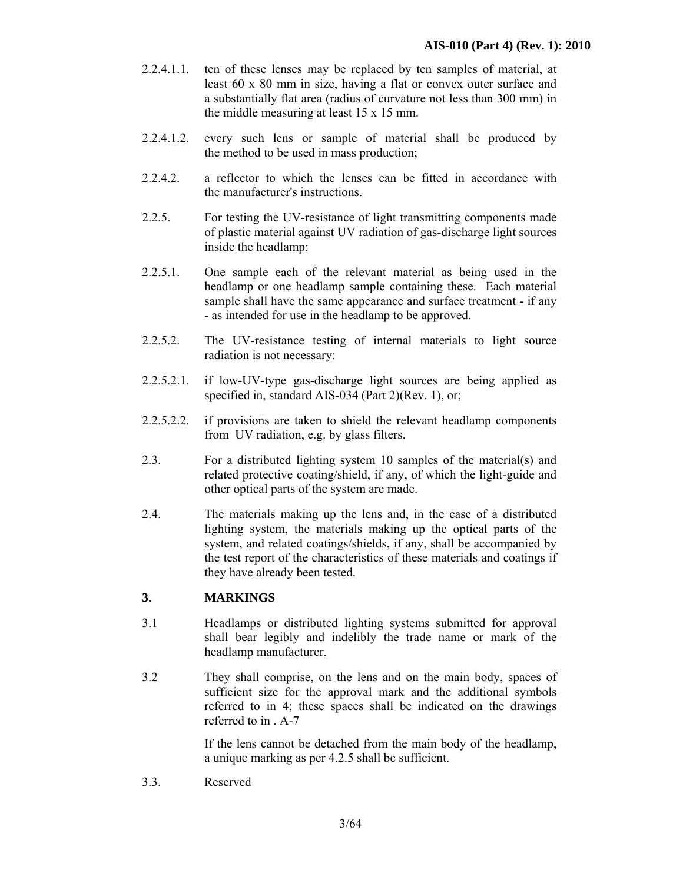- 2.2.4.1.1. ten of these lenses may be replaced by ten samples of material, at least 60 x 80 mm in size, having a flat or convex outer surface and a substantially flat area (radius of curvature not less than 300 mm) in the middle measuring at least 15 x 15 mm.
- 2.2.4.1.2. every such lens or sample of material shall be produced by the method to be used in mass production;
- 2.2.4.2. a reflector to which the lenses can be fitted in accordance with the manufacturer's instructions.
- 2.2.5. For testing the UV-resistance of light transmitting components made of plastic material against UV radiation of gas-discharge light sources inside the headlamp:
- 2.2.5.1. One sample each of the relevant material as being used in the headlamp or one headlamp sample containing these. Each material sample shall have the same appearance and surface treatment - if any - as intended for use in the headlamp to be approved.
- 2.2.5.2. The UV-resistance testing of internal materials to light source radiation is not necessary:
- 2.2.5.2.1. if low-UV-type gas-discharge light sources are being applied as specified in, standard AIS-034 (Part 2)(Rev. 1), or;
- 2.2.5.2.2. if provisions are taken to shield the relevant headlamp components from UV radiation, e.g. by glass filters.
- 2.3. For a distributed lighting system 10 samples of the material(s) and related protective coating/shield, if any, of which the light-guide and other optical parts of the system are made.
- 2.4. The materials making up the lens and, in the case of a distributed lighting system, the materials making up the optical parts of the system, and related coatings/shields, if any, shall be accompanied by the test report of the characteristics of these materials and coatings if they have already been tested.

## **3. MARKINGS**

- 3.1 Headlamps or distributed lighting systems submitted for approval shall bear legibly and indelibly the trade name or mark of the headlamp manufacturer.
- 3.2 They shall comprise, on the lens and on the main body, spaces of sufficient size for the approval mark and the additional symbols referred to in 4; these spaces shall be indicated on the drawings referred to in . A-7

If the lens cannot be detached from the main body of the headlamp, a unique marking as per 4.2.5 shall be sufficient.

3.3. Reserved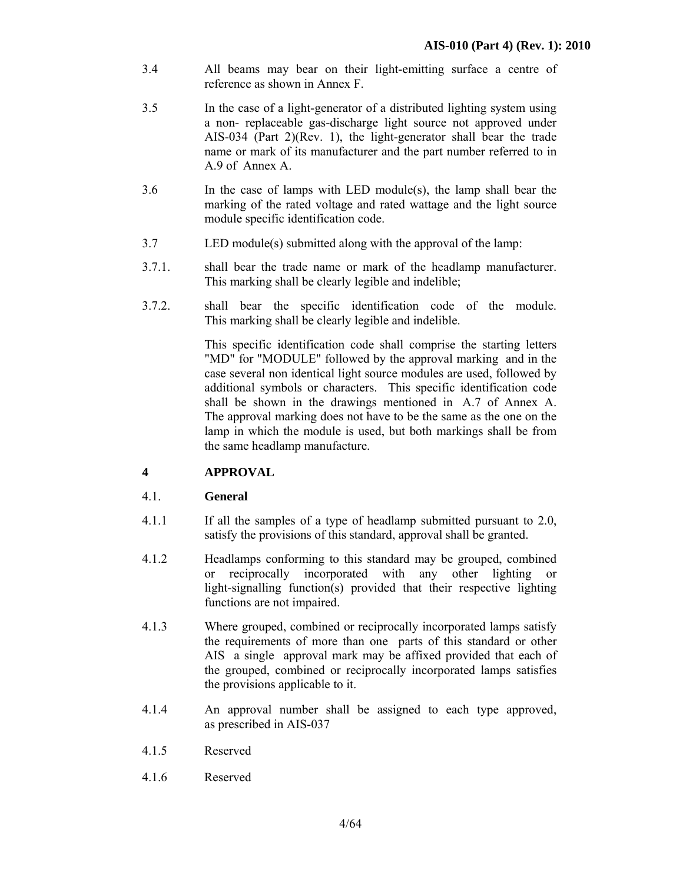- 3.4 All beams may bear on their light-emitting surface a centre of reference as shown in Annex F.
- 3.5 In the case of a light-generator of a distributed lighting system using a non- replaceable gas-discharge light source not approved under AIS-034 (Part 2)(Rev. 1), the light-generator shall bear the trade name or mark of its manufacturer and the part number referred to in A.9 of Annex A.
- 3.6 In the case of lamps with LED module(s), the lamp shall bear the marking of the rated voltage and rated wattage and the light source module specific identification code.
- 3.7 LED module(s) submitted along with the approval of the lamp:
- 3.7.1. shall bear the trade name or mark of the headlamp manufacturer. This marking shall be clearly legible and indelible;
- 3.7.2. shall bear the specific identification code of the module. This marking shall be clearly legible and indelible.

 This specific identification code shall comprise the starting letters "MD" for "MODULE" followed by the approval marking and in the case several non identical light source modules are used, followed by additional symbols or characters. This specific identification code shall be shown in the drawings mentioned in A.7 of Annex A. The approval marking does not have to be the same as the one on the lamp in which the module is used, but both markings shall be from the same headlamp manufacture.

## **4 APPROVAL**

#### 4.1. **General**

- 4.1.1 If all the samples of a type of headlamp submitted pursuant to 2.0, satisfy the provisions of this standard, approval shall be granted.
- 4.1.2 Headlamps conforming to this standard may be grouped, combined or reciprocally incorporated with any other lighting or light-signalling function(s) provided that their respective lighting functions are not impaired.
- 4.1.3 Where grouped, combined or reciprocally incorporated lamps satisfy the requirements of more than one parts of this standard or other AIS a single approval mark may be affixed provided that each of the grouped, combined or reciprocally incorporated lamps satisfies the provisions applicable to it.
- 4.1.4 An approval number shall be assigned to each type approved, as prescribed in AIS-037
- 4.1.5 Reserved
- 4.1.6 Reserved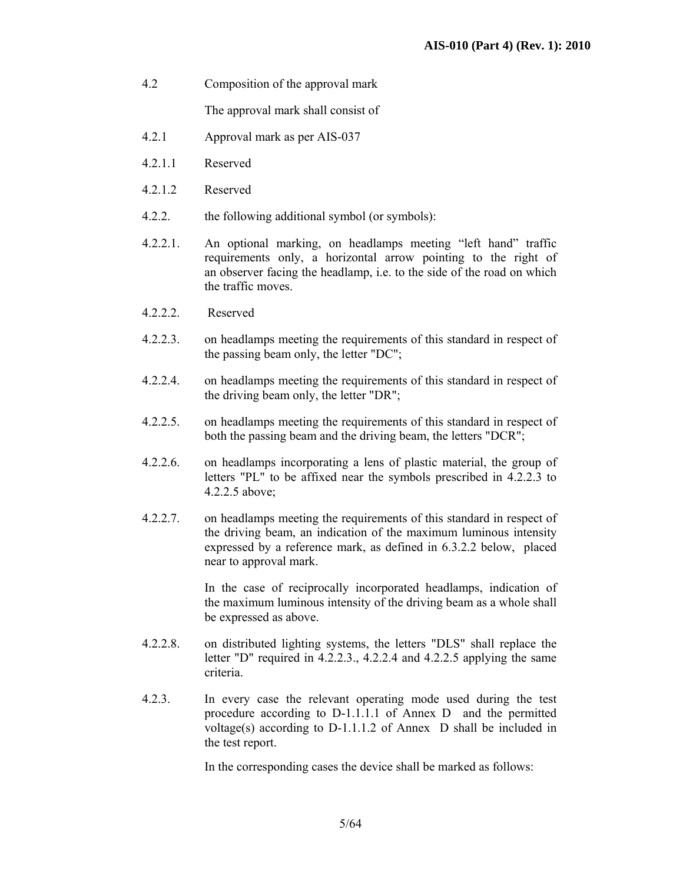4.2 Composition of the approval mark

The approval mark shall consist of

- 4.2.1 Approval mark as per AIS-037
- 4.2.1.1 Reserved
- 4.2.1.2 Reserved
- 4.2.2. the following additional symbol (or symbols):
- 4.2.2.1. An optional marking, on headlamps meeting "left hand" traffic requirements only, a horizontal arrow pointing to the right of an observer facing the headlamp, i.e. to the side of the road on which the traffic moves.
- 4.2.2.2. Reserved
- 4.2.2.3. on headlamps meeting the requirements of this standard in respect of the passing beam only, the letter "DC";
- 4.2.2.4. on headlamps meeting the requirements of this standard in respect of the driving beam only, the letter "DR";
- 4.2.2.5. on headlamps meeting the requirements of this standard in respect of both the passing beam and the driving beam, the letters "DCR";
- 4.2.2.6. on headlamps incorporating a lens of plastic material, the group of letters "PL" to be affixed near the symbols prescribed in 4.2.2.3 to 4.2.2.5 above;
- 4.2.2.7. on headlamps meeting the requirements of this standard in respect of the driving beam, an indication of the maximum luminous intensity expressed by a reference mark, as defined in 6.3.2.2 below, placed near to approval mark.

 In the case of reciprocally incorporated headlamps, indication of the maximum luminous intensity of the driving beam as a whole shall be expressed as above.

- 4.2.2.8. on distributed lighting systems, the letters "DLS" shall replace the letter "D" required in 4.2.2.3., 4.2.2.4 and 4.2.2.5 applying the same criteria.
- 4.2.3. In every case the relevant operating mode used during the test procedure according to D-1.1.1.1 of Annex D and the permitted voltage(s) according to D-1.1.1.2 of Annex D shall be included in the test report.

In the corresponding cases the device shall be marked as follows: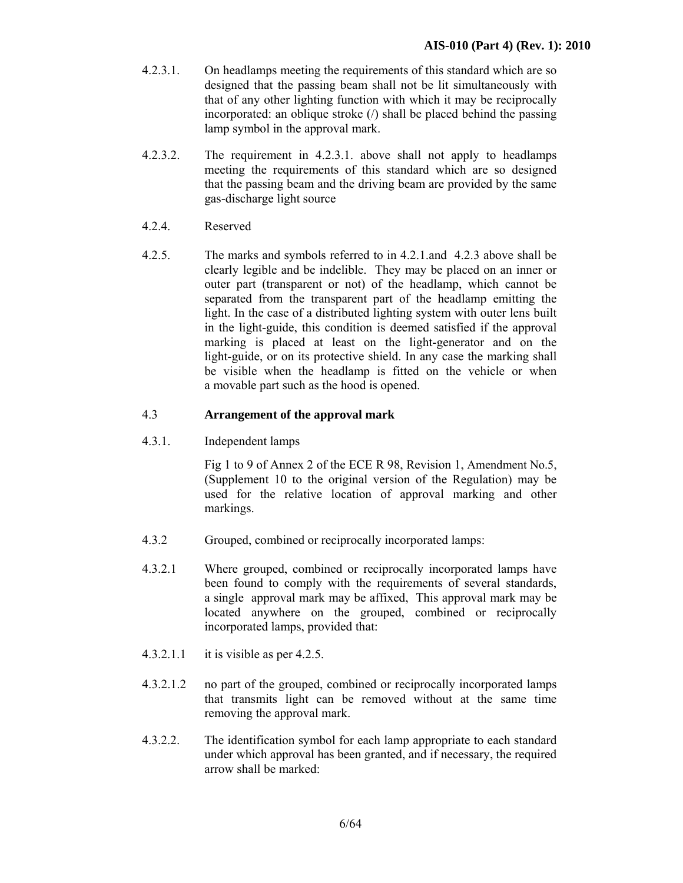- 4.2.3.1. On headlamps meeting the requirements of this standard which are so designed that the passing beam shall not be lit simultaneously with that of any other lighting function with which it may be reciprocally incorporated: an oblique stroke  $($ ) shall be placed behind the passing lamp symbol in the approval mark.
- 4.2.3.2. The requirement in 4.2.3.1. above shall not apply to headlamps meeting the requirements of this standard which are so designed that the passing beam and the driving beam are provided by the same gas-discharge light source
- 4.2.4. Reserved
- 4.2.5. The marks and symbols referred to in 4.2.1.and 4.2.3 above shall be clearly legible and be indelible. They may be placed on an inner or outer part (transparent or not) of the headlamp, which cannot be separated from the transparent part of the headlamp emitting the light. In the case of a distributed lighting system with outer lens built in the light-guide, this condition is deemed satisfied if the approval marking is placed at least on the light-generator and on the light-guide, or on its protective shield. In any case the marking shall be visible when the headlamp is fitted on the vehicle or when a movable part such as the hood is opened.

## 4.3 **Arrangement of the approval mark**

4.3.1. Independent lamps

 Fig 1 to 9 of Annex 2 of the ECE R 98, Revision 1, Amendment No.5, (Supplement 10 to the original version of the Regulation) may be used for the relative location of approval marking and other markings.

- 4.3.2 Grouped, combined or reciprocally incorporated lamps:
- 4.3.2.1 Where grouped, combined or reciprocally incorporated lamps have been found to comply with the requirements of several standards, a single approval mark may be affixed, This approval mark may be located anywhere on the grouped, combined or reciprocally incorporated lamps, provided that:
- 4.3.2.1.1 it is visible as per 4.2.5.
- 4.3.2.1.2 no part of the grouped, combined or reciprocally incorporated lamps that transmits light can be removed without at the same time removing the approval mark.
- 4.3.2.2. The identification symbol for each lamp appropriate to each standard under which approval has been granted, and if necessary, the required arrow shall be marked: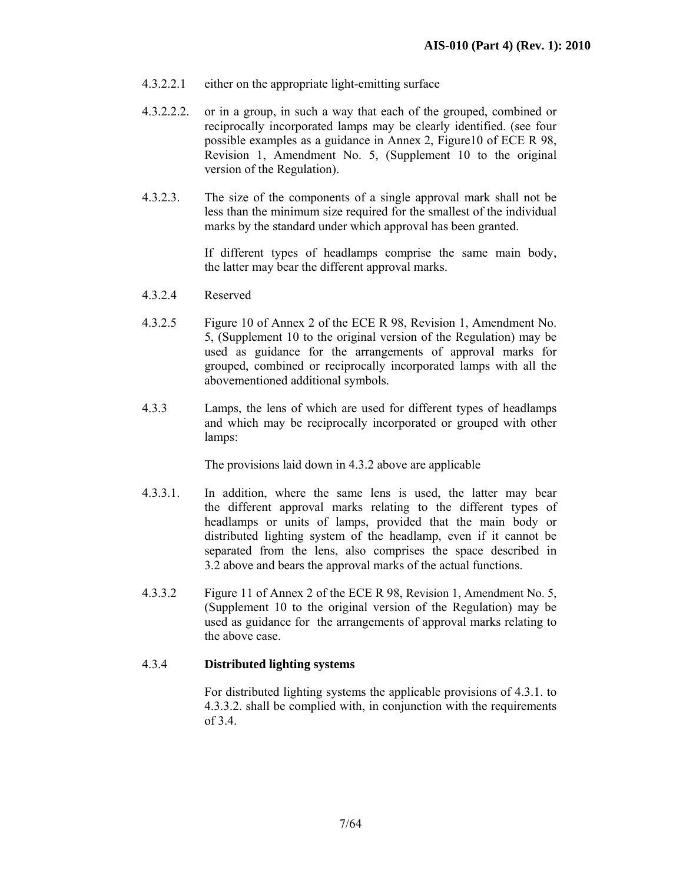- 4.3.2.2.1 either on the appropriate light-emitting surface
- 4.3.2.2.2. or in a group, in such a way that each of the grouped, combined or reciprocally incorporated lamps may be clearly identified. (see four possible examples as a guidance in Annex 2, Figure10 of ECE R 98, Revision 1, Amendment No. 5, (Supplement 10 to the original version of the Regulation).
- 4.3.2.3. The size of the components of a single approval mark shall not be less than the minimum size required for the smallest of the individual marks by the standard under which approval has been granted.

If different types of headlamps comprise the same main body, the latter may bear the different approval marks.

- 4.3.2.4 Reserved
- 4.3.2.5 Figure 10 of Annex 2 of the ECE R 98, Revision 1, Amendment No. 5, (Supplement 10 to the original version of the Regulation) may be used as guidance for the arrangements of approval marks for grouped, combined or reciprocally incorporated lamps with all the abovementioned additional symbols.
- 4.3.3 Lamps, the lens of which are used for different types of headlamps and which may be reciprocally incorporated or grouped with other lamps:

The provisions laid down in 4.3.2 above are applicable

- 4.3.3.1. In addition, where the same lens is used, the latter may bear the different approval marks relating to the different types of headlamps or units of lamps, provided that the main body or distributed lighting system of the headlamp, even if it cannot be separated from the lens, also comprises the space described in 3.2 above and bears the approval marks of the actual functions.
- 4.3.3.2 Figure 11 of Annex 2 of the ECE R 98, Revision 1, Amendment No. 5, (Supplement 10 to the original version of the Regulation) may be used as guidance for the arrangements of approval marks relating to the above case.

#### 4.3.4 **Distributed lighting systems**

For distributed lighting systems the applicable provisions of 4.3.1. to 4.3.3.2. shall be complied with, in conjunction with the requirements of 3.4.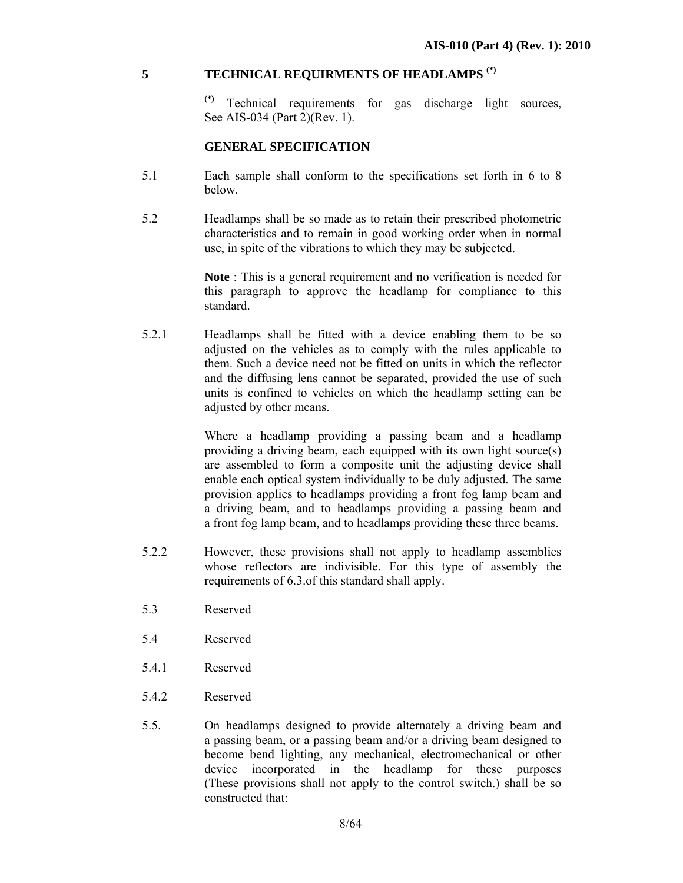## **5 TECHNICAL REQUIRMENTS OF HEADLAMPS (\*)**

**(\*)** Technical requirements for gas discharge light sources, See AIS-034 (Part 2)(Rev. 1).

#### **GENERAL SPECIFICATION**

- 5.1 Each sample shall conform to the specifications set forth in 6 to 8 below.
- 5.2 Headlamps shall be so made as to retain their prescribed photometric characteristics and to remain in good working order when in normal use, in spite of the vibrations to which they may be subjected.

**Note** : This is a general requirement and no verification is needed for this paragraph to approve the headlamp for compliance to this standard.

5.2.1 Headlamps shall be fitted with a device enabling them to be so adjusted on the vehicles as to comply with the rules applicable to them. Such a device need not be fitted on units in which the reflector and the diffusing lens cannot be separated, provided the use of such units is confined to vehicles on which the headlamp setting can be adjusted by other means.

> Where a headlamp providing a passing beam and a headlamp providing a driving beam, each equipped with its own light source(s) are assembled to form a composite unit the adjusting device shall enable each optical system individually to be duly adjusted. The same provision applies to headlamps providing a front fog lamp beam and a driving beam, and to headlamps providing a passing beam and a front fog lamp beam, and to headlamps providing these three beams.

- 5.2.2 However, these provisions shall not apply to headlamp assemblies whose reflectors are indivisible. For this type of assembly the requirements of 6.3.of this standard shall apply.
- 5.3 Reserved
- 5.4 Reserved
- 5.4.1 Reserved
- 5.4.2 Reserved
- 5.5. On headlamps designed to provide alternately a driving beam and a passing beam, or a passing beam and/or a driving beam designed to become bend lighting, any mechanical, electromechanical or other device incorporated in the headlamp for these purposes (These provisions shall not apply to the control switch.) shall be so constructed that: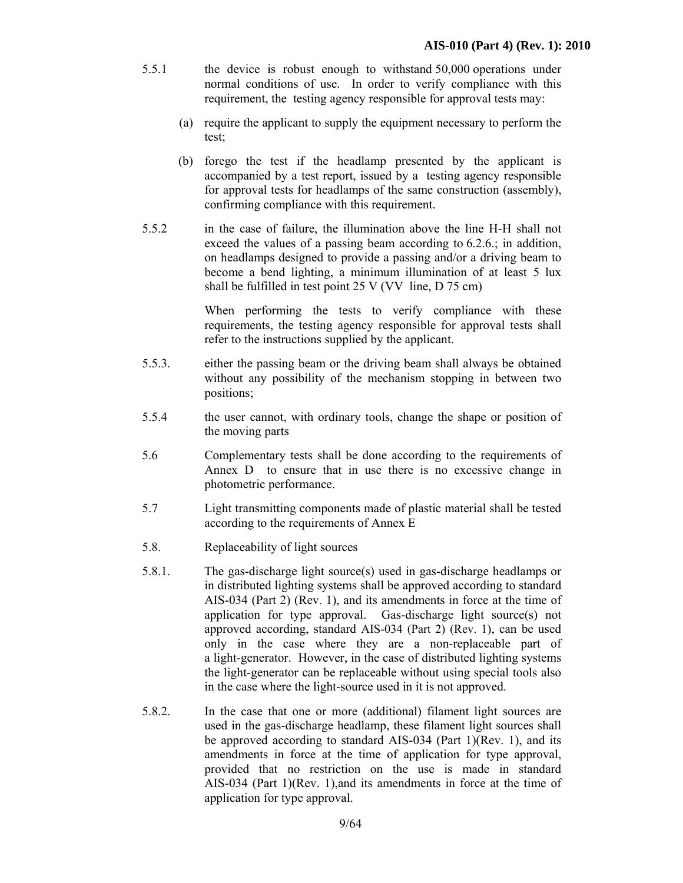- 5.5.1 the device is robust enough to withstand 50,000 operations under normal conditions of use. In order to verify compliance with this requirement, the testing agency responsible for approval tests may:
	- (a) require the applicant to supply the equipment necessary to perform the test;
	- (b) forego the test if the headlamp presented by the applicant is accompanied by a test report, issued by a testing agency responsible for approval tests for headlamps of the same construction (assembly), confirming compliance with this requirement.
- 5.5.2 in the case of failure, the illumination above the line H-H shall not exceed the values of a passing beam according to 6.2.6.; in addition, on headlamps designed to provide a passing and/or a driving beam to become a bend lighting, a minimum illumination of at least 5 lux shall be fulfilled in test point 25 V (VV line, D 75 cm)

 When performing the tests to verify compliance with these requirements, the testing agency responsible for approval tests shall refer to the instructions supplied by the applicant.

- 5.5.3. either the passing beam or the driving beam shall always be obtained without any possibility of the mechanism stopping in between two positions;
- 5.5.4 the user cannot, with ordinary tools, change the shape or position of the moving parts
- 5.6 Complementary tests shall be done according to the requirements of Annex D to ensure that in use there is no excessive change in photometric performance.
- 5.7 Light transmitting components made of plastic material shall be tested according to the requirements of Annex E
- 5.8. Replaceability of light sources
- 5.8.1. The gas-discharge light source(s) used in gas-discharge headlamps or in distributed lighting systems shall be approved according to standard AIS-034 (Part 2) (Rev. 1), and its amendments in force at the time of application for type approval. Gas-discharge light source(s) not approved according, standard AIS-034 (Part 2) (Rev. 1), can be used only in the case where they are a non-replaceable part of a light-generator. However, in the case of distributed lighting systems the light-generator can be replaceable without using special tools also in the case where the light-source used in it is not approved.
- 5.8.2. In the case that one or more (additional) filament light sources are used in the gas-discharge headlamp, these filament light sources shall be approved according to standard AIS-034 (Part 1)(Rev. 1), and its amendments in force at the time of application for type approval, provided that no restriction on the use is made in standard AIS-034 (Part 1)(Rev. 1),and its amendments in force at the time of application for type approval.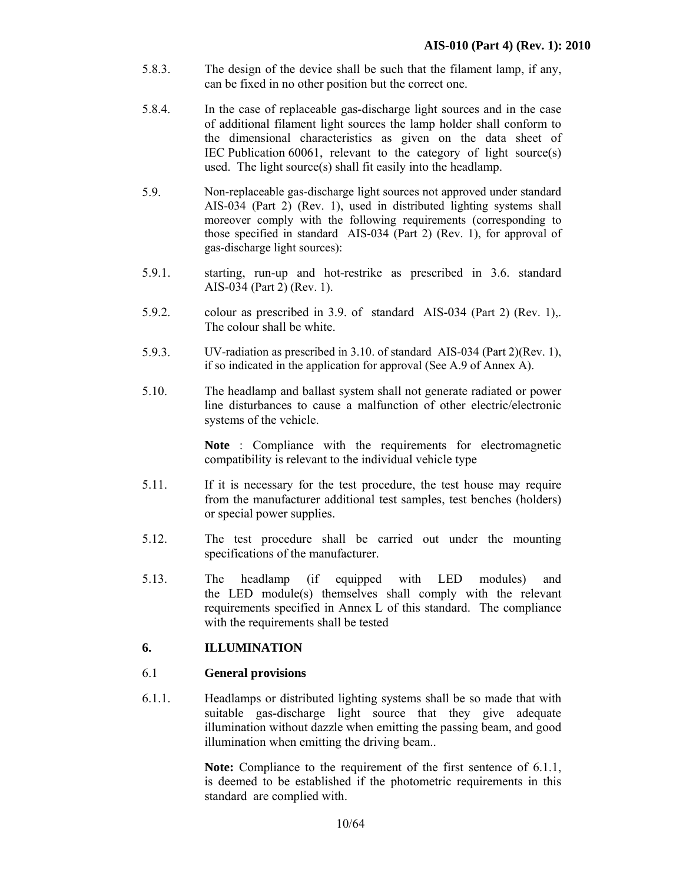- 5.8.3. The design of the device shall be such that the filament lamp, if any, can be fixed in no other position but the correct one.
- 5.8.4. In the case of replaceable gas-discharge light sources and in the case of additional filament light sources the lamp holder shall conform to the dimensional characteristics as given on the data sheet of IEC Publication 60061, relevant to the category of light source(s) used. The light source(s) shall fit easily into the headlamp.
- 5.9. Non-replaceable gas-discharge light sources not approved under standard AIS-034 (Part 2) (Rev. 1), used in distributed lighting systems shall moreover comply with the following requirements (corresponding to those specified in standard AIS-034 (Part 2) (Rev. 1), for approval of gas-discharge light sources):
- 5.9.1. starting, run-up and hot-restrike as prescribed in 3.6. standard AIS-034 (Part 2) (Rev. 1).
- 5.9.2. colour as prescribed in 3.9. of standard AIS-034 (Part 2) (Rev. 1),. The colour shall be white.
- 5.9.3. UV-radiation as prescribed in 3.10. of standard AIS-034 (Part 2)(Rev. 1), if so indicated in the application for approval (See A.9 of Annex A).
- 5.10. The headlamp and ballast system shall not generate radiated or power line disturbances to cause a malfunction of other electric/electronic systems of the vehicle.

**Note** : Compliance with the requirements for electromagnetic compatibility is relevant to the individual vehicle type

- 5.11. If it is necessary for the test procedure, the test house may require from the manufacturer additional test samples, test benches (holders) or special power supplies.
- 5.12. The test procedure shall be carried out under the mounting specifications of the manufacturer.
- 5.13. The headlamp (if equipped with LED modules) and the LED module(s) themselves shall comply with the relevant requirements specified in Annex L of this standard. The compliance with the requirements shall be tested

## **6. ILLUMINATION**

#### 6.1 **General provisions**

6.1.1. Headlamps or distributed lighting systems shall be so made that with suitable gas-discharge light source that they give adequate illumination without dazzle when emitting the passing beam, and good illumination when emitting the driving beam..

> **Note:** Compliance to the requirement of the first sentence of 6.1.1, is deemed to be established if the photometric requirements in this standard are complied with.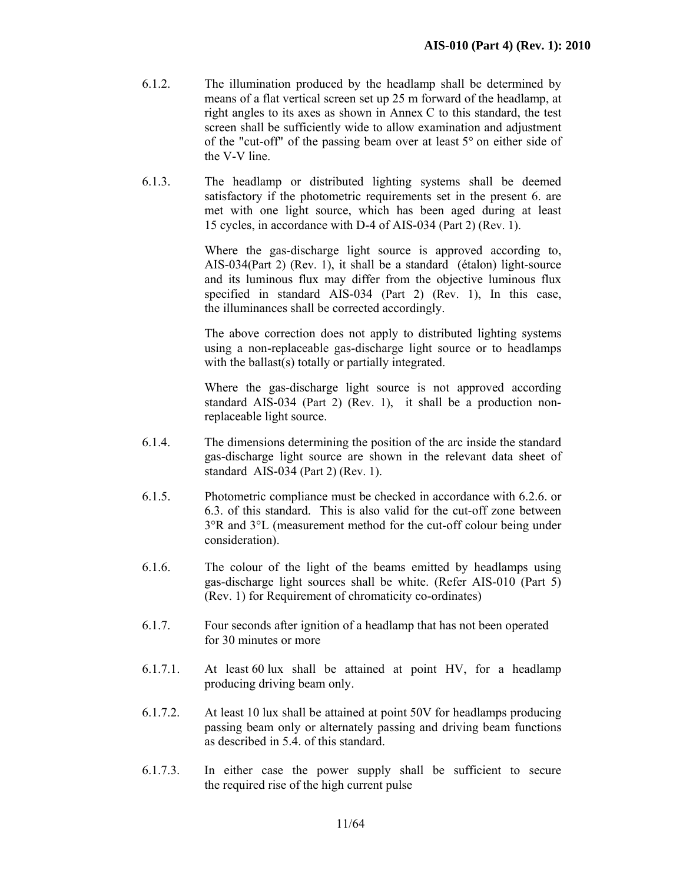- 6.1.2. The illumination produced by the headlamp shall be determined by means of a flat vertical screen set up 25 m forward of the headlamp, at right angles to its axes as shown in Annex C to this standard, the test screen shall be sufficiently wide to allow examination and adjustment of the "cut-off" of the passing beam over at least 5° on either side of the V-V line.
- 6.1.3. The headlamp or distributed lighting systems shall be deemed satisfactory if the photometric requirements set in the present 6. are met with one light source, which has been aged during at least 15 cycles, in accordance with D-4 of AIS-034 (Part 2) (Rev. 1).

 Where the gas-discharge light source is approved according to, AIS-034(Part 2) (Rev. 1), it shall be a standard (étalon) light-source and its luminous flux may differ from the objective luminous flux specified in standard AIS-034 (Part 2) (Rev. 1), In this case, the illuminances shall be corrected accordingly.

 The above correction does not apply to distributed lighting systems using a non-replaceable gas-discharge light source or to headlamps with the ballast(s) totally or partially integrated.

 Where the gas-discharge light source is not approved according standard AIS-034 (Part 2) (Rev. 1), it shall be a production nonreplaceable light source.

- 6.1.4. The dimensions determining the position of the arc inside the standard gas-discharge light source are shown in the relevant data sheet of standard AIS-034 (Part 2) (Rev. 1).
- 6.1.5. Photometric compliance must be checked in accordance with 6.2.6. or 6.3. of this standard. This is also valid for the cut-off zone between 3°R and 3°L (measurement method for the cut-off colour being under consideration).
- 6.1.6. The colour of the light of the beams emitted by headlamps using gas-discharge light sources shall be white. (Refer AIS-010 (Part 5) (Rev. 1) for Requirement of chromaticity co-ordinates)
- 6.1.7. Four seconds after ignition of a headlamp that has not been operated for 30 minutes or more
- 6.1.7.1. At least 60 lux shall be attained at point HV, for a headlamp producing driving beam only.
- 6.1.7.2. At least 10 lux shall be attained at point 50V for headlamps producing passing beam only or alternately passing and driving beam functions as described in 5.4. of this standard.
- 6.1.7.3. In either case the power supply shall be sufficient to secure the required rise of the high current pulse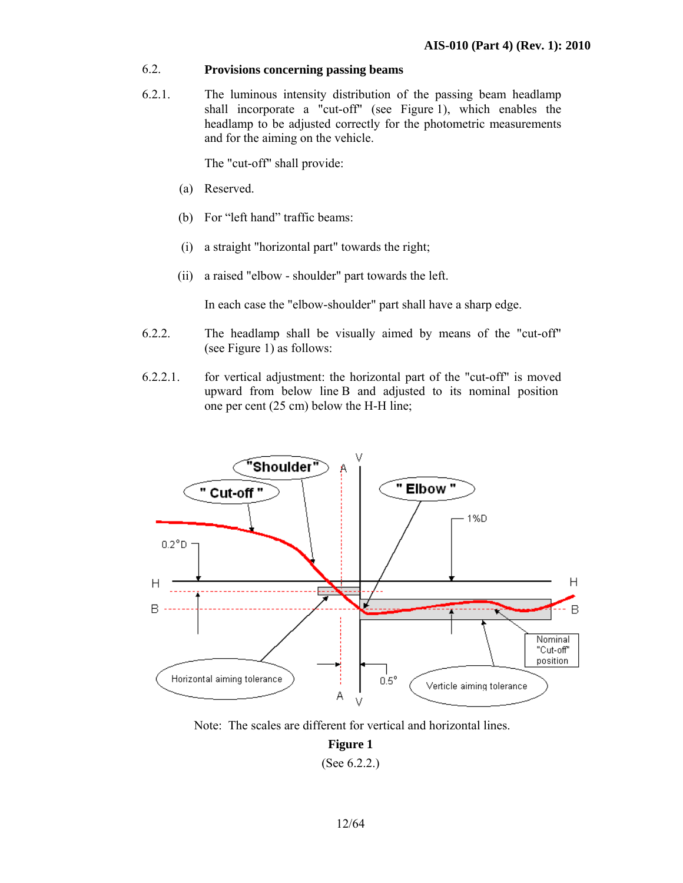## 6.2. **Provisions concerning passing beams**

6.2.1. The luminous intensity distribution of the passing beam headlamp shall incorporate a "cut-off" (see Figure 1), which enables the headlamp to be adjusted correctly for the photometric measurements and for the aiming on the vehicle.

The "cut-off" shall provide:

- (a) Reserved.
- (b) For "left hand" traffic beams:
- (i) a straight "horizontal part" towards the right;
- (ii) a raised "elbow shoulder" part towards the left.

In each case the "elbow-shoulder" part shall have a sharp edge.

- 6.2.2. The headlamp shall be visually aimed by means of the "cut-off" (see Figure 1) as follows:
- 6.2.2.1. for vertical adjustment: the horizontal part of the "cut-off" is moved upward from below line B and adjusted to its nominal position one per cent (25 cm) below the H-H line;



Note: The scales are different for vertical and horizontal lines.

**Figure 1** 

<sup>(</sup>See 6.2.2.)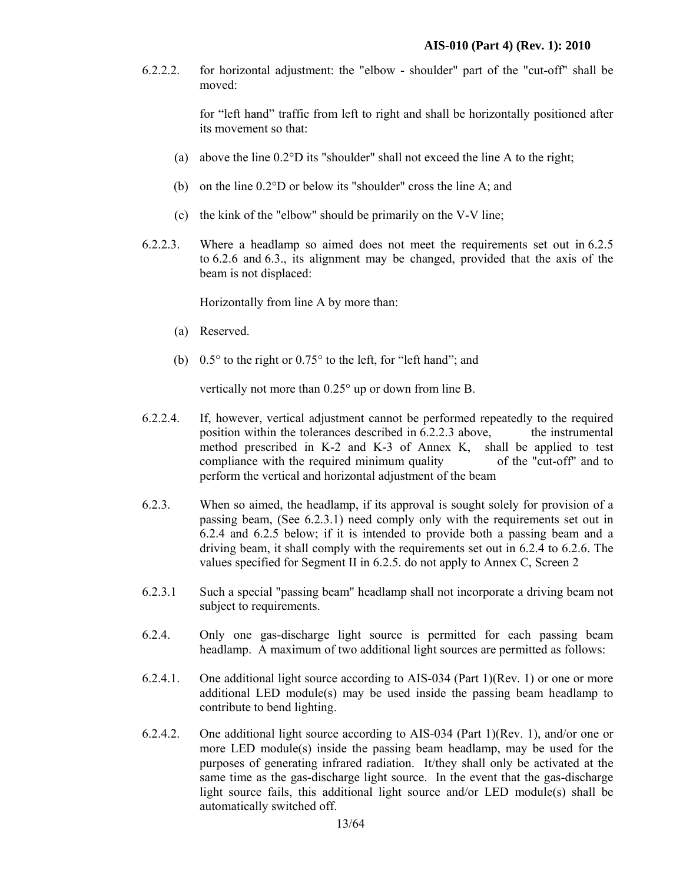6.2.2.2. for horizontal adjustment: the "elbow - shoulder" part of the "cut-off" shall be moved:

> for "left hand" traffic from left to right and shall be horizontally positioned after its movement so that:

- (a) above the line 0.2°D its "shoulder" shall not exceed the line A to the right;
- (b) on the line 0.2°D or below its "shoulder" cross the line A; and
- (c) the kink of the "elbow" should be primarily on the V-V line;
- 6.2.2.3. Where a headlamp so aimed does not meet the requirements set out in 6.2.5 to 6.2.6 and 6.3., its alignment may be changed, provided that the axis of the beam is not displaced:

Horizontally from line A by more than:

- (a) Reserved.
- (b) 0.5° to the right or 0.75° to the left, for "left hand"; and

vertically not more than 0.25° up or down from line B.

- 6.2.2.4. If, however, vertical adjustment cannot be performed repeatedly to the required position within the tolerances described in 6.2.2.3 above, the instrumental method prescribed in K-2 and K-3 of Annex K, shall be applied to test compliance with the required minimum quality of the "cut-off" and to perform the vertical and horizontal adjustment of the beam
- 6.2.3. When so aimed, the headlamp, if its approval is sought solely for provision of a passing beam, (See 6.2.3.1) need comply only with the requirements set out in 6.2.4 and 6.2.5 below; if it is intended to provide both a passing beam and a driving beam, it shall comply with the requirements set out in 6.2.4 to 6.2.6. The values specified for Segment II in 6.2.5. do not apply to Annex C, Screen 2
- 6.2.3.1 Such a special "passing beam" headlamp shall not incorporate a driving beam not subject to requirements.
- 6.2.4. Only one gas-discharge light source is permitted for each passing beam headlamp. A maximum of two additional light sources are permitted as follows:
- 6.2.4.1. One additional light source according to AIS-034 (Part 1)(Rev. 1) or one or more additional LED module(s) may be used inside the passing beam headlamp to contribute to bend lighting.
- 6.2.4.2. One additional light source according to AIS-034 (Part 1)(Rev. 1), and/or one or more LED module(s) inside the passing beam headlamp, may be used for the purposes of generating infrared radiation. It/they shall only be activated at the same time as the gas-discharge light source. In the event that the gas-discharge light source fails, this additional light source and/or LED module(s) shall be automatically switched off.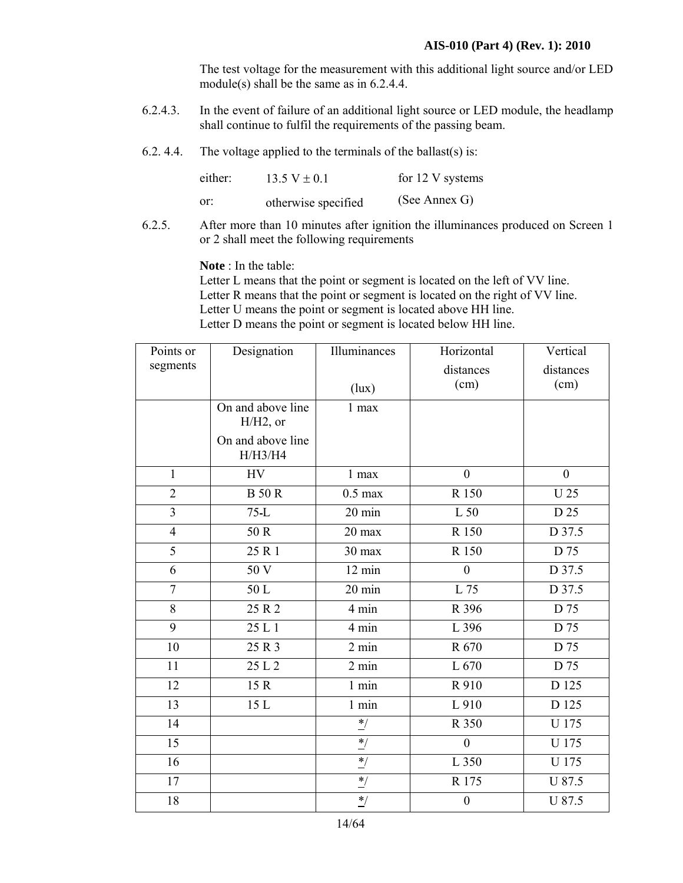The test voltage for the measurement with this additional light source and/or LED module(s) shall be the same as in 6.2.4.4.

- 6.2.4.3. In the event of failure of an additional light source or LED module, the headlamp shall continue to fulfil the requirements of the passing beam.
- 6.2. 4.4. The voltage applied to the terminals of the ballast(s) is:

| either: | 13.5 V $\pm$ 0.1    | for 12 V systems |
|---------|---------------------|------------------|
| or:     | otherwise specified | (See Annex G)    |

6.2.5. After more than 10 minutes after ignition the illuminances produced on Screen 1 or 2 shall meet the following requirements

**Note** : In the table:

 Letter L means that the point or segment is located on the left of VV line. Letter R means that the point or segment is located on the right of VV line. Letter U means the point or segment is located above HH line. Letter D means the point or segment is located below HH line.

| Points or       | Designation                      | Illuminances     | Horizontal       | Vertical       |
|-----------------|----------------------------------|------------------|------------------|----------------|
| segments        |                                  |                  | distances        | distances      |
|                 |                                  | (lux)            | (cm)             | (cm)           |
|                 | On and above line<br>$H/H2$ , or | 1 max            |                  |                |
|                 | On and above line<br>H/H3/H4     |                  |                  |                |
| $\mathbf{1}$    | <b>HV</b>                        | 1 max            | $\theta$         | $\overline{0}$ |
| $\overline{2}$  | <b>B</b> 50 R                    | $0.5$ max        | R 150            | <b>U25</b>     |
| $\overline{3}$  | $75-L$                           | $20 \text{ min}$ | L 50             | D 25           |
| $\overline{4}$  | 50 R                             | 20 max           | R 150            | D 37.5         |
| $\overline{5}$  | 25 R 1                           | 30 max           | R 150            | D 75           |
| 6               | 50 V                             | 12 min           | $\boldsymbol{0}$ | D 37.5         |
| $\overline{7}$  | 50L                              | 20 min           | L 75             | D 37.5         |
| 8               | 25 R 2                           | 4 min            | R 396            | D 75           |
| 9               | 25 L 1                           | 4 min            | L 396            | D 75           |
| 10              | 25 R 3                           | $2 \text{ min}$  | R 670            | D 75           |
| 11              | 25 L 2                           | $2 \text{ min}$  | L 670            | D 75           |
| 12              | 15 R                             | $1$ min          | R 910            | D 125          |
| $\overline{13}$ | 15 L                             | $1$ min          | L 910            | D 125          |
| 14              |                                  | $^*/$            | R 350            | U 175          |
| 15              |                                  | $^*/$            | $\overline{0}$   | U 175          |
| 16              |                                  | $^*/$            | L 350            | U 175          |
| 17              |                                  | $^*/$            | R 175            | U 87.5         |
| 18              |                                  | $^*/$            | $\boldsymbol{0}$ | U 87.5         |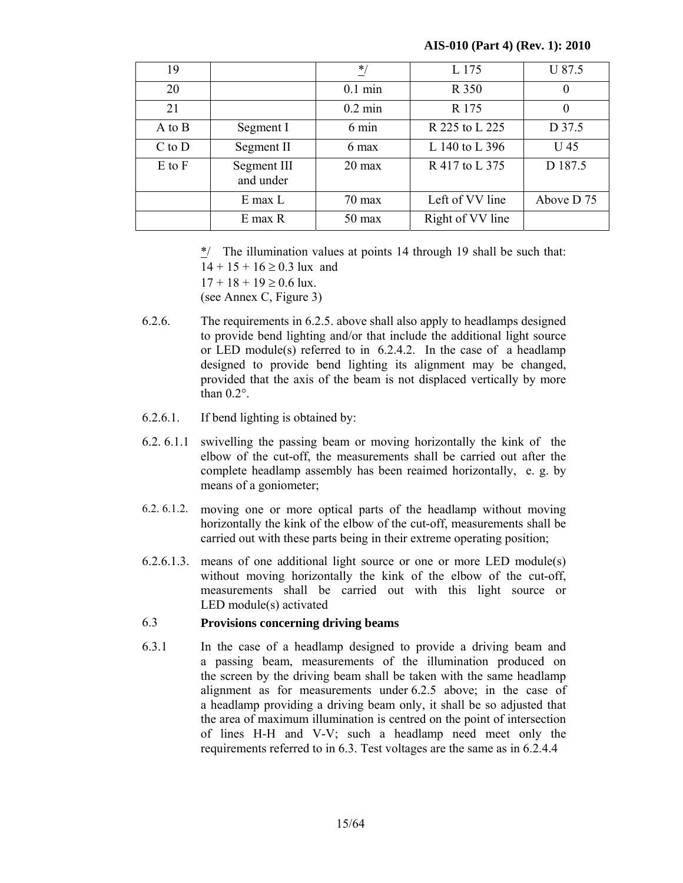#### **AIS-010 (Part 4) (Rev. 1): 2010**

| 19         |                          | $*$               | L 175            | U 87.5     |
|------------|--------------------------|-------------------|------------------|------------|
| 20         |                          | $0.1 \text{ min}$ | R 350            | $\theta$   |
| 21         |                          | $0.2 \text{ min}$ | R 175            | $\theta$   |
| A to B     | Segment I                | $6 \text{ min}$   | R 225 to L 225   | D 37.5     |
| $C$ to $D$ | Segment II               | 6 max             | L 140 to L 396   | U 45       |
| $E$ to $F$ | Segment III<br>and under | $20 \text{ max}$  | R 417 to L 375   | D 187.5    |
|            | $E$ max $L$              | $70 \text{ max}$  | Left of VV line  | Above D 75 |
|            | E max R                  | $50 \text{ max}$  | Right of VV line |            |

 \*/ The illumination values at points 14 through 19 shall be such that:  $14 + 15 + 16 \ge 0.3$  lux and  $17 + 18 + 19 \ge 0.6$  lux. (see Annex C, Figure 3)

- 6.2.6. The requirements in 6.2.5. above shall also apply to headlamps designed to provide bend lighting and/or that include the additional light source or LED module(s) referred to in 6.2.4.2. In the case of a headlamp designed to provide bend lighting its alignment may be changed, provided that the axis of the beam is not displaced vertically by more than 0.2°.
- 6.2.6.1. If bend lighting is obtained by:
- 6.2. 6.1.1 swivelling the passing beam or moving horizontally the kink of the elbow of the cut-off, the measurements shall be carried out after the complete headlamp assembly has been reaimed horizontally, e. g. by means of a goniometer;
- 6.2. 6.1.2. moving one or more optical parts of the headlamp without moving horizontally the kink of the elbow of the cut-off, measurements shall be carried out with these parts being in their extreme operating position;
- 6.2.6.1.3. means of one additional light source or one or more LED module(s) without moving horizontally the kink of the elbow of the cut-off, measurements shall be carried out with this light source or LED module(s) activated

## 6.3 **Provisions concerning driving beams**

6.3.1 In the case of a headlamp designed to provide a driving beam and a passing beam, measurements of the illumination produced on the screen by the driving beam shall be taken with the same headlamp alignment as for measurements under 6.2.5 above; in the case of a headlamp providing a driving beam only, it shall be so adjusted that the area of maximum illumination is centred on the point of intersection of lines H-H and V-V; such a headlamp need meet only the requirements referred to in 6.3. Test voltages are the same as in 6.2.4.4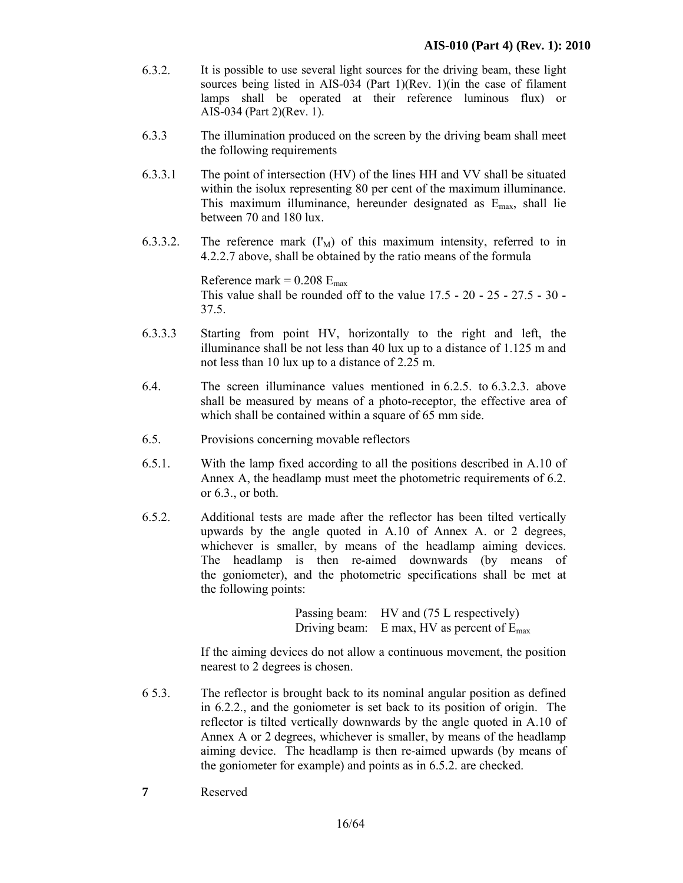- 6.3.2. It is possible to use several light sources for the driving beam, these light sources being listed in AIS-034 (Part 1)(Rev. 1)(in the case of filament lamps shall be operated at their reference luminous flux) or AIS-034 (Part 2)(Rev. 1).
- 6.3.3 The illumination produced on the screen by the driving beam shall meet the following requirements
- 6.3.3.1 The point of intersection (HV) of the lines HH and VV shall be situated within the isolux representing 80 per cent of the maximum illuminance. This maximum illuminance, hereunder designated as Emax, shall lie between 70 and 180 lux.
- 6.3.3.2. The reference mark  $(I_M)$  of this maximum intensity, referred to in 4.2.2.7 above, shall be obtained by the ratio means of the formula

Reference mark =  $0.208$  E<sub>max</sub> This value shall be rounded off to the value 17.5 - 20 - 25 - 27.5 - 30 - 37.5.

- 6.3.3.3 Starting from point HV, horizontally to the right and left, the illuminance shall be not less than 40 lux up to a distance of 1.125 m and not less than 10 lux up to a distance of 2.25 m.
- 6.4. The screen illuminance values mentioned in 6.2.5. to 6.3.2.3. above shall be measured by means of a photo-receptor, the effective area of which shall be contained within a square of 65 mm side.
- 6.5. Provisions concerning movable reflectors
- 6.5.1. With the lamp fixed according to all the positions described in A.10 of Annex A, the headlamp must meet the photometric requirements of 6.2. or 6.3., or both.
- 6.5.2. Additional tests are made after the reflector has been tilted vertically upwards by the angle quoted in A.10 of Annex A. or 2 degrees, whichever is smaller, by means of the headlamp aiming devices. The headlamp is then re-aimed downwards (by means of the goniometer), and the photometric specifications shall be met at the following points:

Passing beam: HV and (75 L respectively) Driving beam: E max, HV as percent of  $E_{\text{max}}$ 

 If the aiming devices do not allow a continuous movement, the position nearest to 2 degrees is chosen.

- 6 5.3. The reflector is brought back to its nominal angular position as defined in 6.2.2., and the goniometer is set back to its position of origin. The reflector is tilted vertically downwards by the angle quoted in A.10 of Annex A or 2 degrees, whichever is smaller, by means of the headlamp aiming device. The headlamp is then re-aimed upwards (by means of the goniometer for example) and points as in 6.5.2. are checked.
- **7** Reserved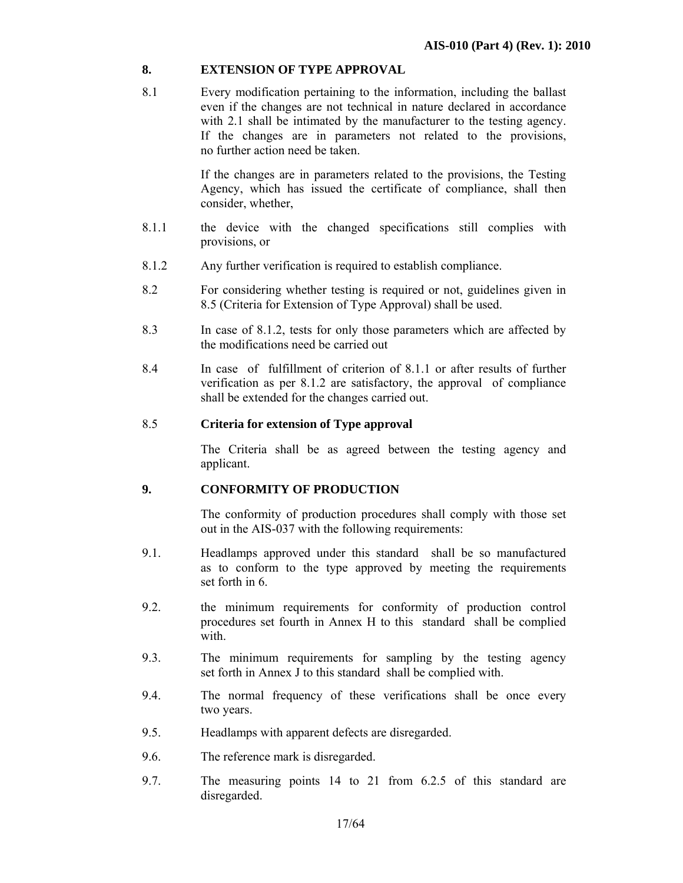## **8. EXTENSION OF TYPE APPROVAL**

8.1 Every modification pertaining to the information, including the ballast even if the changes are not technical in nature declared in accordance with 2.1 shall be intimated by the manufacturer to the testing agency. If the changes are in parameters not related to the provisions, no further action need be taken.

> If the changes are in parameters related to the provisions, the Testing Agency, which has issued the certificate of compliance, shall then consider, whether,

- 8.1.1 the device with the changed specifications still complies with provisions, or
- 8.1.2 Any further verification is required to establish compliance.
- 8.2 For considering whether testing is required or not, guidelines given in 8.5 (Criteria for Extension of Type Approval) shall be used.
- 8.3 In case of 8.1.2, tests for only those parameters which are affected by the modifications need be carried out
- 8.4 In case of fulfillment of criterion of 8.1.1 or after results of further verification as per 8.1.2 are satisfactory, the approval of compliance shall be extended for the changes carried out.

## 8.5 **Criteria for extension of Type approval**

 The Criteria shall be as agreed between the testing agency and applicant.

## **9. CONFORMITY OF PRODUCTION**

The conformity of production procedures shall comply with those set out in the AIS-037 with the following requirements:

- 9.1. Headlamps approved under this standard shall be so manufactured as to conform to the type approved by meeting the requirements set forth in 6.
- 9.2. the minimum requirements for conformity of production control procedures set fourth in Annex H to this standard shall be complied with
- 9.3. The minimum requirements for sampling by the testing agency set forth in Annex J to this standard shall be complied with.
- 9.4. The normal frequency of these verifications shall be once every two years.
- 9.5. Headlamps with apparent defects are disregarded.
- 9.6. The reference mark is disregarded.
- 9.7. The measuring points 14 to 21 from 6.2.5 of this standard are disregarded.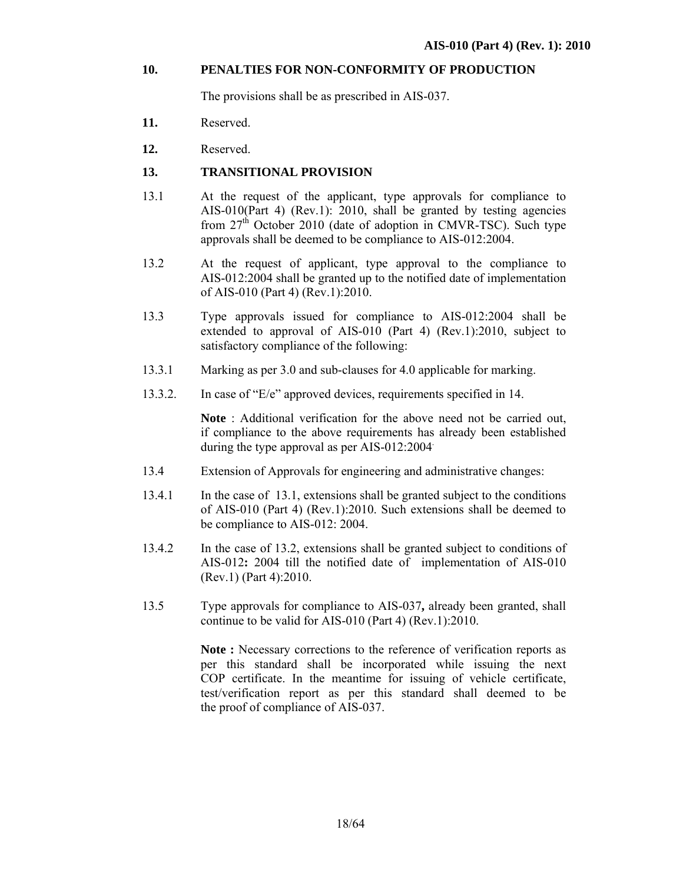#### **10. PENALTIES FOR NON-CONFORMITY OF PRODUCTION**

The provisions shall be as prescribed in AIS-037.

- **11.** Reserved.
- **12.** Reserved.

#### **13. TRANSITIONAL PROVISION**

- 13.1 At the request of the applicant, type approvals for compliance to AIS-010(Part 4) (Rev.1): 2010, shall be granted by testing agencies from  $27<sup>th</sup>$  October 2010 (date of adoption in CMVR-TSC). Such type approvals shall be deemed to be compliance to AIS-012:2004.
- 13.2 At the request of applicant, type approval to the compliance to AIS-012:2004 shall be granted up to the notified date of implementation of AIS-010 (Part 4) (Rev.1):2010.
- 13.3 Type approvals issued for compliance to AIS-012:2004 shall be extended to approval of AIS-010 (Part 4) (Rev.1):2010, subject to satisfactory compliance of the following:
- 13.3.1 Marking as per 3.0 and sub-clauses for 4.0 applicable for marking.
- 13.3.2. In case of "E/e" approved devices, requirements specified in 14.

**Note** : Additional verification for the above need not be carried out, if compliance to the above requirements has already been established during the type approval as per AIS-012:2004.

- 13.4 Extension of Approvals for engineering and administrative changes:
- 13.4.1 In the case of 13.1, extensions shall be granted subject to the conditions of AIS-010 (Part 4) (Rev.1):2010. Such extensions shall be deemed to be compliance to AIS-012: 2004.
- 13.4.2 In the case of 13.2, extensions shall be granted subject to conditions of AIS-012**:** 2004 till the notified date of implementation of AIS-010 (Rev.1) (Part 4):2010.
- 13.5 Type approvals for compliance to AIS-037**,** already been granted, shall continue to be valid for AIS-010 (Part 4) (Rev.1):2010.

**Note :** Necessary corrections to the reference of verification reports as per this standard shall be incorporated while issuing the next COP certificate. In the meantime for issuing of vehicle certificate, test/verification report as per this standard shall deemed to be the proof of compliance of AIS-037.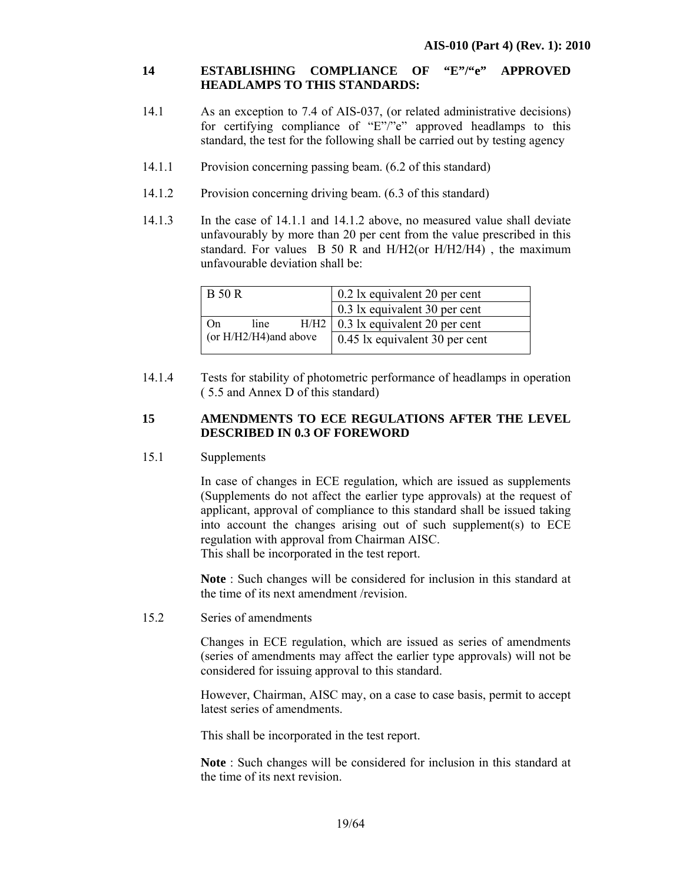## **14 ESTABLISHING COMPLIANCE OF "E"/"e" APPROVED HEADLAMPS TO THIS STANDARDS:**

- 14.1 As an exception to 7.4 of AIS-037, (or related administrative decisions) for certifying compliance of "E"/"e" approved headlamps to this standard, the test for the following shall be carried out by testing agency
- 14.1.1 Provision concerning passing beam. (6.2 of this standard)
- 14.1.2 Provision concerning driving beam. (6.3 of this standard)
- 14.1.3 In the case of 14.1.1 and 14.1.2 above, no measured value shall deviate unfavourably by more than 20 per cent from the value prescribed in this standard. For values B 50 R and H/H2(or H/H2/H4) , the maximum unfavourable deviation shall be:

| <b>B</b> 50 R             | 0.2 lx equivalent 20 per cent  |
|---------------------------|--------------------------------|
|                           | 0.3 lx equivalent 30 per cent  |
| H/H2<br>line<br>On        | 0.3 lx equivalent 20 per cent  |
| (or $H/H2/H4$ ) and above | 0.45 lx equivalent 30 per cent |
|                           |                                |

14.1.4 Tests for stability of photometric performance of headlamps in operation ( 5.5 and Annex D of this standard)

## **15 AMENDMENTS TO ECE REGULATIONS AFTER THE LEVEL DESCRIBED IN 0.3 OF FOREWORD**

#### 15.1 Supplements

In case of changes in ECE regulation*,* which are issued as supplements (Supplements do not affect the earlier type approvals) at the request of applicant, approval of compliance to this standard shall be issued taking into account the changes arising out of such supplement(s) to ECE regulation with approval from Chairman AISC. This shall be incorporated in the test report.

**Note** : Such changes will be considered for inclusion in this standard at the time of its next amendment /revision.

15.2 Series of amendments

Changes in ECE regulation, which are issued as series of amendments (series of amendments may affect the earlier type approvals) will not be considered for issuing approval to this standard.

However, Chairman, AISC may, on a case to case basis, permit to accept latest series of amendments.

This shall be incorporated in the test report.

**Note** : Such changes will be considered for inclusion in this standard at the time of its next revision.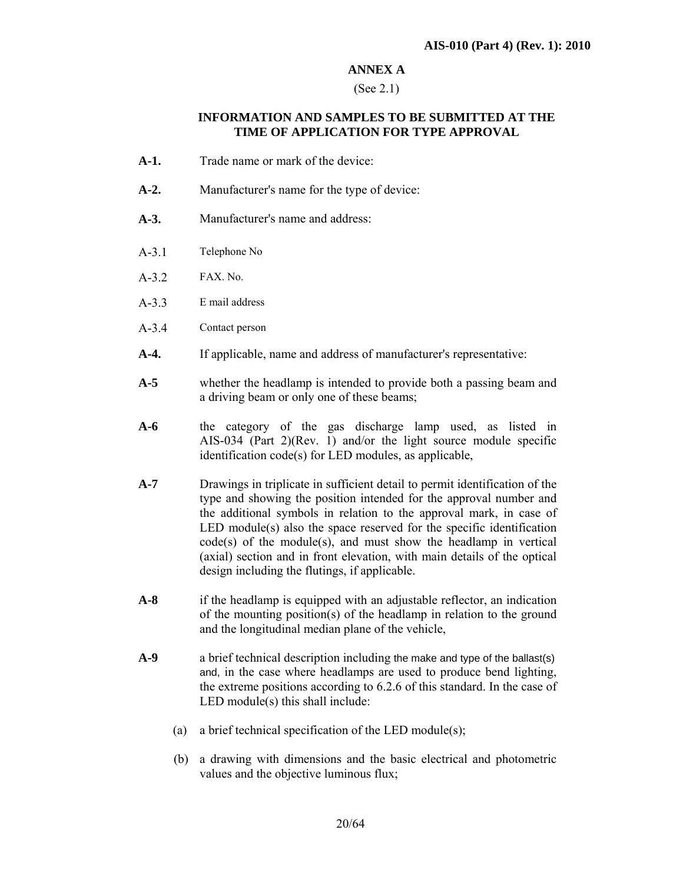#### **ANNEX A**

#### (See 2.1)

#### **INFORMATION AND SAMPLES TO BE SUBMITTED AT THE TIME OF APPLICATION FOR TYPE APPROVAL**

- **A-1.** Trade name or mark of the device:
- **A-2.** Manufacturer's name for the type of device:
- **A-3.** Manufacturer's name and address:
- A-3.1 Telephone No
- A-3.2 FAX. No.
- A-3.3 E mail address
- A-3.4 Contact person
- **A-4.** If applicable, name and address of manufacturer's representative:
- **A-5** whether the headlamp is intended to provide both a passing beam and a driving beam or only one of these beams;
- **A-6** the category of the gas discharge lamp used, as listed in AIS-034 (Part 2)(Rev. 1) and/or the light source module specific identification code(s) for LED modules, as applicable,
- **A-7** Drawings in triplicate in sufficient detail to permit identification of the type and showing the position intended for the approval number and the additional symbols in relation to the approval mark, in case of LED module(s) also the space reserved for the specific identification code(s) of the module(s), and must show the headlamp in vertical (axial) section and in front elevation, with main details of the optical design including the flutings, if applicable.
- **A-8** if the headlamp is equipped with an adjustable reflector, an indication of the mounting position(s) of the headlamp in relation to the ground and the longitudinal median plane of the vehicle,
- **A-9** a brief technical description including the make and type of the ballast(s) and, in the case where headlamps are used to produce bend lighting, the extreme positions according to 6.2.6 of this standard. In the case of LED module(s) this shall include:
	- (a) a brief technical specification of the LED module(s);
	- (b) a drawing with dimensions and the basic electrical and photometric values and the objective luminous flux;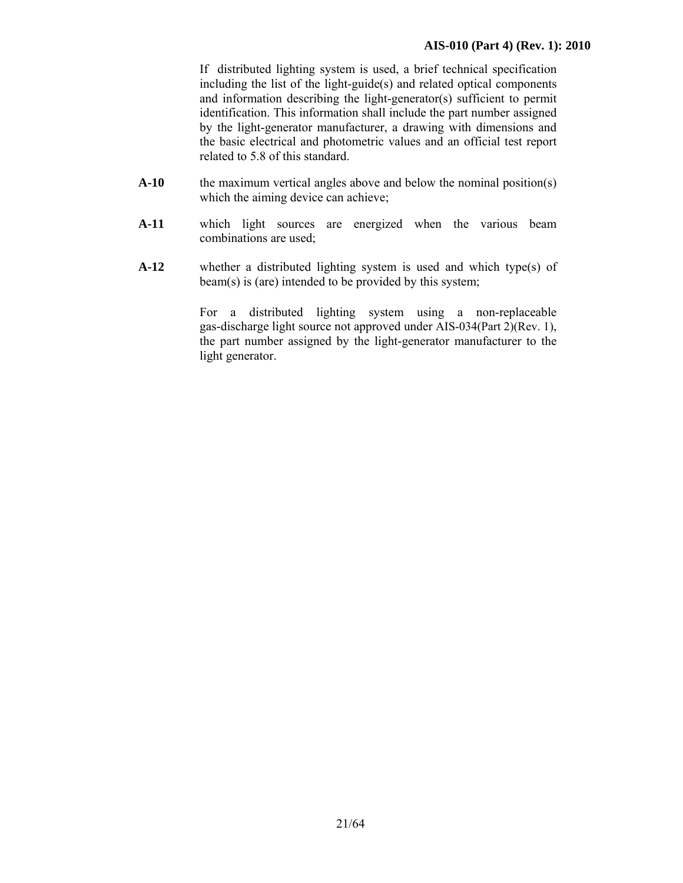If distributed lighting system is used, a brief technical specification including the list of the light-guide(s) and related optical components and information describing the light-generator(s) sufficient to permit identification. This information shall include the part number assigned by the light-generator manufacturer, a drawing with dimensions and the basic electrical and photometric values and an official test report related to 5.8 of this standard.

- A-10 the maximum vertical angles above and below the nominal position(s) which the aiming device can achieve;
- **A-11** which light sources are energized when the various beam combinations are used;
- **A-12** whether a distributed lighting system is used and which type(s) of beam(s) is (are) intended to be provided by this system;

For a distributed lighting system using a non-replaceable gas-discharge light source not approved under AIS-034(Part 2)(Rev. 1), the part number assigned by the light-generator manufacturer to the light generator.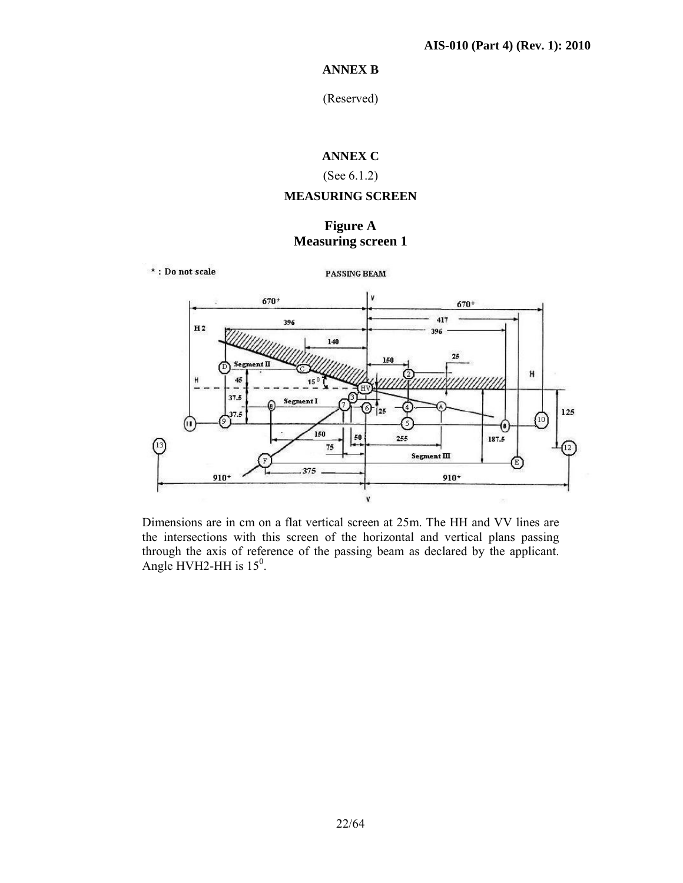## **ANNEX B**

(Reserved)

## **ANNEX C**

## (See 6.1.2)

## **MEASURING SCREEN**

## **Figure A Measuring screen 1**

\*: Do not scale

PASSING BEAM



Dimensions are in cm on a flat vertical screen at 25m. The HH and VV lines are the intersections with this screen of the horizontal and vertical plans passing through the axis of reference of the passing beam as declared by the applicant. Angle HVH2-HH is  $15^0$ .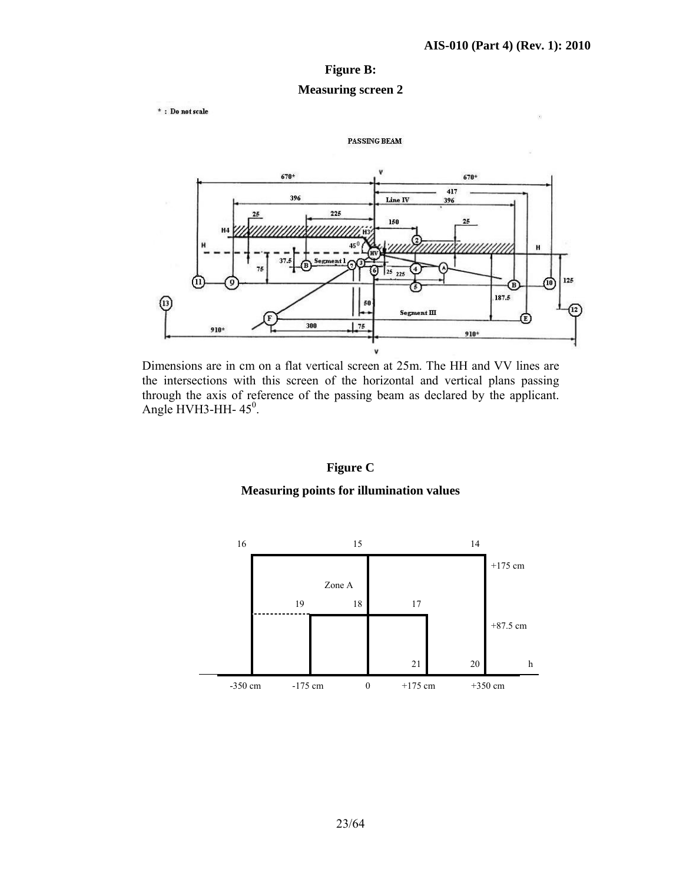## **Figure B:**

#### **Measuring screen 2**

 $*$  : Do not scale



PASSING BEAM

Dimensions are in cm on a flat vertical screen at 25m. The HH and VV lines are the intersections with this screen of the horizontal and vertical plans passing through the axis of reference of the passing beam as declared by the applicant. Angle HVH3-HH- $45^\circ$ .

## **Figure C**

#### **Measuring points for illumination values**

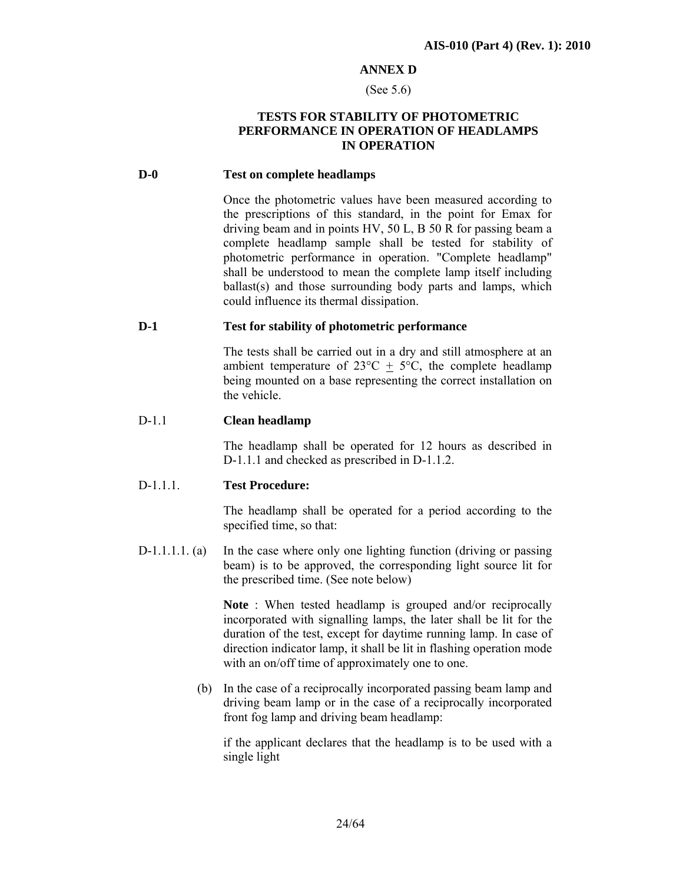#### **ANNEX D**

#### (See 5.6)

## **TESTS FOR STABILITY OF PHOTOMETRIC PERFORMANCE IN OPERATION OF HEADLAMPS IN OPERATION**

#### **D-0 Test on complete headlamps**

Once the photometric values have been measured according to the prescriptions of this standard, in the point for Emax for driving beam and in points HV, 50 L, B 50 R for passing beam a complete headlamp sample shall be tested for stability of photometric performance in operation. "Complete headlamp" shall be understood to mean the complete lamp itself including ballast(s) and those surrounding body parts and lamps, which could influence its thermal dissipation.

#### **D-1 Test for stability of photometric performance**

The tests shall be carried out in a dry and still atmosphere at an ambient temperature of  $23^{\circ}\text{C} + 5^{\circ}\text{C}$ , the complete headlamp being mounted on a base representing the correct installation on the vehicle.

#### D-1.1 **Clean headlamp**

 The headlamp shall be operated for 12 hours as described in D-1.1.1 and checked as prescribed in D-1.1.2.

#### D-1.1.1. **Test Procedure:**

 The headlamp shall be operated for a period according to the specified time, so that:

D-1.1.1.1. (a) In the case where only one lighting function (driving or passing beam) is to be approved, the corresponding light source lit for the prescribed time. (See note below)

> **Note** : When tested headlamp is grouped and/or reciprocally incorporated with signalling lamps, the later shall be lit for the duration of the test, except for daytime running lamp. In case of direction indicator lamp, it shall be lit in flashing operation mode with an on/off time of approximately one to one.

(b) In the case of a reciprocally incorporated passing beam lamp and driving beam lamp or in the case of a reciprocally incorporated front fog lamp and driving beam headlamp:

if the applicant declares that the headlamp is to be used with a single light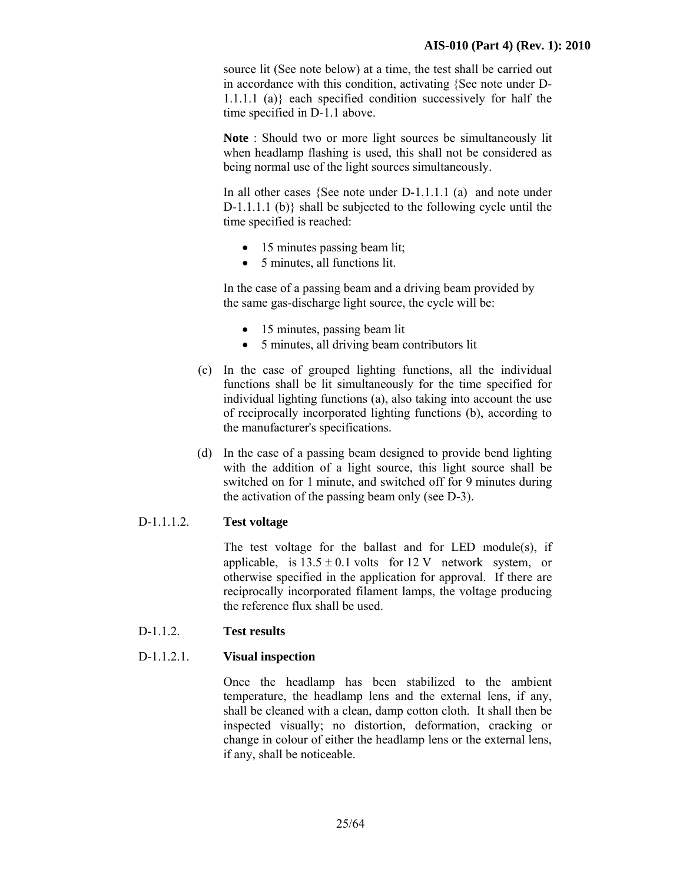source lit (See note below) at a time, the test shall be carried out in accordance with this condition, activating {See note under D-1.1.1.1 (a)} each specified condition successively for half the time specified in D-1.1 above.

**Note** : Should two or more light sources be simultaneously lit when headlamp flashing is used, this shall not be considered as being normal use of the light sources simultaneously.

In all other cases {See note under D-1.1.1.1 (a) and note under D-1.1.1.1 (b)} shall be subjected to the following cycle until the time specified is reached:

- 15 minutes passing beam lit;
- 5 minutes, all functions lit.

In the case of a passing beam and a driving beam provided by the same gas-discharge light source, the cycle will be:

- 15 minutes, passing beam lit
- 5 minutes, all driving beam contributors lit
- (c) In the case of grouped lighting functions, all the individual functions shall be lit simultaneously for the time specified for individual lighting functions (a), also taking into account the use of reciprocally incorporated lighting functions (b), according to the manufacturer's specifications.
- (d) In the case of a passing beam designed to provide bend lighting with the addition of a light source, this light source shall be switched on for 1 minute, and switched off for 9 minutes during the activation of the passing beam only (see D-3).

## D-1.1.1.2. **Test voltage**

 The test voltage for the ballast and for LED module(s), if applicable, is  $13.5 \pm 0.1$  volts for  $12 \text{ V}$  network system, or otherwise specified in the application for approval. If there are reciprocally incorporated filament lamps, the voltage producing the reference flux shall be used.

## D-1.1.2. **Test results**

## D-1.1.2.1. **Visual inspection**

Once the headlamp has been stabilized to the ambient temperature, the headlamp lens and the external lens, if any, shall be cleaned with a clean, damp cotton cloth. It shall then be inspected visually; no distortion, deformation, cracking or change in colour of either the headlamp lens or the external lens, if any, shall be noticeable.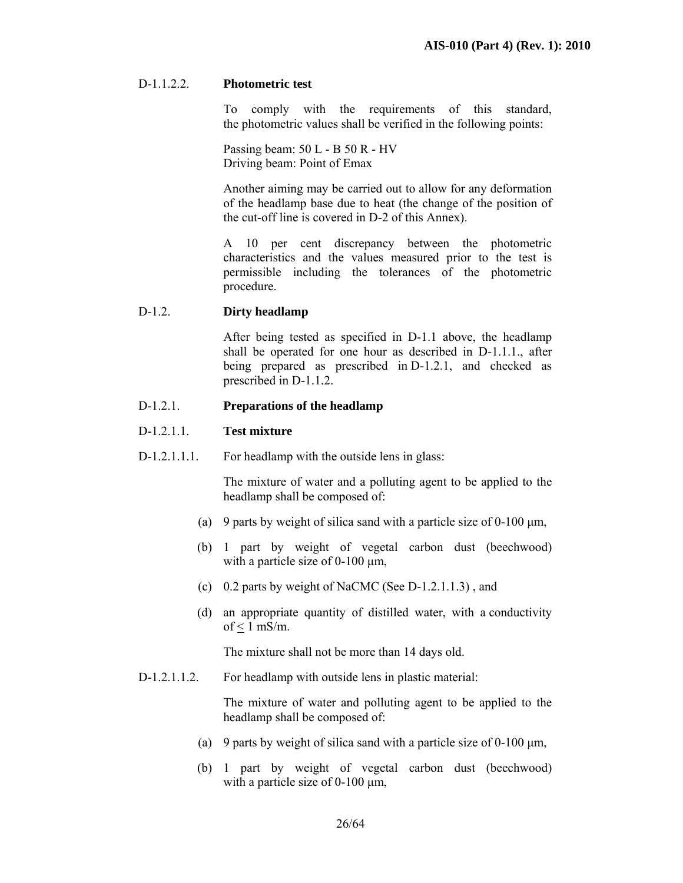## D-1.1.2.2. **Photometric test**

 To comply with the requirements of this standard, the photometric values shall be verified in the following points:

 Passing beam: 50 L - B 50 R - HV Driving beam: Point of Emax

 Another aiming may be carried out to allow for any deformation of the headlamp base due to heat (the change of the position of the cut-off line is covered in D-2 of this Annex).

 A 10 per cent discrepancy between the photometric characteristics and the values measured prior to the test is permissible including the tolerances of the photometric procedure.

#### D-1.2. **Dirty headlamp**

 After being tested as specified in D-1.1 above, the headlamp shall be operated for one hour as described in D-1.1.1., after being prepared as prescribed in D-1.2.1, and checked as prescribed in D-1.1.2.

#### D-1.2.1. **Preparations of the headlamp**

## D-1.2.1.1. **Test mixture**

D-1.2.1.1.1. For headlamp with the outside lens in glass:

 The mixture of water and a polluting agent to be applied to the headlamp shall be composed of:

- (a) 9 parts by weight of silica sand with a particle size of 0-100  $\mu$ m,
- (b) 1 part by weight of vegetal carbon dust (beechwood) with a particle size of  $0-100 \mu m$ ,
- (c) 0.2 parts by weight of NaCMC (See D-1.2.1.1.3) , and
- (d) an appropriate quantity of distilled water, with a conductivity of  $\leq 1$  mS/m.

The mixture shall not be more than 14 days old.

D-1.2.1.1.2. For headlamp with outside lens in plastic material:

The mixture of water and polluting agent to be applied to the headlamp shall be composed of:

- (a) 9 parts by weight of silica sand with a particle size of 0-100  $\mu$ m,
- (b) 1 part by weight of vegetal carbon dust (beechwood) with a particle size of  $0-100 \mu m$ ,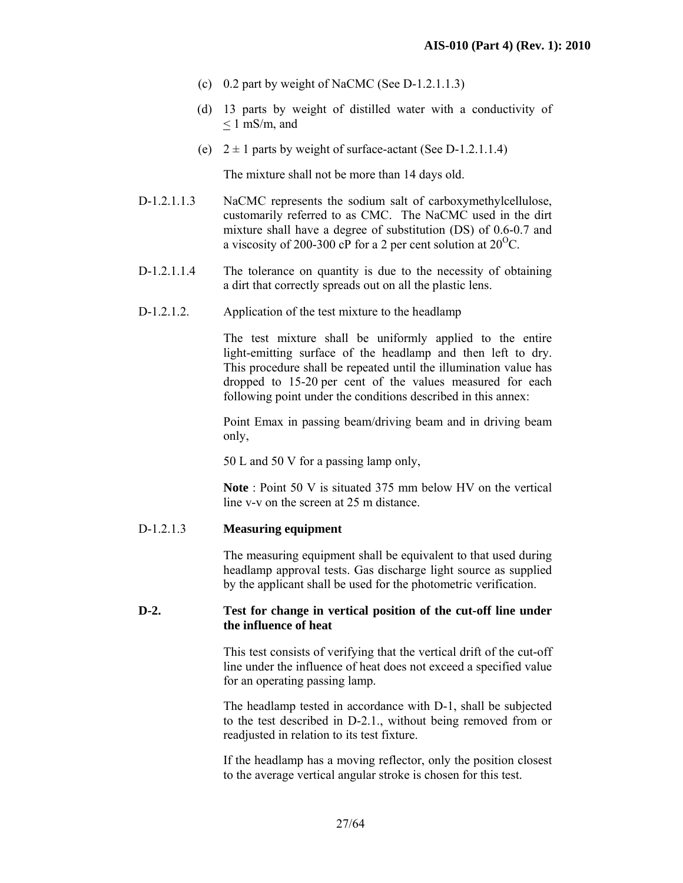- (c) 0.2 part by weight of NaCMC (See D-1.2.1.1.3)
- (d) 13 parts by weight of distilled water with a conductivity of  $\leq 1$  mS/m, and
- (e)  $2 \pm 1$  parts by weight of surface-actant (See D-1.2.1.1.4)

The mixture shall not be more than 14 days old.

- D-1.2.1.1.3 NaCMC represents the sodium salt of carboxymethylcellulose, customarily referred to as CMC. The NaCMC used in the dirt mixture shall have a degree of substitution (DS) of 0.6-0.7 and a viscosity of 200-300 cP for a 2 per cent solution at  $20^{\circ}$ C.
- D-1.2.1.1.4 The tolerance on quantity is due to the necessity of obtaining a dirt that correctly spreads out on all the plastic lens.
- D-1.2.1.2. Application of the test mixture to the headlamp

 The test mixture shall be uniformly applied to the entire light-emitting surface of the headlamp and then left to dry. This procedure shall be repeated until the illumination value has dropped to 15-20 per cent of the values measured for each following point under the conditions described in this annex:

 Point Emax in passing beam/driving beam and in driving beam only,

50 L and 50 V for a passing lamp only,

**Note** : Point 50 V is situated 375 mm below HV on the vertical line v-v on the screen at 25 m distance.

## D-1.2.1.3 **Measuring equipment**

 The measuring equipment shall be equivalent to that used during headlamp approval tests. Gas discharge light source as supplied by the applicant shall be used for the photometric verification.

## **D-2. Test for change in vertical position of the cut-off line under the influence of heat**

This test consists of verifying that the vertical drift of the cut-off line under the influence of heat does not exceed a specified value for an operating passing lamp.

The headlamp tested in accordance with D-1, shall be subjected to the test described in D-2.1., without being removed from or readjusted in relation to its test fixture.

If the headlamp has a moving reflector, only the position closest to the average vertical angular stroke is chosen for this test.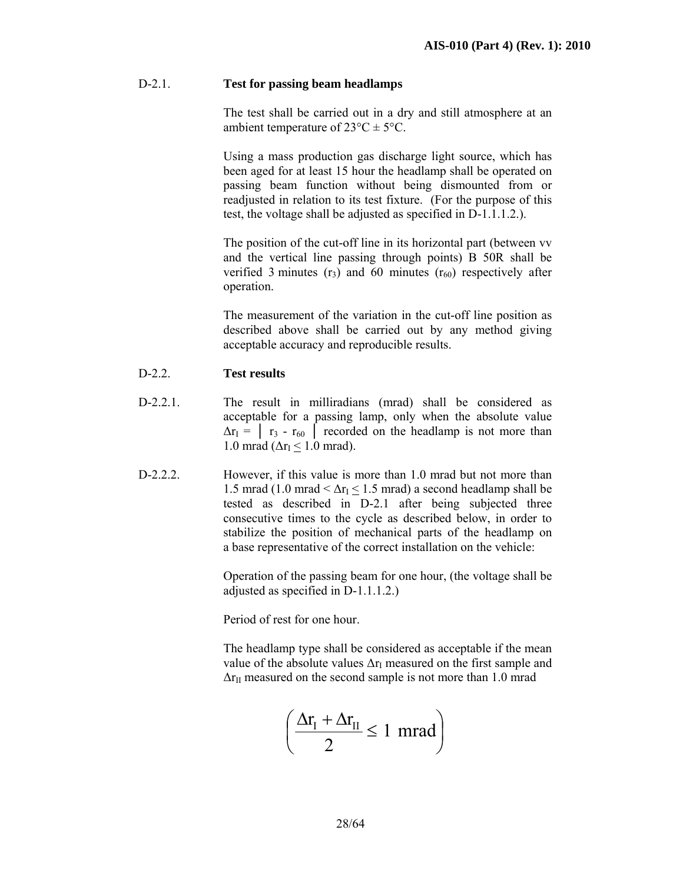## D-2.1. **Test for passing beam headlamps**

 The test shall be carried out in a dry and still atmosphere at an ambient temperature of  $23^{\circ}C \pm 5^{\circ}C$ .

 Using a mass production gas discharge light source, which has been aged for at least 15 hour the headlamp shall be operated on passing beam function without being dismounted from or readjusted in relation to its test fixture. (For the purpose of this test, the voltage shall be adjusted as specified in D-1.1.1.2.).

 The position of the cut-off line in its horizontal part (between vv and the vertical line passing through points) B 50R shall be verified 3 minutes  $(r_3)$  and 60 minutes  $(r_{60})$  respectively after operation.

The measurement of the variation in the cut-off line position as described above shall be carried out by any method giving acceptable accuracy and reproducible results.

## D-2.2. **Test results**

- D-2.2.1. The result in milliradians (mrad) shall be considered as acceptable for a passing lamp, only when the absolute value  $\Delta r_1 = \begin{bmatrix} r_3 - r_{60} \end{bmatrix}$  recorded on the headlamp is not more than 1.0 mrad ( $\Delta r_I \leq 1.0$  mrad).
- D-2.2.2. However, if this value is more than 1.0 mrad but not more than 1.5 mrad (1.0 mrad <  $\Delta r_I \leq 1.5$  mrad) a second headlamp shall be tested as described in D-2.1 after being subjected three consecutive times to the cycle as described below, in order to stabilize the position of mechanical parts of the headlamp on a base representative of the correct installation on the vehicle:

Operation of the passing beam for one hour, (the voltage shall be adjusted as specified in D-1.1.1.2.)

Period of rest for one hour.

 The headlamp type shall be considered as acceptable if the mean value of the absolute values  $\Delta r_I$  measured on the first sample and  $\Delta r_{II}$  measured on the second sample is not more than 1.0 mrad

$$
\left(\frac{\Delta r_{\rm I}+\Delta r_{\rm II}}{2}\leq 1~{\rm mrad}\right)
$$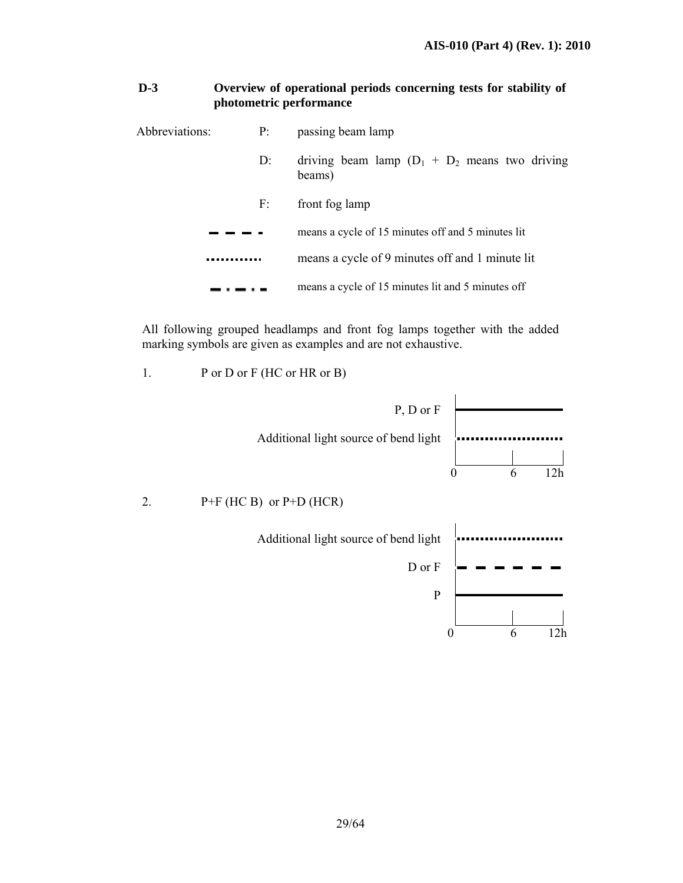## **D-3 Overview of operational periods concerning tests for stability of photometric performance**

| Abbreviations: | P:    | passing beam lamp                                           |
|----------------|-------|-------------------------------------------------------------|
|                | $D$ : | driving beam lamp $(D_1 + D_2)$ means two driving<br>beams) |
|                | F:    | front fog lamp                                              |
|                |       | means a cycle of 15 minutes off and 5 minutes lit           |
|                |       | means a cycle of 9 minutes off and 1 minute lit             |
|                |       | means a cycle of 15 minutes lit and 5 minutes off           |

All following grouped headlamps and front fog lamps together with the added marking symbols are given as examples and are not exhaustive.

1. P or D or F (HC or HR or B)

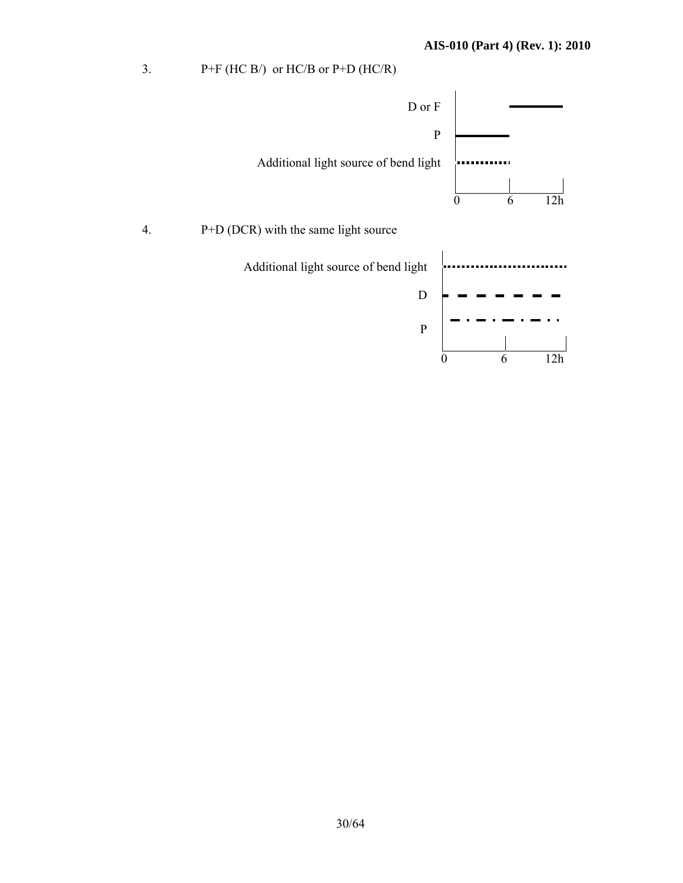3.  $P+F$  (HC B/) or HC/B or P+D (HC/R)

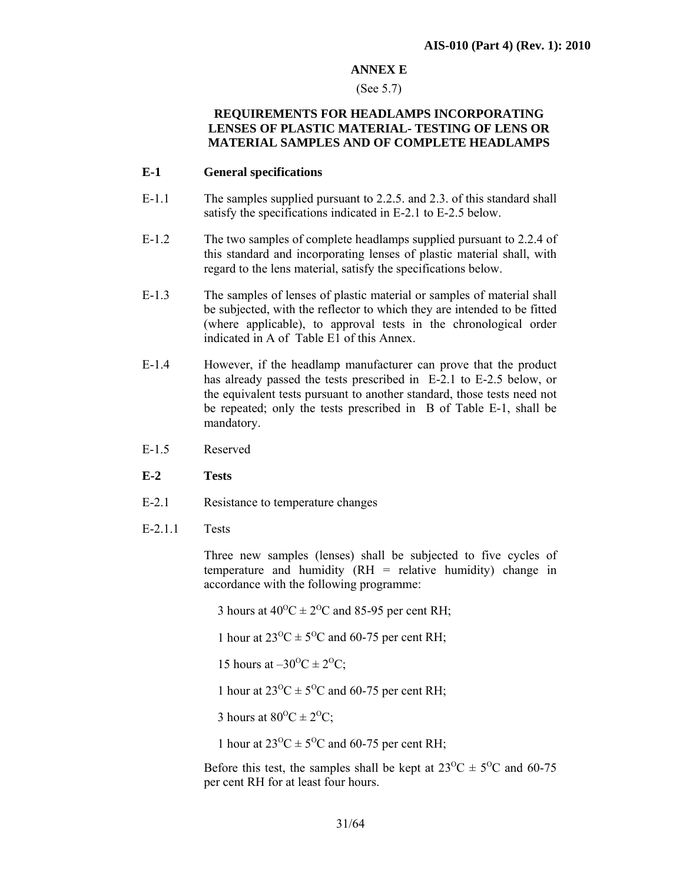## **ANNEX E**

#### (See 5.7)

## **REQUIREMENTS FOR HEADLAMPS INCORPORATING LENSES OF PLASTIC MATERIAL- TESTING OF LENS OR MATERIAL SAMPLES AND OF COMPLETE HEADLAMPS**

#### **E-1 General specifications**

- E-1.1 The samples supplied pursuant to 2.2.5. and 2.3. of this standard shall satisfy the specifications indicated in E-2.1 to E-2.5 below.
- E-1.2 The two samples of complete headlamps supplied pursuant to 2.2.4 of this standard and incorporating lenses of plastic material shall, with regard to the lens material, satisfy the specifications below.
- E-1.3 The samples of lenses of plastic material or samples of material shall be subjected, with the reflector to which they are intended to be fitted (where applicable), to approval tests in the chronological order indicated in A of Table E1 of this Annex.
- E-1.4 However, if the headlamp manufacturer can prove that the product has already passed the tests prescribed in E-2.1 to E-2.5 below, or the equivalent tests pursuant to another standard, those tests need not be repeated; only the tests prescribed in B of Table E-1, shall be mandatory.
- E-1.5 Reserved
- **E-2 Tests**
- E-2.1 Resistance to temperature changes
- E-2.1.1 Tests

 Three new samples (lenses) shall be subjected to five cycles of temperature and humidity (RH = relative humidity) change in accordance with the following programme:

3 hours at  $40^{\circ}$ C  $\pm 2^{\circ}$ C and 85-95 per cent RH;

1 hour at  $23^{\circ}\text{C} \pm 5^{\circ}\text{C}$  and 60-75 per cent RH;

15 hours at  $-30^{\circ}C \pm 2^{\circ}C$ ;

1 hour at  $23^{\circ}\text{C} \pm 5^{\circ}\text{C}$  and 60-75 per cent RH;

3 hours at  $80^{\circ}$ C  $\pm 2^{\circ}$ C;

1 hour at  $23^{\circ}C \pm 5^{\circ}C$  and 60-75 per cent RH;

Before this test, the samples shall be kept at  $23^{\circ}\text{C} \pm 5^{\circ}\text{C}$  and 60-75 per cent RH for at least four hours.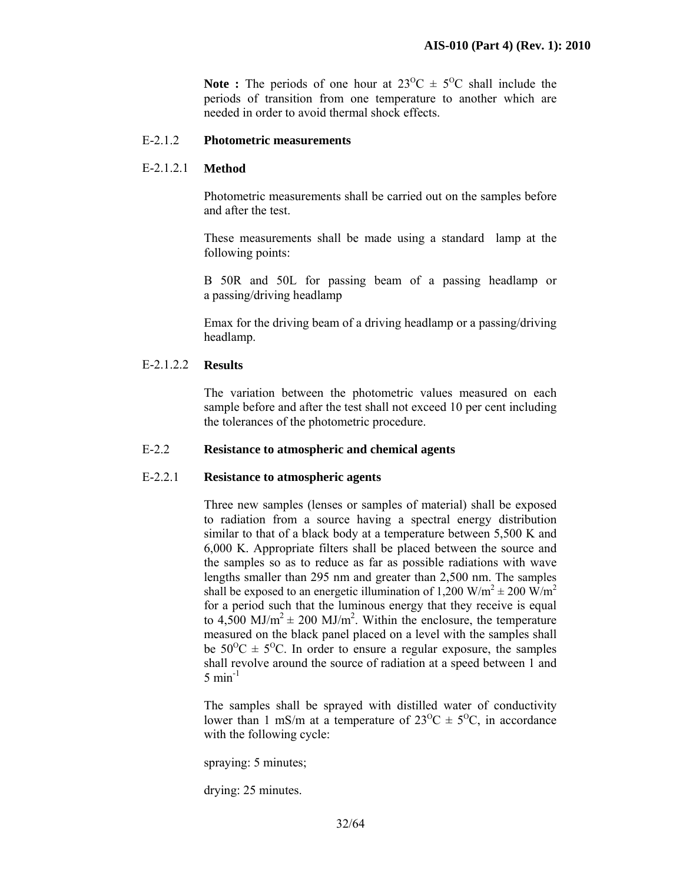**Note :** The periods of one hour at  $23^{\circ}\text{C} \pm 5^{\circ}\text{C}$  shall include the periods of transition from one temperature to another which are needed in order to avoid thermal shock effects.

#### E-2.1.2 **Photometric measurements**

#### E-2.1.2.1 **Method**

 Photometric measurements shall be carried out on the samples before and after the test.

These measurements shall be made using a standard lamp at the following points:

 B 50R and 50L for passing beam of a passing headlamp or a passing/driving headlamp

 Emax for the driving beam of a driving headlamp or a passing/driving headlamp.

#### E-2.1.2.2 **Results**

 The variation between the photometric values measured on each sample before and after the test shall not exceed 10 per cent including the tolerances of the photometric procedure.

#### E-2.2 **Resistance to atmospheric and chemical agents**

#### E-2.2.1 **Resistance to atmospheric agents**

 Three new samples (lenses or samples of material) shall be exposed to radiation from a source having a spectral energy distribution similar to that of a black body at a temperature between 5,500 K and 6,000 K. Appropriate filters shall be placed between the source and the samples so as to reduce as far as possible radiations with wave lengths smaller than 295 nm and greater than 2,500 nm. The samples shall be exposed to an energetic illumination of 1,200 W/m<sup>2</sup>  $\pm$  200 W/m<sup>2</sup> for a period such that the luminous energy that they receive is equal to  $4,500 \text{ MJ/m}^2 \pm 200 \text{ MJ/m}^2$ . Within the enclosure, the temperature measured on the black panel placed on a level with the samples shall be  $50^{\circ}$ C  $\pm$  5<sup>o</sup>C. In order to ensure a regular exposure, the samples shall revolve around the source of radiation at a speed between 1 and  $5 \text{ min}^{-1}$ 

The samples shall be sprayed with distilled water of conductivity lower than 1 mS/m at a temperature of  $23^{\circ}\text{C} \pm 5^{\circ}\text{C}$ , in accordance with the following cycle:

spraying: 5 minutes;

drying: 25 minutes.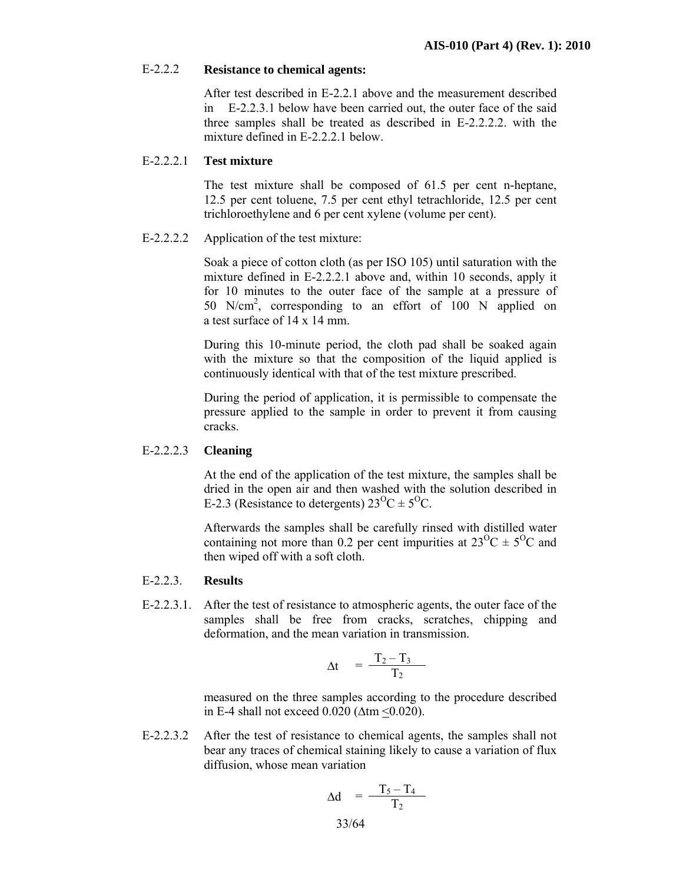#### E-2.2.2 **Resistance to chemical agents:**

 After test described in E-2.2.1 above and the measurement described in E-2.2.3.1 below have been carried out, the outer face of the said three samples shall be treated as described in E-2.2.2.2. with the mixture defined in E-2.2.2.1 below.

#### E-2.2.2.1 **Test mixture**

 The test mixture shall be composed of 61.5 per cent n-heptane, 12.5 per cent toluene, 7.5 per cent ethyl tetrachloride, 12.5 per cent trichloroethylene and 6 per cent xylene (volume per cent).

#### E-2.2.2.2 Application of the test mixture:

Soak a piece of cotton cloth (as per ISO 105) until saturation with the mixture defined in E-2.2.2.1 above and, within 10 seconds, apply it for 10 minutes to the outer face of the sample at a pressure of 50 N/cm2 , corresponding to an effort of 100 N applied on a test surface of 14 x 14 mm.

During this 10-minute period, the cloth pad shall be soaked again with the mixture so that the composition of the liquid applied is continuously identical with that of the test mixture prescribed.

During the period of application, it is permissible to compensate the pressure applied to the sample in order to prevent it from causing cracks.

#### E-2.2.2.3 **Cleaning**

At the end of the application of the test mixture, the samples shall be dried in the open air and then washed with the solution described in E-2.3 (Resistance to detergents)  $23^{\circ}C \pm 5^{\circ}C$ .

Afterwards the samples shall be carefully rinsed with distilled water containing not more than 0.2 per cent impurities at  $23^{\circ}C \pm 5^{\circ}C$  and then wiped off with a soft cloth.

#### E-2.2.3. **Results**

E-2.2.3.1. After the test of resistance to atmospheric agents, the outer face of the samples shall be free from cracks, scratches, chipping and deformation, and the mean variation in transmission.

$$
\Delta t = \frac{T_2 - T_3}{T_2}
$$

measured on the three samples according to the procedure described in E-4 shall not exceed  $0.020$  ( $\Delta$ tm  $\leq 0.020$ ).

E-2.2.3.2 After the test of resistance to chemical agents, the samples shall not bear any traces of chemical staining likely to cause a variation of flux diffusion, whose mean variation

$$
\Delta d = \frac{T_5 - T_4}{T_2}
$$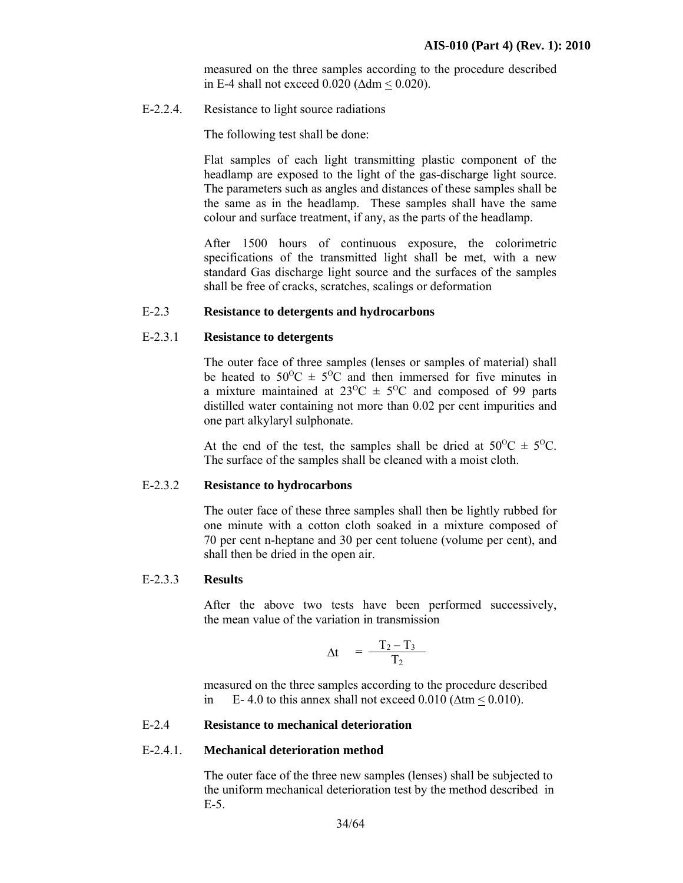measured on the three samples according to the procedure described in E-4 shall not exceed 0.020 (∆dm < 0.020).

E-2.2.4. Resistance to light source radiations

The following test shall be done:

Flat samples of each light transmitting plastic component of the headlamp are exposed to the light of the gas-discharge light source. The parameters such as angles and distances of these samples shall be the same as in the headlamp. These samples shall have the same colour and surface treatment, if any, as the parts of the headlamp.

After 1500 hours of continuous exposure, the colorimetric specifications of the transmitted light shall be met, with a new standard Gas discharge light source and the surfaces of the samples shall be free of cracks, scratches, scalings or deformation

#### E-2.3 **Resistance to detergents and hydrocarbons**

## E-2.3.1 **Resistance to detergents**

 The outer face of three samples (lenses or samples of material) shall be heated to  $50^{\circ}$ C  $\pm$  5<sup>o</sup>C and then immersed for five minutes in a mixture maintained at  $23^{\circ}\text{C} \pm 5^{\circ}\text{C}$  and composed of 99 parts distilled water containing not more than 0.02 per cent impurities and one part alkylaryl sulphonate.

At the end of the test, the samples shall be dried at  $50^{\circ}\text{C} \pm 5^{\circ}\text{C}$ . The surface of the samples shall be cleaned with a moist cloth.

#### E-2.3.2 **Resistance to hydrocarbons**

 The outer face of these three samples shall then be lightly rubbed for one minute with a cotton cloth soaked in a mixture composed of 70 per cent n-heptane and 30 per cent toluene (volume per cent), and shall then be dried in the open air.

#### E-2.3.3 **Results**

 After the above two tests have been performed successively, the mean value of the variation in transmission

$$
\Delta t = \frac{T_2 - T_3}{T_2}
$$

measured on the three samples according to the procedure described in E-4.0 to this annex shall not exceed  $0.010$  ( $\Delta$ tm < 0.010).

#### E-2.4 **Resistance to mechanical deterioration**

#### E-2.4.1. **Mechanical deterioration method**

 The outer face of the three new samples (lenses) shall be subjected to the uniform mechanical deterioration test by the method described in E-5.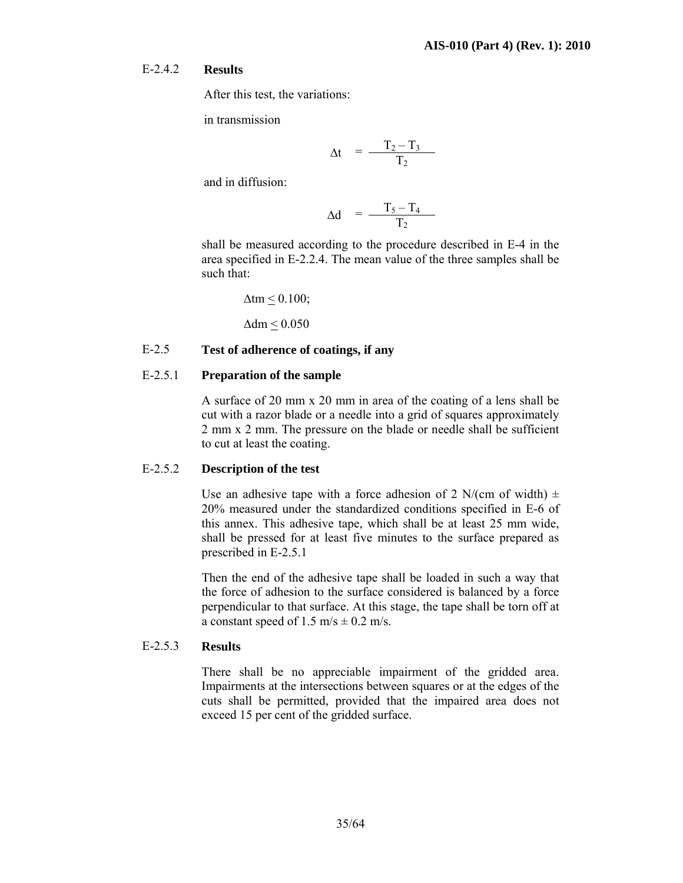#### E-2.4.2 **Results**

After this test, the variations:

in transmission

$$
\Delta t = \frac{T_2 - T_3}{T_2}
$$

and in diffusion:

$$
\Delta d = \frac{T_5 - T_4}{T_2}
$$

 shall be measured according to the procedure described in E-4 in the area specified in E-2.2.4. The mean value of the three samples shall be such that:

$$
\Delta \text{tm} \leq 0.100;
$$

∆dm < 0.050

## E-2.5 **Test of adherence of coatings, if any**

## E-2.5.1 **Preparation of the sample**

 A surface of 20 mm x 20 mm in area of the coating of a lens shall be cut with a razor blade or a needle into a grid of squares approximately 2 mm x 2 mm. The pressure on the blade or needle shall be sufficient to cut at least the coating.

#### E-2.5.2 **Description of the test**

Use an adhesive tape with a force adhesion of 2 N/(cm of width)  $\pm$ 20% measured under the standardized conditions specified in E-6 of this annex. This adhesive tape, which shall be at least 25 mm wide, shall be pressed for at least five minutes to the surface prepared as prescribed in E-2.5.1

Then the end of the adhesive tape shall be loaded in such a way that the force of adhesion to the surface considered is balanced by a force perpendicular to that surface. At this stage, the tape shall be torn off at a constant speed of 1.5 m/s  $\pm$  0.2 m/s.

#### E-2.5.3 **Results**

 There shall be no appreciable impairment of the gridded area. Impairments at the intersections between squares or at the edges of the cuts shall be permitted, provided that the impaired area does not exceed 15 per cent of the gridded surface.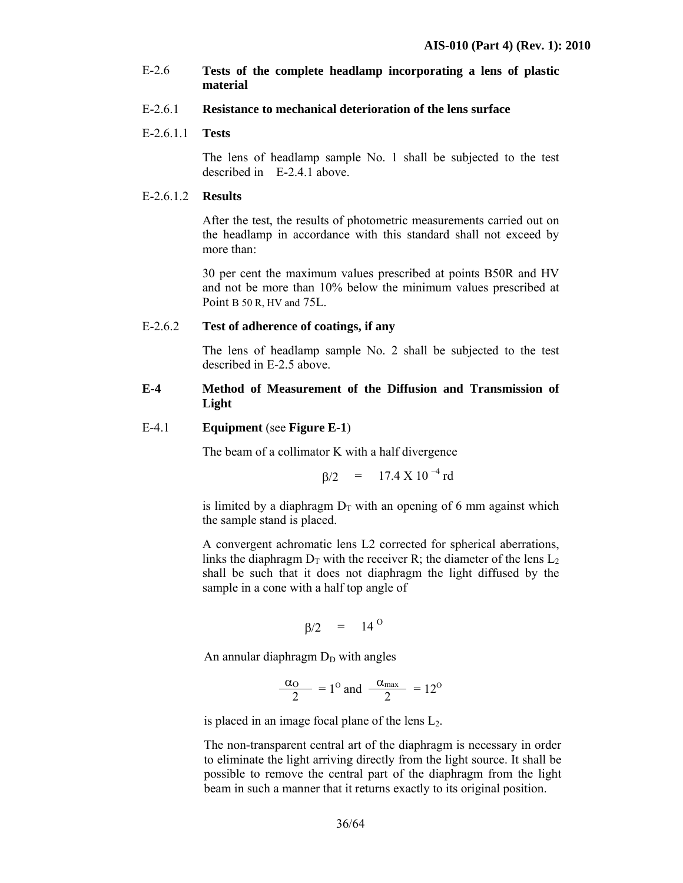## E-2.6 **Tests of the complete headlamp incorporating a lens of plastic material**

#### E-2.6.1 **Resistance to mechanical deterioration of the lens surface**

#### E-2.6.1.1 **Tests**

 The lens of headlamp sample No. 1 shall be subjected to the test described in E-2.4.1 above.

## E-2.6.1.2 **Results**

 After the test, the results of photometric measurements carried out on the headlamp in accordance with this standard shall not exceed by more than:

 30 per cent the maximum values prescribed at points B50R and HV and not be more than 10% below the minimum values prescribed at Point B 50 R. HV and 75L.

#### E-2.6.2 **Test of adherence of coatings, if any**

The lens of headlamp sample No. 2 shall be subjected to the test described in E-2.5 above.

## **E-4 Method of Measurement of the Diffusion and Transmission of Light**

#### E-4.1 **Equipment** (see **Figure E-1**)

The beam of a collimator K with a half divergence

$$
\beta/2 = 17.4 \text{ X } 10^{-4} \text{ rd}
$$

is limited by a diaphragm  $D<sub>T</sub>$  with an opening of 6 mm against which the sample stand is placed.

 A convergent achromatic lens L2 corrected for spherical aberrations, links the diaphragm  $D_T$  with the receiver R; the diameter of the lens  $L_2$ shall be such that it does not diaphragm the light diffused by the sample in a cone with a half top angle of

$$
\beta/2 = 14^{\circ}
$$

An annular diaphragm  $D_D$  with angles

$$
\frac{\alpha_{\text{O}}}{2} = 1^{\text{O}} \text{ and } \frac{\alpha_{\text{max}}}{2} = 12^{\text{O}}
$$

is placed in an image focal plane of the lens  $L<sub>2</sub>$ .

 The non-transparent central art of the diaphragm is necessary in order to eliminate the light arriving directly from the light source. It shall be possible to remove the central part of the diaphragm from the light beam in such a manner that it returns exactly to its original position.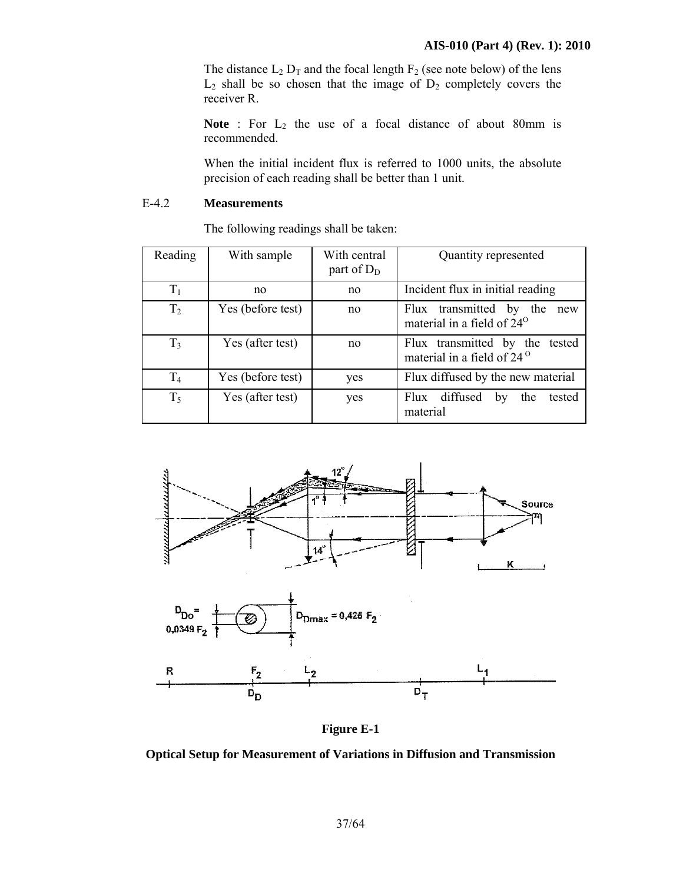The distance  $L_2$   $D_T$  and the focal length  $F_2$  (see note below) of the lens  $L_2$  shall be so chosen that the image of  $D_2$  completely covers the receiver R.

Note : For L<sub>2</sub> the use of a focal distance of about 80mm is recommended.

 When the initial incident flux is referred to 1000 units, the absolute precision of each reading shall be better than 1 unit.

## E-4.2 **Measurements**

The following readings shall be taken:

| Reading        | With sample       | With central<br>part of $D_D$ | Quantity represented                                                     |
|----------------|-------------------|-------------------------------|--------------------------------------------------------------------------|
| T <sub>1</sub> | no                | no                            | Incident flux in initial reading                                         |
| T <sub>2</sub> | Yes (before test) | no                            | Flux transmitted by the<br>new<br>material in a field of 24 <sup>o</sup> |
| T <sub>3</sub> | Yes (after test)  | no                            | Flux transmitted by the tested<br>material in a field of 24 <sup>o</sup> |
| T <sub>4</sub> | Yes (before test) | yes                           | Flux diffused by the new material                                        |
| $T_5$          | Yes (after test)  | yes                           | Flux diffused<br>tested<br>the<br>by<br>material                         |



**Figure E-1** 

**Optical Setup for Measurement of Variations in Diffusion and Transmission**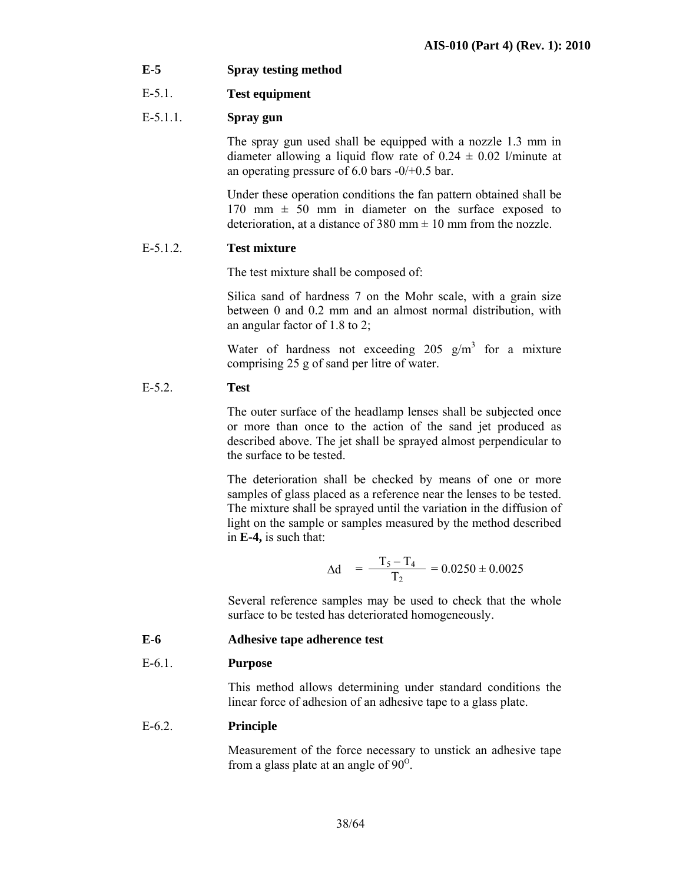**E-5 Spray testing method** 

## E-5.1. **Test equipment**

## E-5.1.1. **Spray gun**

 The spray gun used shall be equipped with a nozzle 1.3 mm in diameter allowing a liquid flow rate of  $0.24 \pm 0.02$  l/minute at an operating pressure of  $6.0$  bars  $-0/+0.5$  bar.

 Under these operation conditions the fan pattern obtained shall be 170 mm  $\pm$  50 mm in diameter on the surface exposed to deterioration, at a distance of 380 mm  $\pm$  10 mm from the nozzle.

## E-5.1.2. **Test mixture**

The test mixture shall be composed of:

 Silica sand of hardness 7 on the Mohr scale, with a grain size between 0 and 0.2 mm and an almost normal distribution, with an angular factor of 1.8 to 2;

Water of hardness not exceeding 205  $g/m<sup>3</sup>$  for a mixture comprising 25 g of sand per litre of water.

## E-5.2. **Test**

 The outer surface of the headlamp lenses shall be subjected once or more than once to the action of the sand jet produced as described above. The jet shall be sprayed almost perpendicular to the surface to be tested.

 The deterioration shall be checked by means of one or more samples of glass placed as a reference near the lenses to be tested. The mixture shall be sprayed until the variation in the diffusion of light on the sample or samples measured by the method described in **E-4,** is such that:

$$
\Delta d = \frac{T_5 - T_4}{T_2} = 0.0250 \pm 0.0025
$$

Several reference samples may be used to check that the whole surface to be tested has deteriorated homogeneously.

**E-6 Adhesive tape adherence test** 

## E-6.1. **Purpose**

 This method allows determining under standard conditions the linear force of adhesion of an adhesive tape to a glass plate.

## E-6.2. **Principle**

 Measurement of the force necessary to unstick an adhesive tape from a glass plate at an angle of  $90^\circ$ .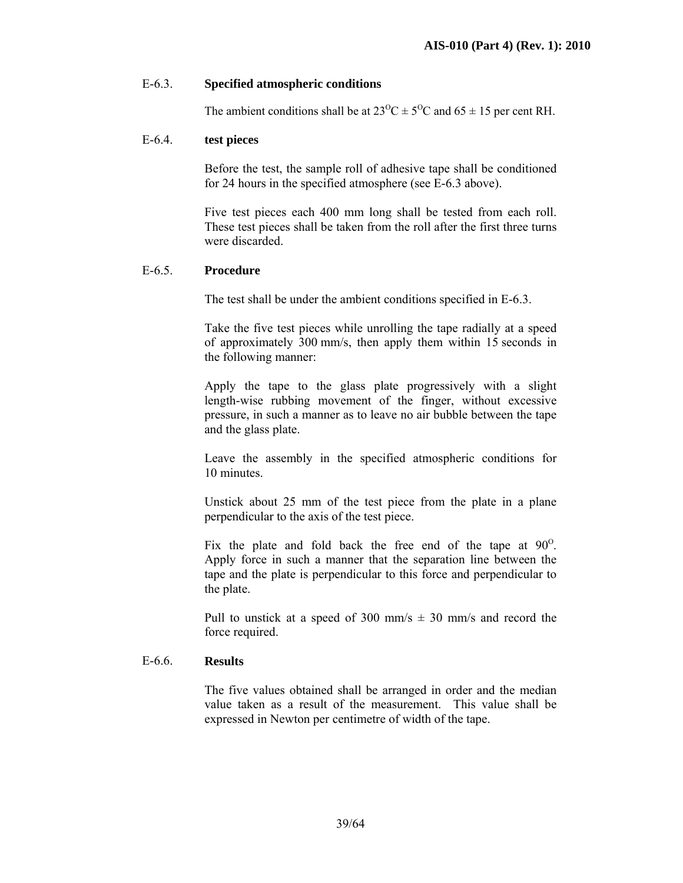## E-6.3. **Specified atmospheric conditions**

The ambient conditions shall be at  $23^{\circ}\text{C} \pm 5^{\circ}\text{C}$  and  $65 \pm 15$  per cent RH.

#### E-6.4. **test pieces**

Before the test, the sample roll of adhesive tape shall be conditioned for 24 hours in the specified atmosphere (see E-6.3 above).

Five test pieces each 400 mm long shall be tested from each roll. These test pieces shall be taken from the roll after the first three turns were discarded.

## E-6.5. **Procedure**

The test shall be under the ambient conditions specified in E-6.3.

 Take the five test pieces while unrolling the tape radially at a speed of approximately 300 mm/s, then apply them within 15 seconds in the following manner:

 Apply the tape to the glass plate progressively with a slight length-wise rubbing movement of the finger, without excessive pressure, in such a manner as to leave no air bubble between the tape and the glass plate.

 Leave the assembly in the specified atmospheric conditions for 10 minutes.

 Unstick about 25 mm of the test piece from the plate in a plane perpendicular to the axis of the test piece.

Fix the plate and fold back the free end of the tape at  $90^\circ$ . Apply force in such a manner that the separation line between the tape and the plate is perpendicular to this force and perpendicular to the plate.

Pull to unstick at a speed of 300 mm/s  $\pm$  30 mm/s and record the force required.

## E-6.6. **Results**

 The five values obtained shall be arranged in order and the median value taken as a result of the measurement. This value shall be expressed in Newton per centimetre of width of the tape.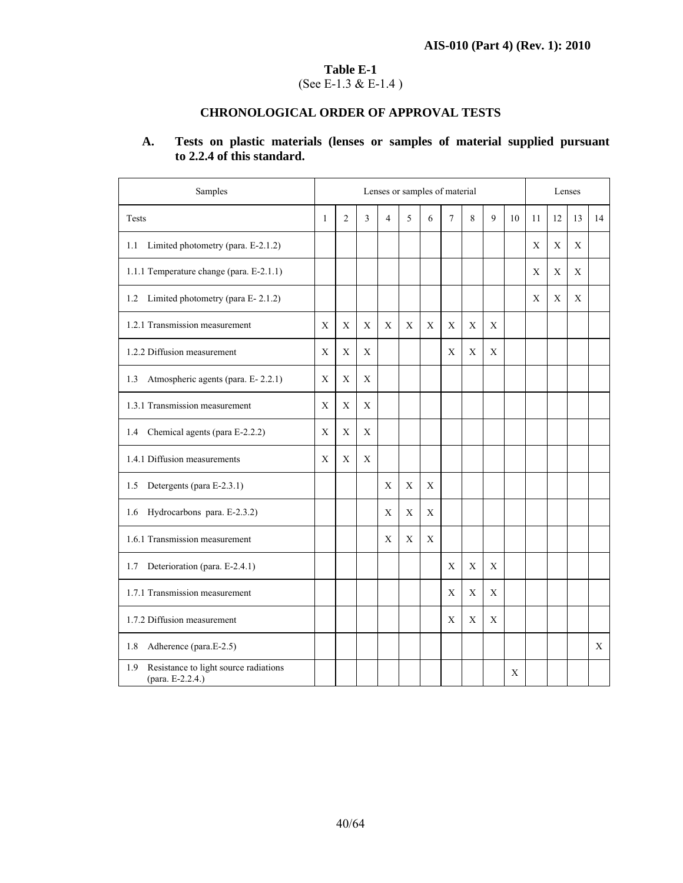## **Table E-1**  (See E-1.3 & E-1.4 )

# **CHRONOLOGICAL ORDER OF APPROVAL TESTS**

## **A. Tests on plastic materials (lenses or samples of material supplied pursuant to 2.2.4 of this standard.**

| Samples                                                          |              | Lenses or samples of material |             |                |             |             |                |   | Lenses |    |    |    |    |    |
|------------------------------------------------------------------|--------------|-------------------------------|-------------|----------------|-------------|-------------|----------------|---|--------|----|----|----|----|----|
| Tests                                                            | $\mathbf{1}$ | 2                             | 3           | $\overline{4}$ | 5           | 6           | $\overline{7}$ | 8 | 9      | 10 | 11 | 12 | 13 | 14 |
| Limited photometry (para. E-2.1.2)<br>1.1                        |              |                               |             |                |             |             |                |   |        |    | X  | X  | X  |    |
| 1.1.1 Temperature change (para. E-2.1.1)                         |              |                               |             |                |             |             |                |   |        |    | X  | X  | X  |    |
| Limited photometry (para E-2.1.2)<br>1.2                         |              |                               |             |                |             |             |                |   |        |    | X  | X  | X  |    |
| 1.2.1 Transmission measurement                                   | X            | X                             | X           | X              | X           | X           | X              | X | X      |    |    |    |    |    |
| 1.2.2 Diffusion measurement                                      | Χ            | X                             | X           |                |             |             | X              | X | Χ      |    |    |    |    |    |
| Atmospheric agents (para. E-2.2.1)<br>1.3                        | X            | X                             | X           |                |             |             |                |   |        |    |    |    |    |    |
| 1.3.1 Transmission measurement                                   | X            | X                             | X           |                |             |             |                |   |        |    |    |    |    |    |
| Chemical agents (para E-2.2.2)<br>1.4                            | X            | $\mathbf X$                   | X           |                |             |             |                |   |        |    |    |    |    |    |
| 1.4.1 Diffusion measurements                                     | Χ            | X                             | $\mathbf X$ |                |             |             |                |   |        |    |    |    |    |    |
| 1.5<br>Detergents (para E-2.3.1)                                 |              |                               |             | X              | X           | X           |                |   |        |    |    |    |    |    |
| Hydrocarbons para. E-2.3.2)<br>1.6                               |              |                               |             | X              | X           | X           |                |   |        |    |    |    |    |    |
| 1.6.1 Transmission measurement                                   |              |                               |             | X              | $\mathbf X$ | $\mathbf X$ |                |   |        |    |    |    |    |    |
| Deterioration (para. E-2.4.1)<br>1.7                             |              |                               |             |                |             |             | X              | X | X      |    |    |    |    |    |
| 1.7.1 Transmission measurement                                   |              |                               |             |                |             |             | X              | X | X      |    |    |    |    |    |
| 1.7.2 Diffusion measurement                                      |              |                               |             |                |             |             | X              | X | X      |    |    |    |    |    |
| 1.8<br>Adherence (para.E-2.5)                                    |              |                               |             |                |             |             |                |   |        |    |    |    |    | X  |
| Resistance to light source radiations<br>1.9<br>(para. E-2.2.4.) |              |                               |             |                |             |             |                |   |        | X  |    |    |    |    |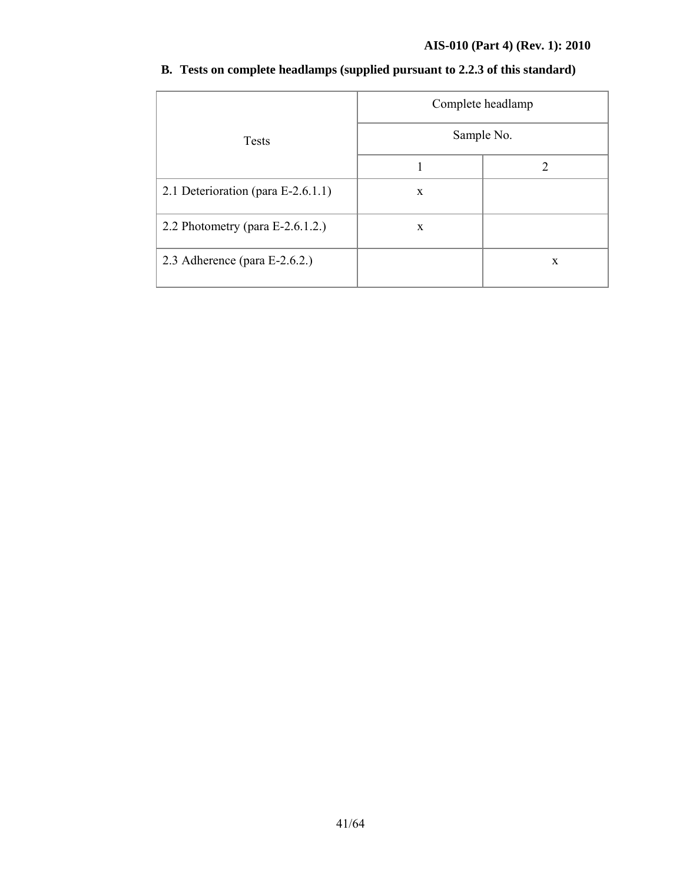## **AIS-010 (Part 4) (Rev. 1): 2010**

|                                     | Complete headlamp |   |
|-------------------------------------|-------------------|---|
| <b>Tests</b>                        | Sample No.        |   |
|                                     |                   | 2 |
| 2.1 Deterioration (para E-2.6.1.1)  | X                 |   |
| 2.2 Photometry (para $E-2.6.1.2$ .) | X                 |   |
| 2.3 Adherence (para $E-2.6.2$ .)    |                   | X |

# **B. Tests on complete headlamps (supplied pursuant to 2.2.3 of this standard)**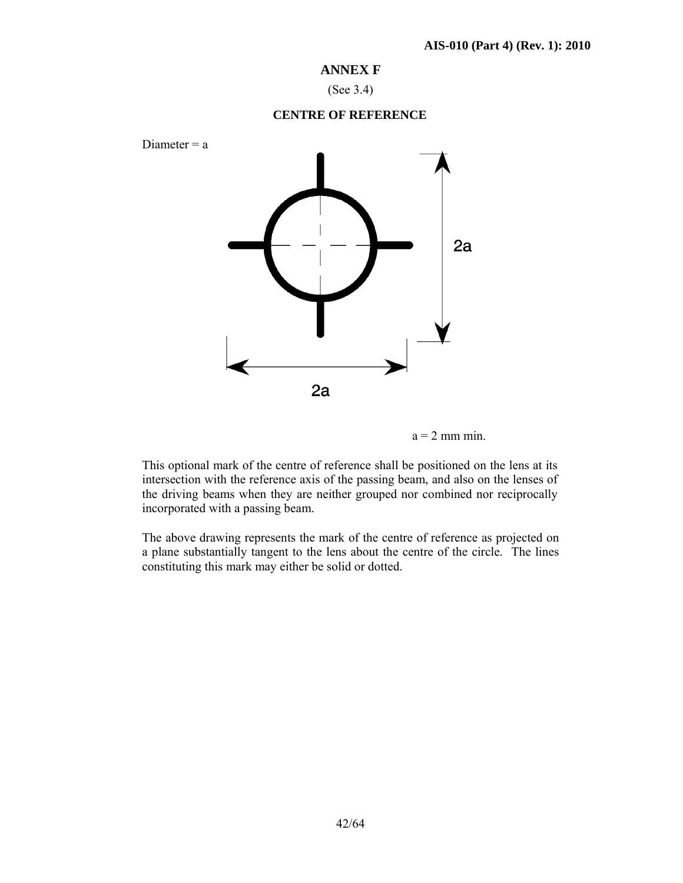## **ANNEX F**

(See 3.4)

#### **CENTRE OF REFERENCE**



 $a = 2$  mm min.

This optional mark of the centre of reference shall be positioned on the lens at its intersection with the reference axis of the passing beam, and also on the lenses of the driving beams when they are neither grouped nor combined nor reciprocally incorporated with a passing beam.

The above drawing represents the mark of the centre of reference as projected on a plane substantially tangent to the lens about the centre of the circle. The lines constituting this mark may either be solid or dotted.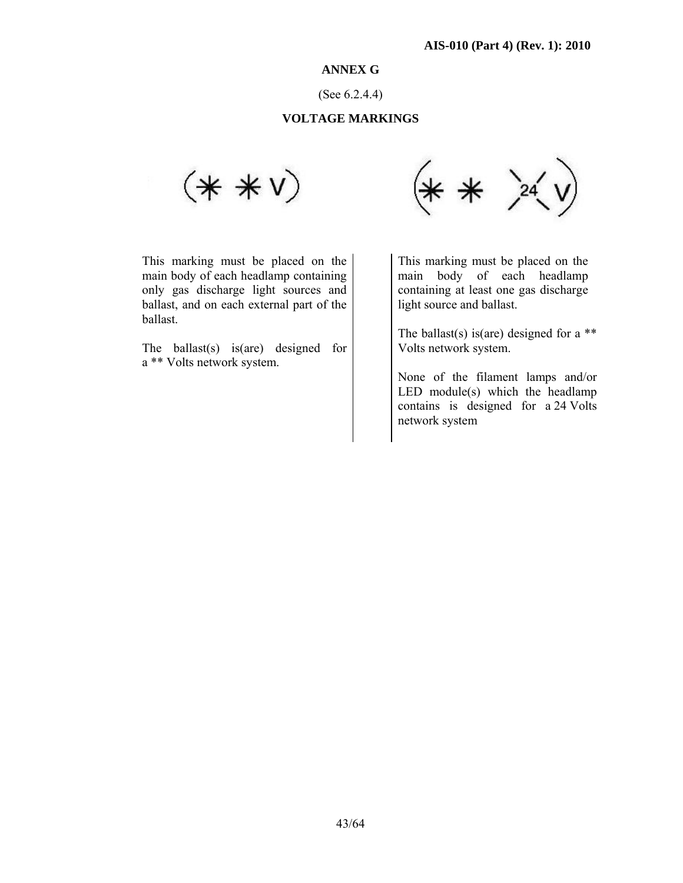## **ANNEX G**

(See 6.2.4.4)

## **VOLTAGE MARKINGS**



This marking must be placed on the main body of each headlamp containing only gas discharge light sources and ballast, and on each external part of the ballast.

The ballast(s) is(are) designed for a \*\* Volts network system.



 This marking must be placed on the main body of each headlamp containing at least one gas discharge light source and ballast.

The ballast(s) is(are) designed for a  $**$ Volts network system.

None of the filament lamps and/or LED module(s) which the headlamp contains is designed for a 24 Volts network system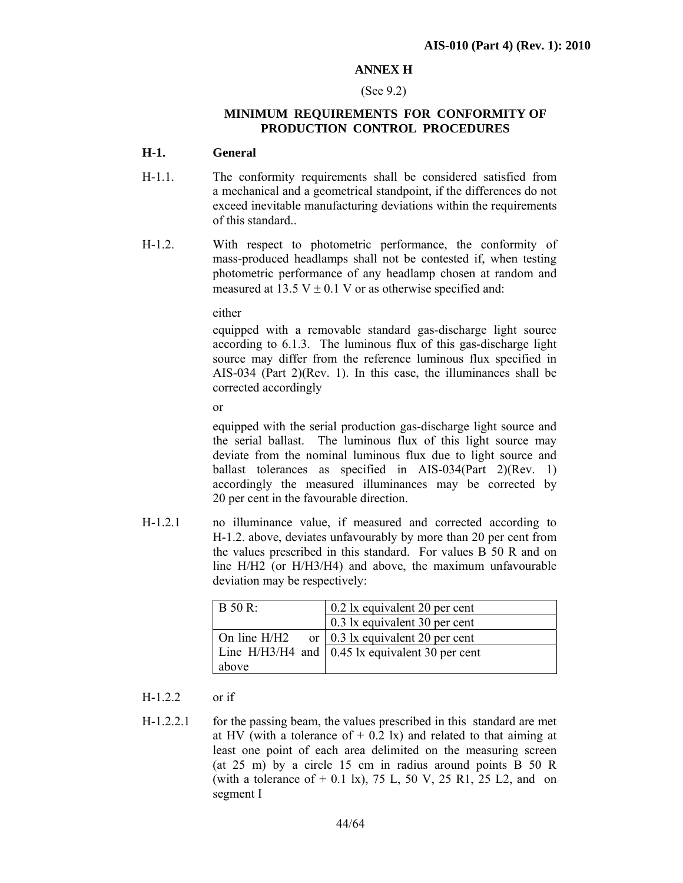## **ANNEX H**

#### (See 9.2)

## **MINIMUM REQUIREMENTS FOR CONFORMITY OF PRODUCTION CONTROL PROCEDURES**

#### **H-1. General**

- H-1.1. The conformity requirements shall be considered satisfied from a mechanical and a geometrical standpoint, if the differences do not exceed inevitable manufacturing deviations within the requirements of this standard..
- H-1.2. With respect to photometric performance, the conformity of mass-produced headlamps shall not be contested if, when testing photometric performance of any headlamp chosen at random and measured at 13.5 V  $\pm$  0.1 V or as otherwise specified and:

either

equipped with a removable standard gas-discharge light source according to 6.1.3. The luminous flux of this gas-discharge light source may differ from the reference luminous flux specified in AIS-034 (Part 2)(Rev. 1). In this case, the illuminances shall be corrected accordingly

or

equipped with the serial production gas-discharge light source and the serial ballast. The luminous flux of this light source may deviate from the nominal luminous flux due to light source and ballast tolerances as specified in AIS-034(Part 2)(Rev. 1) accordingly the measured illuminances may be corrected by 20 per cent in the favourable direction.

H-1.2.1 no illuminance value, if measured and corrected according to H-1.2. above, deviates unfavourably by more than 20 per cent from the values prescribed in this standard. For values B 50 R and on line H/H2 (or H/H3/H4) and above, the maximum unfavourable deviation may be respectively:

| B 50 R: | 0.2 lx equivalent 20 per cent                              |
|---------|------------------------------------------------------------|
|         | 0.3 lx equivalent 30 per cent                              |
|         | On line H/H2 or $\vert 0.3 \vert x$ equivalent 20 per cent |
|         | Line H/H3/H4 and   0.45 lx equivalent 30 per cent          |
| above   |                                                            |

#### H-1.2.2 or if

H-1.2.2.1 for the passing beam, the values prescribed in this standard are met at HV (with a tolerance of  $+$  0.2 lx) and related to that aiming at least one point of each area delimited on the measuring screen (at 25 m) by a circle 15 cm in radius around points B 50 R (with a tolerance of  $+$  0.1 lx), 75 L, 50 V, 25 R1, 25 L2, and on segment I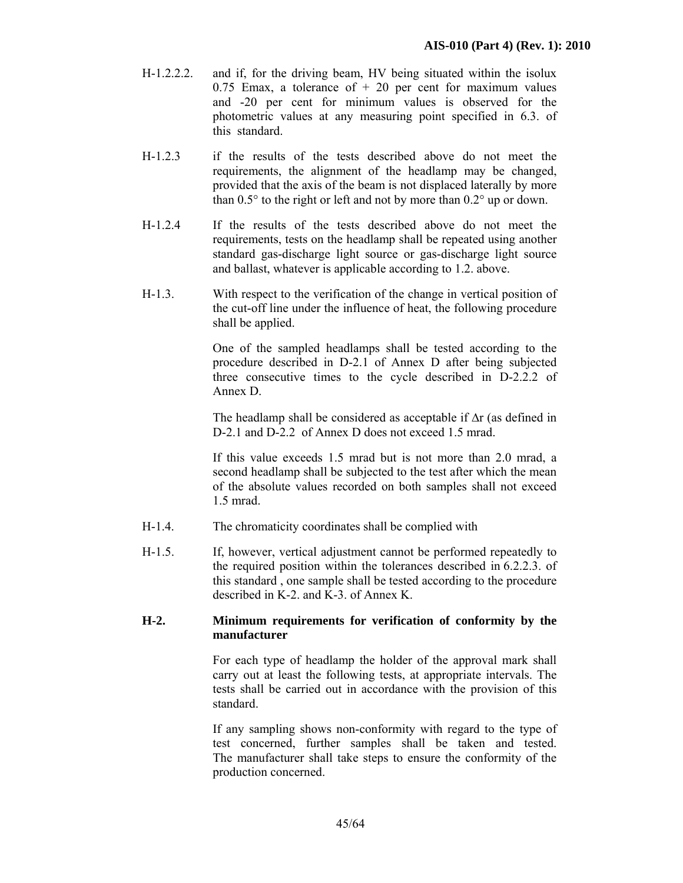- H-1.2.2.2. and if, for the driving beam, HV being situated within the isolux 0.75 Emax, a tolerance of  $+20$  per cent for maximum values and -20 per cent for minimum values is observed for the photometric values at any measuring point specified in 6.3. of this standard.
- H-1.2.3 if the results of the tests described above do not meet the requirements, the alignment of the headlamp may be changed, provided that the axis of the beam is not displaced laterally by more than 0.5° to the right or left and not by more than 0.2° up or down.
- H-1.2.4 If the results of the tests described above do not meet the requirements, tests on the headlamp shall be repeated using another standard gas-discharge light source or gas-discharge light source and ballast, whatever is applicable according to 1.2. above.
- H-1.3. With respect to the verification of the change in vertical position of the cut-off line under the influence of heat, the following procedure shall be applied.

 One of the sampled headlamps shall be tested according to the procedure described in D-2.1 of Annex D after being subjected three consecutive times to the cycle described in D-2.2.2 of Annex D.

The headlamp shall be considered as acceptable if ∆r (as defined in D-2.1 and D-2.2 of Annex D does not exceed 1.5 mrad.

 If this value exceeds 1.5 mrad but is not more than 2.0 mrad, a second headlamp shall be subjected to the test after which the mean of the absolute values recorded on both samples shall not exceed 1.5 mrad.

- H-1.4. The chromaticity coordinates shall be complied with
- H-1.5. If, however, vertical adjustment cannot be performed repeatedly to the required position within the tolerances described in 6.2.2.3. of this standard , one sample shall be tested according to the procedure described in K-2. and K-3. of Annex K.

#### **H-2. Minimum requirements for verification of conformity by the manufacturer**

For each type of headlamp the holder of the approval mark shall carry out at least the following tests, at appropriate intervals. The tests shall be carried out in accordance with the provision of this standard.

If any sampling shows non-conformity with regard to the type of test concerned, further samples shall be taken and tested. The manufacturer shall take steps to ensure the conformity of the production concerned.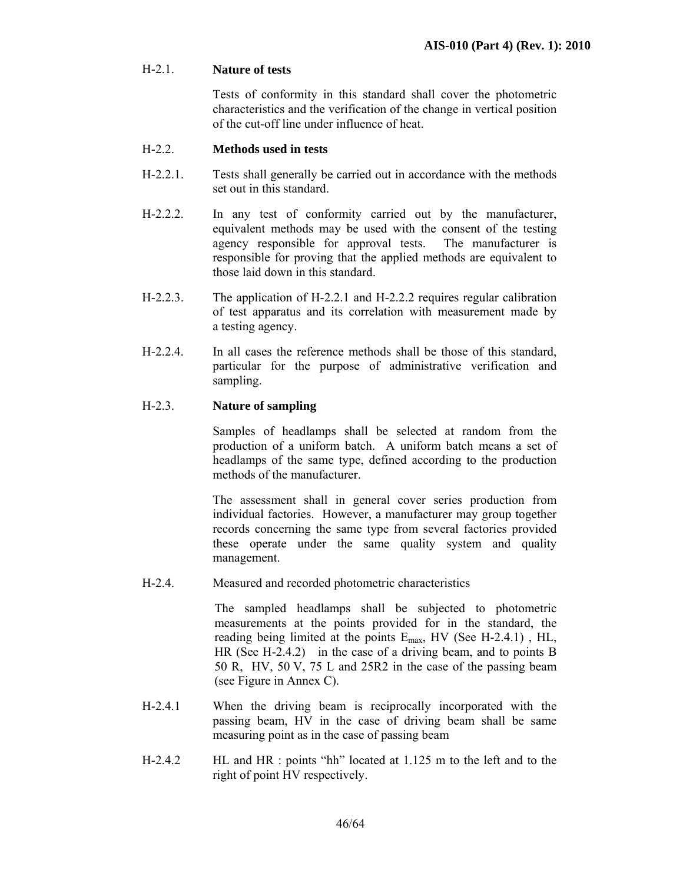## H-2.1. **Nature of tests**

 Tests of conformity in this standard shall cover the photometric characteristics and the verification of the change in vertical position of the cut-off line under influence of heat.

## H-2.2. **Methods used in tests**

- H-2.2.1. Tests shall generally be carried out in accordance with the methods set out in this standard.
- H-2.2.2. In any test of conformity carried out by the manufacturer, equivalent methods may be used with the consent of the testing agency responsible for approval tests. The manufacturer is responsible for proving that the applied methods are equivalent to those laid down in this standard.
- H-2.2.3. The application of H-2.2.1 and H-2.2.2 requires regular calibration of test apparatus and its correlation with measurement made by a testing agency.
- H-2.2.4. In all cases the reference methods shall be those of this standard, particular for the purpose of administrative verification and sampling.

## H-2.3. **Nature of sampling**

Samples of headlamps shall be selected at random from the production of a uniform batch. A uniform batch means a set of headlamps of the same type, defined according to the production methods of the manufacturer.

The assessment shall in general cover series production from individual factories. However, a manufacturer may group together records concerning the same type from several factories provided these operate under the same quality system and quality management.

H-2.4. Measured and recorded photometric characteristics

 The sampled headlamps shall be subjected to photometric measurements at the points provided for in the standard, the reading being limited at the points Emax, HV (See H-2.4.1) , HL, HR (See H-2.4.2) in the case of a driving beam, and to points B 50 R, HV, 50 V, 75 L and 25R2 in the case of the passing beam (see Figure in Annex C).

- H-2.4.1 When the driving beam is reciprocally incorporated with the passing beam, HV in the case of driving beam shall be same measuring point as in the case of passing beam
- H-2.4.2 HL and HR : points "hh" located at 1.125 m to the left and to the right of point HV respectively.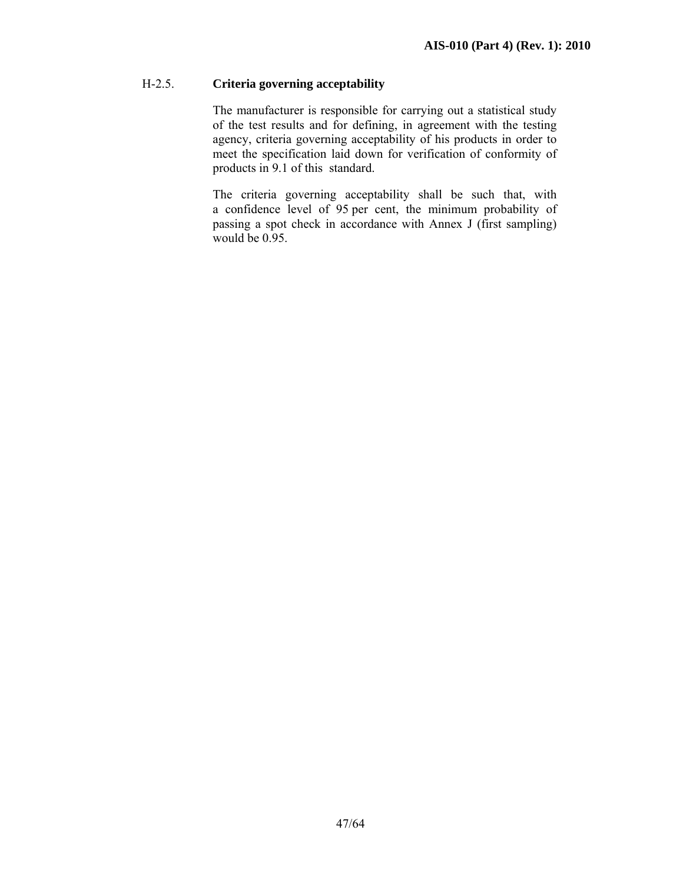## H-2.5. **Criteria governing acceptability**

The manufacturer is responsible for carrying out a statistical study of the test results and for defining, in agreement with the testing agency, criteria governing acceptability of his products in order to meet the specification laid down for verification of conformity of products in 9.1 of this standard.

The criteria governing acceptability shall be such that, with a confidence level of 95 per cent, the minimum probability of passing a spot check in accordance with Annex J (first sampling) would be 0.95.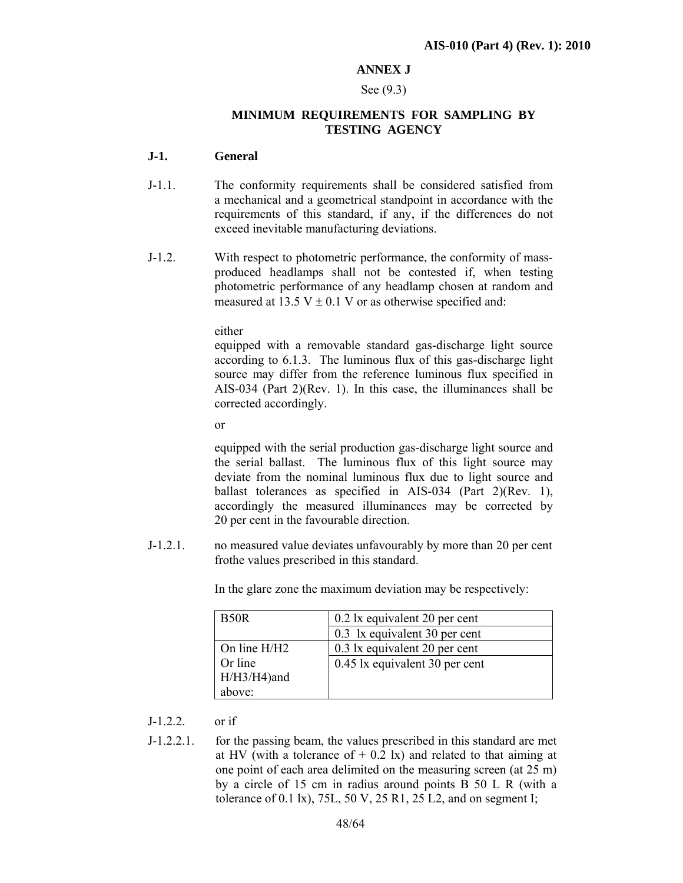## **ANNEX J**

#### See (9.3)

#### **MINIMUM REQUIREMENTS FOR SAMPLING BY TESTING AGENCY**

#### **J-1. General**

- J-1.1. The conformity requirements shall be considered satisfied from a mechanical and a geometrical standpoint in accordance with the requirements of this standard, if any, if the differences do not exceed inevitable manufacturing deviations.
- J-1.2. With respect to photometric performance, the conformity of massproduced headlamps shall not be contested if, when testing photometric performance of any headlamp chosen at random and measured at 13.5 V  $\pm$  0.1 V or as otherwise specified and:

either

equipped with a removable standard gas-discharge light source according to 6.1.3. The luminous flux of this gas-discharge light source may differ from the reference luminous flux specified in AIS-034 (Part 2)(Rev. 1). In this case, the illuminances shall be corrected accordingly.

or

equipped with the serial production gas-discharge light source and the serial ballast. The luminous flux of this light source may deviate from the nominal luminous flux due to light source and ballast tolerances as specified in AIS-034 (Part 2)(Rev. 1), accordingly the measured illuminances may be corrected by 20 per cent in the favourable direction.

J-1.2.1. no measured value deviates unfavourably by more than 20 per cent frothe values prescribed in this standard.

In the glare zone the maximum deviation may be respectively:

| B <sub>50</sub> R | 0.2 lx equivalent 20 per cent  |  |
|-------------------|--------------------------------|--|
|                   | 0.3 lx equivalent 30 per cent  |  |
| On line H/H2      | 0.3 lx equivalent 20 per cent  |  |
| Or line           | 0.45 lx equivalent 30 per cent |  |
| $H/H3/H4$ ) and   |                                |  |
| above:            |                                |  |

J-1.2.2. or if

J-1.2.2.1. for the passing beam, the values prescribed in this standard are met at HV (with a tolerance of  $+$  0.2 lx) and related to that aiming at one point of each area delimited on the measuring screen (at 25 m) by a circle of 15 cm in radius around points B 50 L R (with a tolerance of 0.1 lx),  $75L$ ,  $50 V$ ,  $25 R1$ ,  $25 L2$ , and on segment I;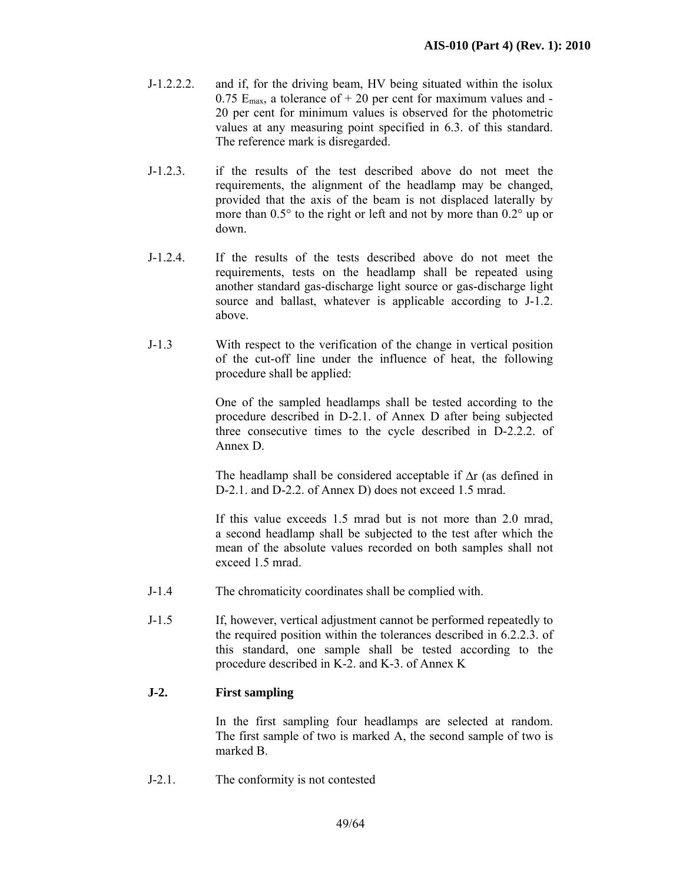- J-1.2.2.2. and if, for the driving beam, HV being situated within the isolux 0.75  $E_{\text{max}}$ , a tolerance of + 20 per cent for maximum values and -20 per cent for minimum values is observed for the photometric values at any measuring point specified in 6.3. of this standard. The reference mark is disregarded.
- J-1.2.3. if the results of the test described above do not meet the requirements, the alignment of the headlamp may be changed, provided that the axis of the beam is not displaced laterally by more than 0.5° to the right or left and not by more than 0.2° up or down.
- J-1.2.4. If the results of the tests described above do not meet the requirements, tests on the headlamp shall be repeated using another standard gas-discharge light source or gas-discharge light source and ballast, whatever is applicable according to J-1.2. above.
- J-1.3 With respect to the verification of the change in vertical position of the cut-off line under the influence of heat, the following procedure shall be applied:

 One of the sampled headlamps shall be tested according to the procedure described in D-2.1. of Annex D after being subjected three consecutive times to the cycle described in D-2.2.2. of Annex D.

The headlamp shall be considered acceptable if ∆r (as defined in D-2.1. and D-2.2. of Annex D) does not exceed 1.5 mrad.

 If this value exceeds 1.5 mrad but is not more than 2.0 mrad, a second headlamp shall be subjected to the test after which the mean of the absolute values recorded on both samples shall not exceed 1.5 mrad.

- J-1.4 The chromaticity coordinates shall be complied with.
- J-1.5 If, however, vertical adjustment cannot be performed repeatedly to the required position within the tolerances described in 6.2.2.3. of this standard, one sample shall be tested according to the procedure described in K-2. and K-3. of Annex K

## **J-2. First sampling**

In the first sampling four headlamps are selected at random. The first sample of two is marked A, the second sample of two is marked B.

J-2.1. The conformity is not contested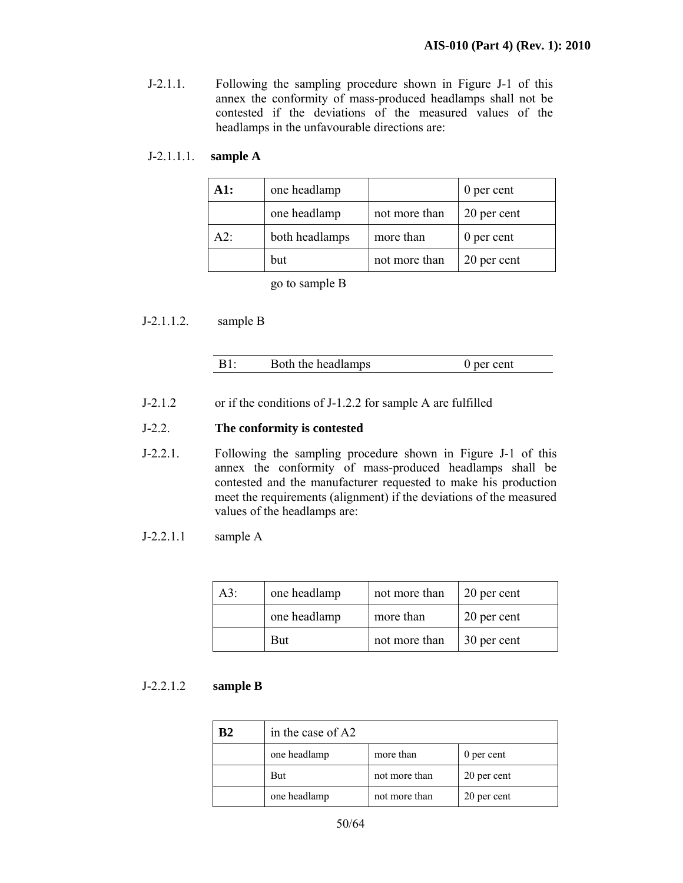J-2.1.1. Following the sampling procedure shown in Figure J-1 of this annex the conformity of mass-produced headlamps shall not be contested if the deviations of the measured values of the headlamps in the unfavourable directions are:

| $J-2.1.1.1$ . sample A |  |
|------------------------|--|
|------------------------|--|

| A1: | one headlamp   |               | 0 per cent  |
|-----|----------------|---------------|-------------|
|     | one headlamp   | not more than | 20 per cent |
| A2  | both headlamps | more than     | 0 per cent  |
|     | but            | not more than | 20 per cent |

go to sample B

J-2.1.1.2. sample B

| $B1$ : | Both the headlamps | 0 per cent |
|--------|--------------------|------------|
|        |                    |            |

J-2.1.2 or if the conditions of J-1.2.2 for sample A are fulfilled

#### J-2.2. **The conformity is contested**

- J-2.2.1. Following the sampling procedure shown in Figure J-1 of this annex the conformity of mass-produced headlamps shall be contested and the manufacturer requested to make his production meet the requirements (alignment) if the deviations of the measured values of the headlamps are:
- J-2.2.1.1 sample A

| $A3$ : | one headlamp | not more than | 20 per cent |
|--------|--------------|---------------|-------------|
|        | one headlamp | more than     | 20 per cent |
|        | <b>But</b>   | not more than | 30 per cent |

#### J-2.2.1.2 **sample B**

| B <sub>2</sub> | in the case of A2                       |               |             |
|----------------|-----------------------------------------|---------------|-------------|
|                | one headlamp<br>more than<br>0 per cent |               |             |
|                | But                                     | not more than | 20 per cent |
|                | one headlamp                            | not more than | 20 per cent |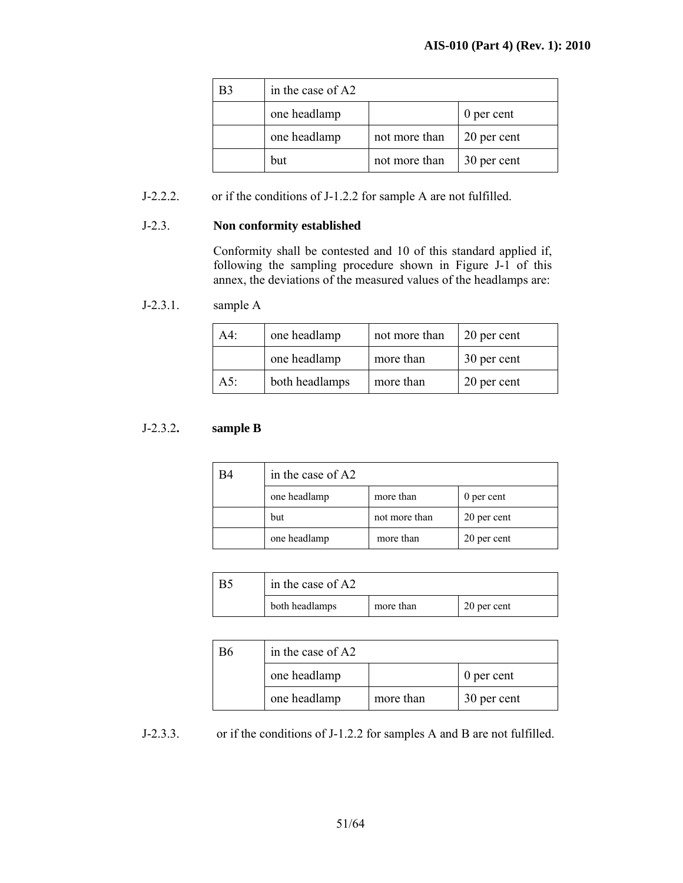| B3 | in the case of A2          |               |             |
|----|----------------------------|---------------|-------------|
|    | one headlamp<br>0 per cent |               |             |
|    | one headlamp               | not more than | 20 per cent |
|    | but                        | not more than | 30 per cent |

## J-2.2.2. or if the conditions of J-1.2.2 for sample A are not fulfilled.

#### J-2.3. **Non conformity established**

 Conformity shall be contested and 10 of this standard applied if, following the sampling procedure shown in Figure J-1 of this annex, the deviations of the measured values of the headlamps are:

## J-2.3.1. sample A

| $A4$ : | one headlamp   | not more than | 20 per cent |
|--------|----------------|---------------|-------------|
|        | one headlamp   | more than     | 30 per cent |
| $A5$ : | both headlamps | more than     | 20 per cent |

#### J-2.3.2**. sample B**

| <b>B4</b> | in the case of A2                       |               |             |
|-----------|-----------------------------------------|---------------|-------------|
|           | one headlamp<br>more than<br>0 per cent |               |             |
|           | but                                     | not more than | 20 per cent |
|           | one headlamp                            | more than     | 20 per cent |

| B. | in the case of A2 |           |             |
|----|-------------------|-----------|-------------|
|    | both headlamps    | more than | 20 per cent |

| B6 | in the case of A2 |           |             |  |
|----|-------------------|-----------|-------------|--|
|    | one headlamp      |           | 0 per cent  |  |
|    | one headlamp      | more than | 30 per cent |  |

J-2.3.3. or if the conditions of J-1.2.2 for samples A and B are not fulfilled.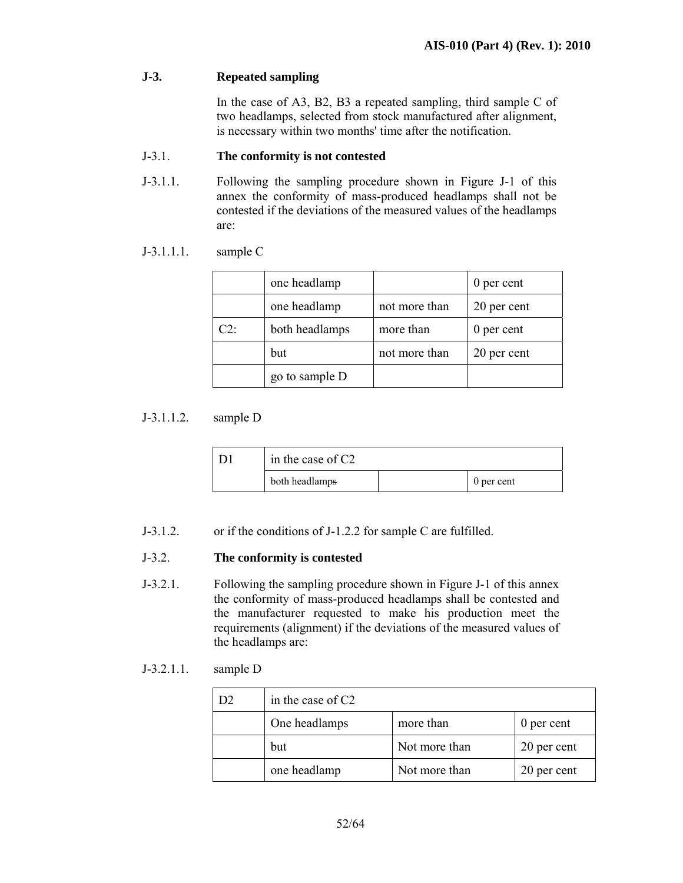## **J-3. Repeated sampling**

In the case of A3, B2, B3 a repeated sampling, third sample C of two headlamps, selected from stock manufactured after alignment, is necessary within two months' time after the notification.

## J-3.1. **The conformity is not contested**

J-3.1.1. Following the sampling procedure shown in Figure J-1 of this annex the conformity of mass-produced headlamps shall not be contested if the deviations of the measured values of the headlamps are:

## J-3.1.1.1. sample C

|                    | one headlamp   |               | 0 per cent  |
|--------------------|----------------|---------------|-------------|
|                    | one headlamp   | not more than | 20 per cent |
| $C2^{\mathcal{L}}$ | both headlamps | more than     | 0 per cent  |
|                    | but            | not more than | 20 per cent |
|                    | go to sample D |               |             |

## J-3.1.1.2. sample D

| in the case of $C2$ |  |            |
|---------------------|--|------------|
| both headlamps      |  | 0 per cent |

J-3.1.2. or if the conditions of J-1.2.2 for sample C are fulfilled.

## J-3.2. **The conformity is contested**

J-3.2.1. Following the sampling procedure shown in Figure J-1 of this annex the conformity of mass-produced headlamps shall be contested and the manufacturer requested to make his production meet the requirements (alignment) if the deviations of the measured values of the headlamps are:

## J-3.2.1.1. sample D

| in the case of C <sub>2</sub> |               |             |
|-------------------------------|---------------|-------------|
| One headlamps                 | more than     | 0 per cent  |
| but                           | Not more than | 20 per cent |
| one headlamp                  | Not more than | 20 per cent |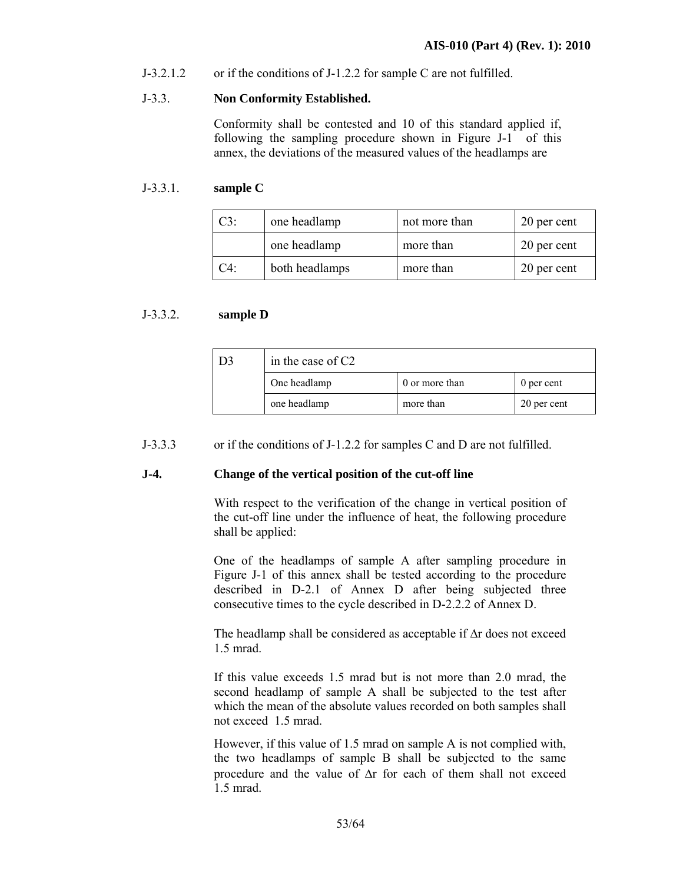J-3.2.1.2 or if the conditions of J-1.2.2 for sample C are not fulfilled.

#### J-3.3. **Non Conformity Established.**

 Conformity shall be contested and 10 of this standard applied if, following the sampling procedure shown in Figure J-1 of this annex, the deviations of the measured values of the headlamps are

#### J-3.3.1. **sample C**

| $C3$ : | one headlamp   | not more than | 20 per cent |
|--------|----------------|---------------|-------------|
|        | one headlamp   | more than     | 20 per cent |
| C4:    | both headlamps | more than     | 20 per cent |

#### J-3.3.2. **sample D**

| D <sub>3</sub> | in the case of $C2$ |                |             |
|----------------|---------------------|----------------|-------------|
|                | One headlamp        | 0 or more than | 0 per cent  |
|                | one headlamp        | more than      | 20 per cent |

J-3.3.3 or if the conditions of J-1.2.2 for samples C and D are not fulfilled.

#### **J-4. Change of the vertical position of the cut-off line**

 With respect to the verification of the change in vertical position of the cut-off line under the influence of heat, the following procedure shall be applied:

 One of the headlamps of sample A after sampling procedure in Figure J-1 of this annex shall be tested according to the procedure described in D-2.1 of Annex D after being subjected three consecutive times to the cycle described in D-2.2.2 of Annex D.

The headlamp shall be considered as acceptable if ∆r does not exceed 1.5 mrad.

 If this value exceeds 1.5 mrad but is not more than 2.0 mrad, the second headlamp of sample A shall be subjected to the test after which the mean of the absolute values recorded on both samples shall not exceed 1.5 mrad.

 However, if this value of 1.5 mrad on sample A is not complied with, the two headlamps of sample B shall be subjected to the same procedure and the value of ∆r for each of them shall not exceed 1.5 mrad.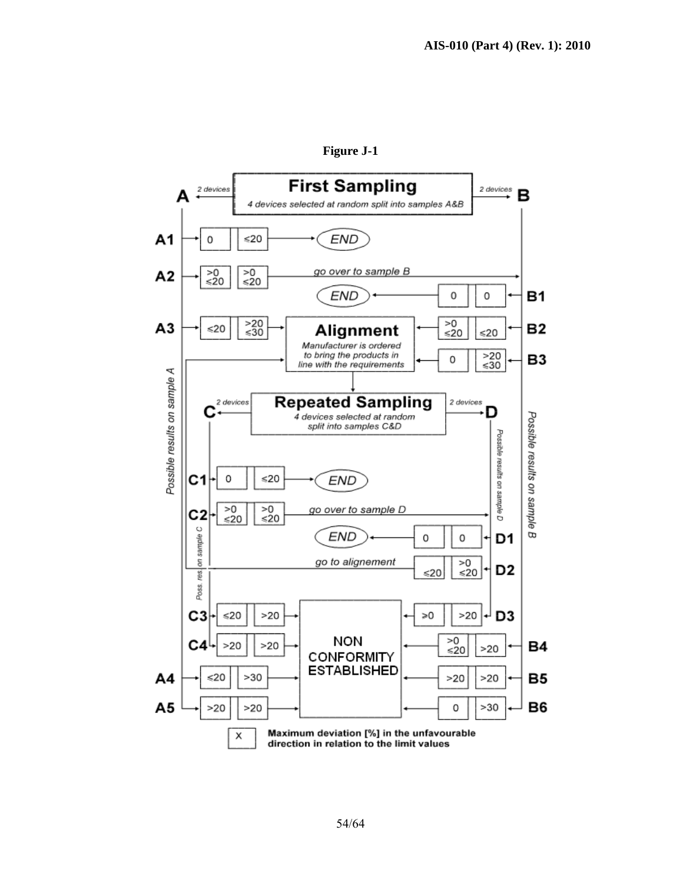

**Figure J-1**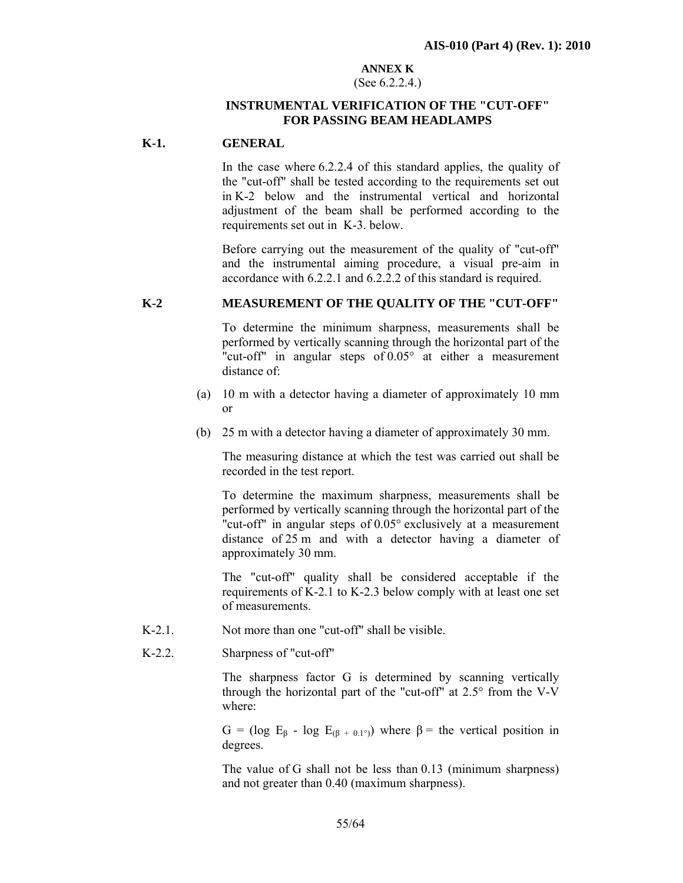#### **ANNEX K** (See 6.2.2.4.)

## **INSTRUMENTAL VERIFICATION OF THE "CUT-OFF" FOR PASSING BEAM HEADLAMPS**

#### **K-1. GENERAL**

In the case where 6.2.2.4 of this standard applies, the quality of the "cut-off" shall be tested according to the requirements set out in K-2 below and the instrumental vertical and horizontal adjustment of the beam shall be performed according to the requirements set out in K-3. below.

Before carrying out the measurement of the quality of "cut-off" and the instrumental aiming procedure, a visual pre-aim in accordance with 6.2.2.1 and 6.2.2.2 of this standard is required.

#### **K-2 MEASUREMENT OF THE QUALITY OF THE "CUT-OFF"**

To determine the minimum sharpness, measurements shall be performed by vertically scanning through the horizontal part of the "cut-off" in angular steps of 0.05° at either a measurement distance of:

- (a) 10 m with a detector having a diameter of approximately 10 mm or
- (b) 25 m with a detector having a diameter of approximately 30 mm.

The measuring distance at which the test was carried out shall be recorded in the test report.

To determine the maximum sharpness, measurements shall be performed by vertically scanning through the horizontal part of the "cut-off" in angular steps of 0.05° exclusively at a measurement distance of 25 m and with a detector having a diameter of approximately 30 mm.

The "cut-off" quality shall be considered acceptable if the requirements of K-2.1 to K-2.3 below comply with at least one set of measurements.

- K-2.1. Not more than one "cut-off" shall be visible.
- K-2.2. Sharpness of "cut-off"

The sharpness factor G is determined by scanning vertically through the horizontal part of the "cut-off" at 2.5° from the V-V where:

G = (log  $E_8$  - log  $E_{(8 + 0.1^{\circ})}$ ) where  $\beta$  = the vertical position in degrees.

The value of G shall not be less than 0.13 (minimum sharpness) and not greater than 0.40 (maximum sharpness).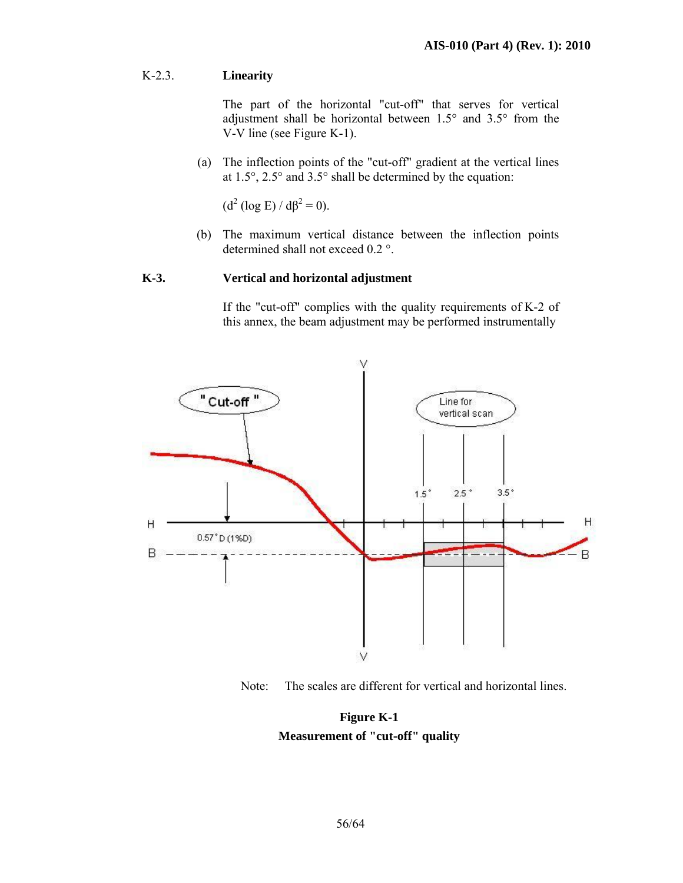## K-2.3. **Linearity**

 The part of the horizontal "cut-off" that serves for vertical adjustment shall be horizontal between 1.5° and 3.5° from the V-V line (see Figure K-1).

(a) The inflection points of the "cut-off" gradient at the vertical lines at 1.5°, 2.5° and 3.5° shall be determined by the equation:

 $(d^2 (\log E) / d\beta^2 = 0).$ 

(b) The maximum vertical distance between the inflection points determined shall not exceed 0.2 °.

#### **K-3. Vertical and horizontal adjustment**

If the "cut-off" complies with the quality requirements of K-2 of this annex, the beam adjustment may be performed instrumentally



Note: The scales are different for vertical and horizontal lines.

**Figure K-1 Measurement of "cut-off" quality**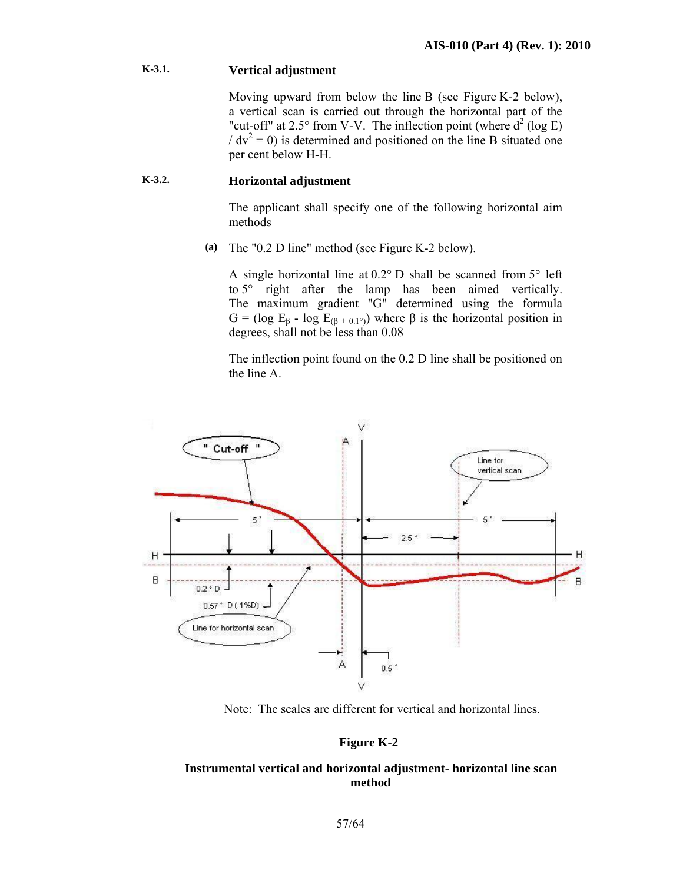## **K-3.1. Vertical adjustment**

Moving upward from below the line B (see Figure K-2 below), a vertical scan is carried out through the horizontal part of the "cut-off" at 2.5° from V-V. The inflection point (where  $d^2$  (log E)  $/ dv<sup>2</sup> = 0$ ) is determined and positioned on the line B situated one per cent below H-H.

## **K-3.2. Horizontal adjustment**

The applicant shall specify one of the following horizontal aim methods

**(a)** The "0.2 D line" method (see Figure K-2 below).

A single horizontal line at  $0.2^{\circ}$  D shall be scanned from  $5^{\circ}$  left to 5° right after the lamp has been aimed vertically. The maximum gradient "G" determined using the formula G = (log  $E_\beta$  - log  $E_{(\beta + 0.1^{\circ})}$ ) where  $\beta$  is the horizontal position in degrees, shall not be less than 0.08

The inflection point found on the 0.2 D line shall be positioned on the line A.



Note: The scales are different for vertical and horizontal lines.

## **Figure K-2**

#### **Instrumental vertical and horizontal adjustment- horizontal line scan method**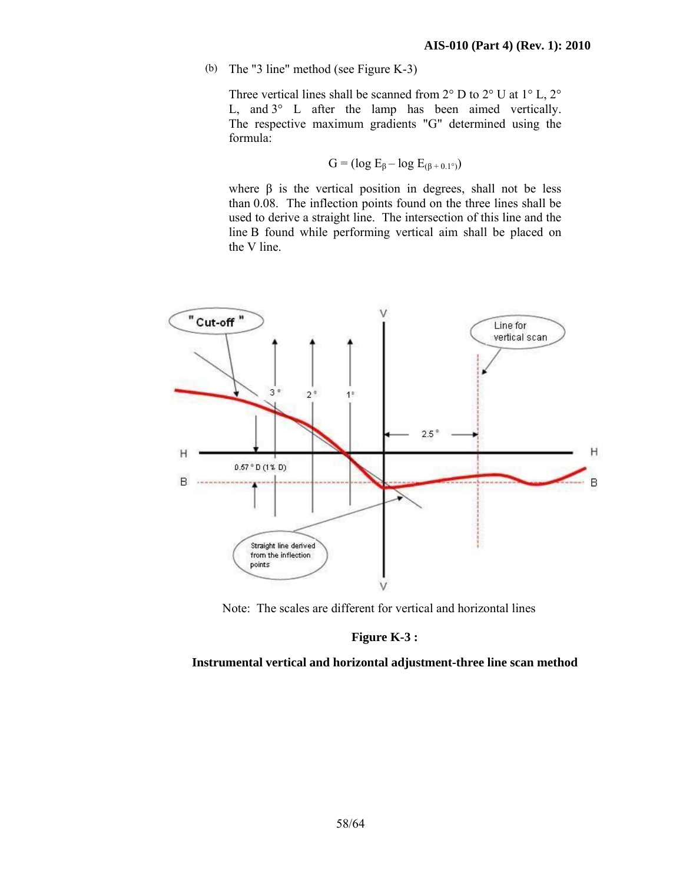(b) The "3 line" method (see Figure K-3)

Three vertical lines shall be scanned from  $2^{\circ}$  D to  $2^{\circ}$  U at  $1^{\circ}$  L,  $2^{\circ}$ L, and 3° L after the lamp has been aimed vertically. The respective maximum gradients "G" determined using the formula:

$$
G = (\log E_{\beta} - \log E_{(\beta + 0.1^{\circ})})
$$

where  $\beta$  is the vertical position in degrees, shall not be less than 0.08. The inflection points found on the three lines shall be used to derive a straight line. The intersection of this line and the line B found while performing vertical aim shall be placed on the V line.



Note: The scales are different for vertical and horizontal lines

#### **Figure K-3 :**

**Instrumental vertical and horizontal adjustment-three line scan method**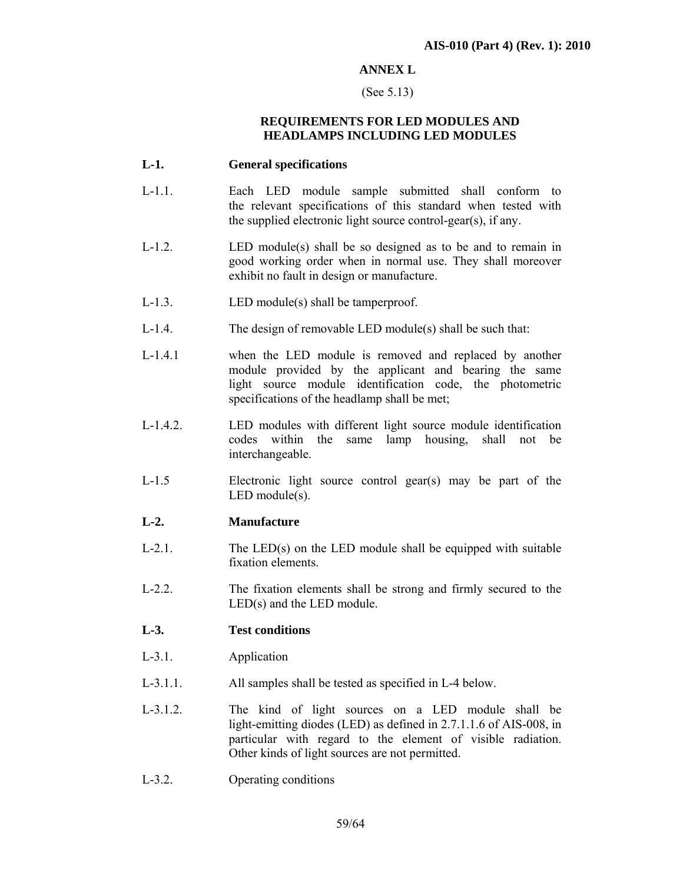## **ANNEX L**

#### (See 5.13)

#### **REQUIREMENTS FOR LED MODULES AND HEADLAMPS INCLUDING LED MODULES**

#### **L-1. General specifications**

- L-1.1. Each LED module sample submitted shall conform to the relevant specifications of this standard when tested with the supplied electronic light source control-gear(s), if any.
- L-1.2. LED module(s) shall be so designed as to be and to remain in good working order when in normal use. They shall moreover exhibit no fault in design or manufacture.
- L-1.3. LED module(s) shall be tamperproof.
- L-1.4. The design of removable LED module(s) shall be such that:
- L-1.4.1 when the LED module is removed and replaced by another module provided by the applicant and bearing the same light source module identification code, the photometric specifications of the headlamp shall be met;
- L-1.4.2. LED modules with different light source module identification codes within the same lamp housing, shall not be interchangeable.
- L-1.5 Electronic light source control gear(s) may be part of the LED module(s).

#### **L-2. Manufacture**

- $L-2.1$ . The  $LED(s)$  on the LED module shall be equipped with suitable fixation elements.
- L-2.2. The fixation elements shall be strong and firmly secured to the LED(s) and the LED module.

#### **L-3. Test conditions**

- L-3.1. Application
- L-3.1.1. All samples shall be tested as specified in L-4 below.
- L-3.1.2. The kind of light sources on a LED module shall be light-emitting diodes (LED) as defined in 2.7.1.1.6 of AIS-008, in particular with regard to the element of visible radiation. Other kinds of light sources are not permitted.
- L-3.2. Operating conditions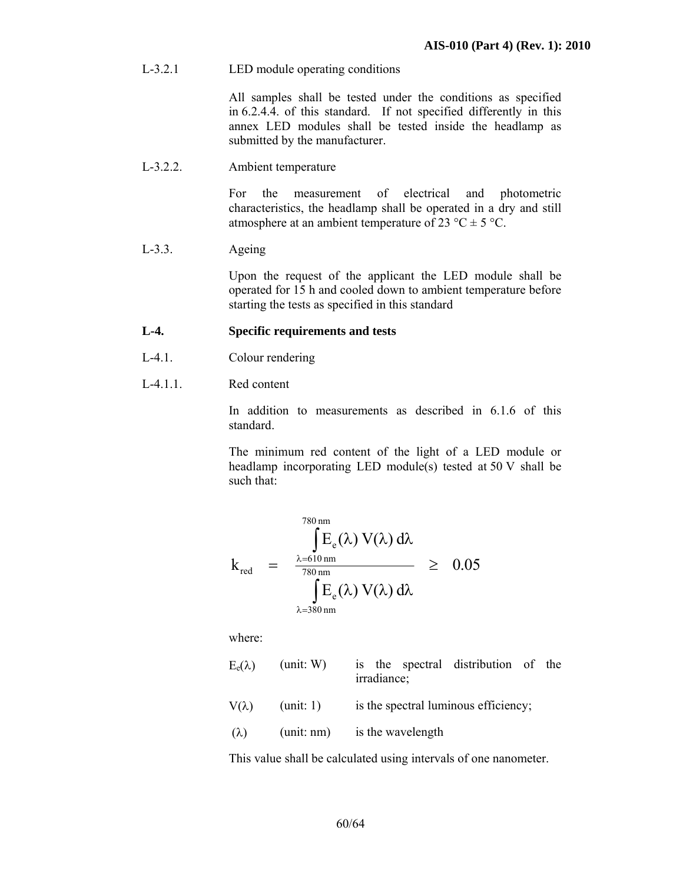L-3.2.1 LED module operating conditions

 All samples shall be tested under the conditions as specified in 6.2.4.4. of this standard. If not specified differently in this annex LED modules shall be tested inside the headlamp as submitted by the manufacturer.

L-3.2.2. Ambient temperature

 For the measurement of electrical and photometric characteristics, the headlamp shall be operated in a dry and still atmosphere at an ambient temperature of 23 °C  $\pm$  5 °C.

#### L-3.3. Ageing

 Upon the request of the applicant the LED module shall be operated for 15 h and cooled down to ambient temperature before starting the tests as specified in this standard

## **L-4. Specific requirements and tests**

- L-4.1. Colour rendering
- L-4.1.1. Red content

In addition to measurements as described in 6.1.6 of this standard.

The minimum red content of the light of a LED module or headlamp incorporating LED module(s) tested at 50 V shall be such that:

$$
k_{\text{red}} = \frac{\int_{\lambda=610 \text{ nm}}^{780 \text{ nm}} E_e(\lambda) V(\lambda) d\lambda}{\int_{\lambda=380 \text{ nm}}^{80 \text{ nm}} E_e(\lambda) V(\lambda) d\lambda} \ge 0.05
$$

where:

| $E_e(\lambda)$ | (unit: W)  | is the spectral distribution of the<br>irradiance; |
|----------------|------------|----------------------------------------------------|
| $V(\lambda)$   | (unit: 1)  | is the spectral luminous efficiency;               |
| $(\lambda)$    | (unit: nm) | is the wavelength                                  |

This value shall be calculated using intervals of one nanometer.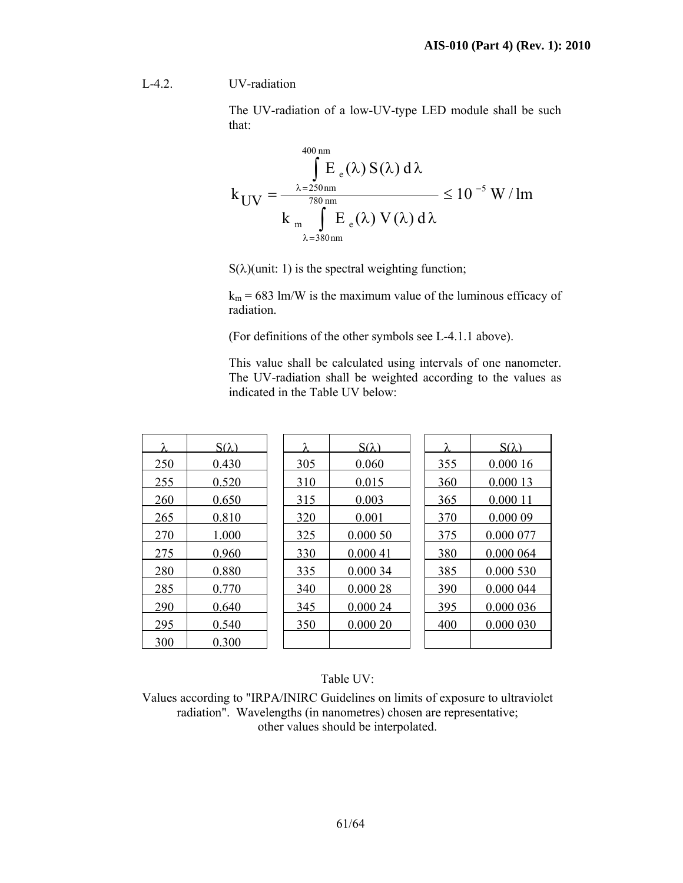L-4.2. UV-radiation

The UV-radiation of a low-UV-type LED module shall be such that:

$$
k_{UV} = \frac{\int_{\lambda=250\,\mathrm{nm}}^{400\,\mathrm{nm}} E_e(\lambda) S(\lambda) d\lambda}{k_{m} \int_{\lambda=380\,\mathrm{nm}}^{780\,\mathrm{nm}} E_e(\lambda) V(\lambda) d\lambda} \le 10^{-5} \,\mathrm{W/Im}
$$

 $S(\lambda)$ (unit: 1) is the spectral weighting function;

 $k_m = 683$  lm/W is the maximum value of the luminous efficacy of radiation.

(For definitions of the other symbols see L-4.1.1 above).

This value shall be calculated using intervals of one nanometer. The UV-radiation shall be weighted according to the values as indicated in the Table UV below:

| λ   | $S(\lambda)$ | λ   | $S(\lambda)$ | λ   | $S(\lambda)$ |
|-----|--------------|-----|--------------|-----|--------------|
| 250 | 0.430        | 305 | 0.060        | 355 | 0.00016      |
| 255 | 0.520        | 310 | 0.015        | 360 | 0.000 13     |
| 260 | 0.650        | 315 | 0.003        | 365 | 0.000 11     |
| 265 | 0.810        | 320 | 0.001        | 370 | 0.000 09     |
| 270 | 1.000        | 325 | 0.00050      | 375 | 0.000 077    |
| 275 | 0.960        | 330 | 0.00041      | 380 | 0.000 064    |
| 280 | 0.880        | 335 | 0.000 34     | 385 | 0.000 530    |
| 285 | 0.770        | 340 | 0.00028      | 390 | 0.000 044    |
| 290 | 0.640        | 345 | 0.000 24     | 395 | 0.000 036    |
| 295 | 0.540        | 350 | 0.00020      | 400 | 0.000 030    |
| 300 | 0.300        |     |              |     |              |

Table UV:

Values according to "IRPA/INIRC Guidelines on limits of exposure to ultraviolet radiation". Wavelengths (in nanometres) chosen are representative; other values should be interpolated.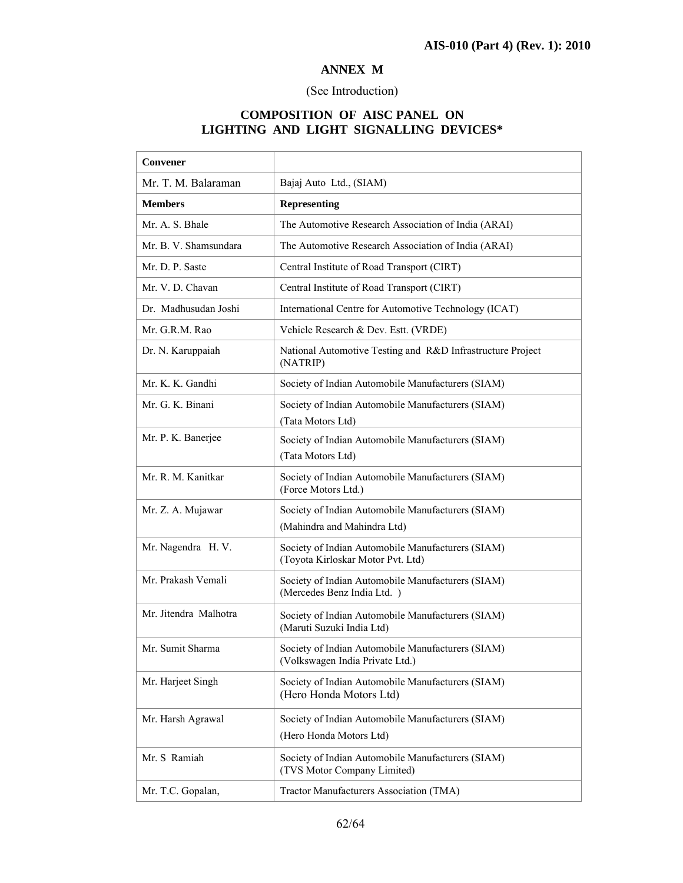## **ANNEX M**

## (See Introduction)

## **COMPOSITION OF AISC PANEL ON LIGHTING AND LIGHT SIGNALLING DEVICES\***

| Convener              |                                                                                        |
|-----------------------|----------------------------------------------------------------------------------------|
| Mr. T. M. Balaraman   | Bajaj Auto Ltd., (SIAM)                                                                |
| <b>Members</b>        | <b>Representing</b>                                                                    |
| Mr. A. S. Bhale       | The Automotive Research Association of India (ARAI)                                    |
| Mr. B. V. Shamsundara | The Automotive Research Association of India (ARAI)                                    |
| Mr. D. P. Saste       | Central Institute of Road Transport (CIRT)                                             |
| Mr. V. D. Chavan      | Central Institute of Road Transport (CIRT)                                             |
| Dr. Madhusudan Joshi  | International Centre for Automotive Technology (ICAT)                                  |
| Mr. G.R.M. Rao        | Vehicle Research & Dev. Estt. (VRDE)                                                   |
| Dr. N. Karuppaiah     | National Automotive Testing and R&D Infrastructure Project<br>(NATRIP)                 |
| Mr. K. K. Gandhi      | Society of Indian Automobile Manufacturers (SIAM)                                      |
| Mr. G. K. Binani      | Society of Indian Automobile Manufacturers (SIAM)<br>(Tata Motors Ltd)                 |
| Mr. P. K. Banerjee    | Society of Indian Automobile Manufacturers (SIAM)<br>(Tata Motors Ltd)                 |
| Mr. R. M. Kanitkar    | Society of Indian Automobile Manufacturers (SIAM)<br>(Force Motors Ltd.)               |
| Mr. Z. A. Mujawar     | Society of Indian Automobile Manufacturers (SIAM)<br>(Mahindra and Mahindra Ltd)       |
| Mr. Nagendra H. V.    | Society of Indian Automobile Manufacturers (SIAM)<br>(Toyota Kirloskar Motor Pvt. Ltd) |
| Mr. Prakash Vemali    | Society of Indian Automobile Manufacturers (SIAM)<br>(Mercedes Benz India Ltd.)        |
| Mr. Jitendra Malhotra | Society of Indian Automobile Manufacturers (SIAM)<br>(Maruti Suzuki India Ltd)         |
| Mr. Sumit Sharma      | Society of Indian Automobile Manufacturers (SIAM)<br>(Volkswagen India Private Ltd.)   |
| Mr. Harjeet Singh     | Society of Indian Automobile Manufacturers (SIAM)<br>(Hero Honda Motors Ltd)           |
| Mr. Harsh Agrawal     | Society of Indian Automobile Manufacturers (SIAM)<br>(Hero Honda Motors Ltd)           |
| Mr. S Ramiah          | Society of Indian Automobile Manufacturers (SIAM)<br>(TVS Motor Company Limited)       |
| Mr. T.C. Gopalan,     | Tractor Manufacturers Association (TMA)                                                |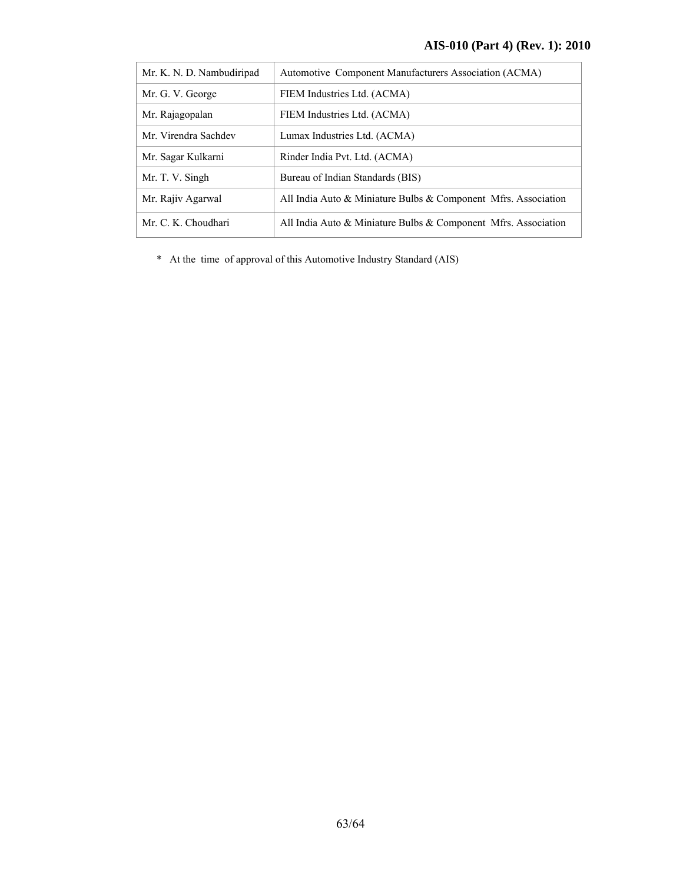| Mr. K. N. D. Nambudiripad | Automotive Component Manufacturers Association (ACMA)                |
|---------------------------|----------------------------------------------------------------------|
| Mr. G. V. George          | FIEM Industries Ltd. (ACMA)                                          |
| Mr. Rajagopalan           | FIEM Industries Ltd. (ACMA)                                          |
| Mr. Virendra Sachdev      | Lumax Industries Ltd. (ACMA)                                         |
| Mr. Sagar Kulkarni        | Rinder India Pvt. Ltd. (ACMA)                                        |
| Mr. T. V. Singh           | Bureau of Indian Standards (BIS)                                     |
| Mr. Rajiv Agarwal         | All India Auto $\&$ Miniature Bulbs $\&$ Component Mfrs. Association |
| Mr. C. K. Choudhari       | All India Auto $\&$ Miniature Bulbs $\&$ Component Mfrs. Association |

\* At the time of approval of this Automotive Industry Standard (AIS)